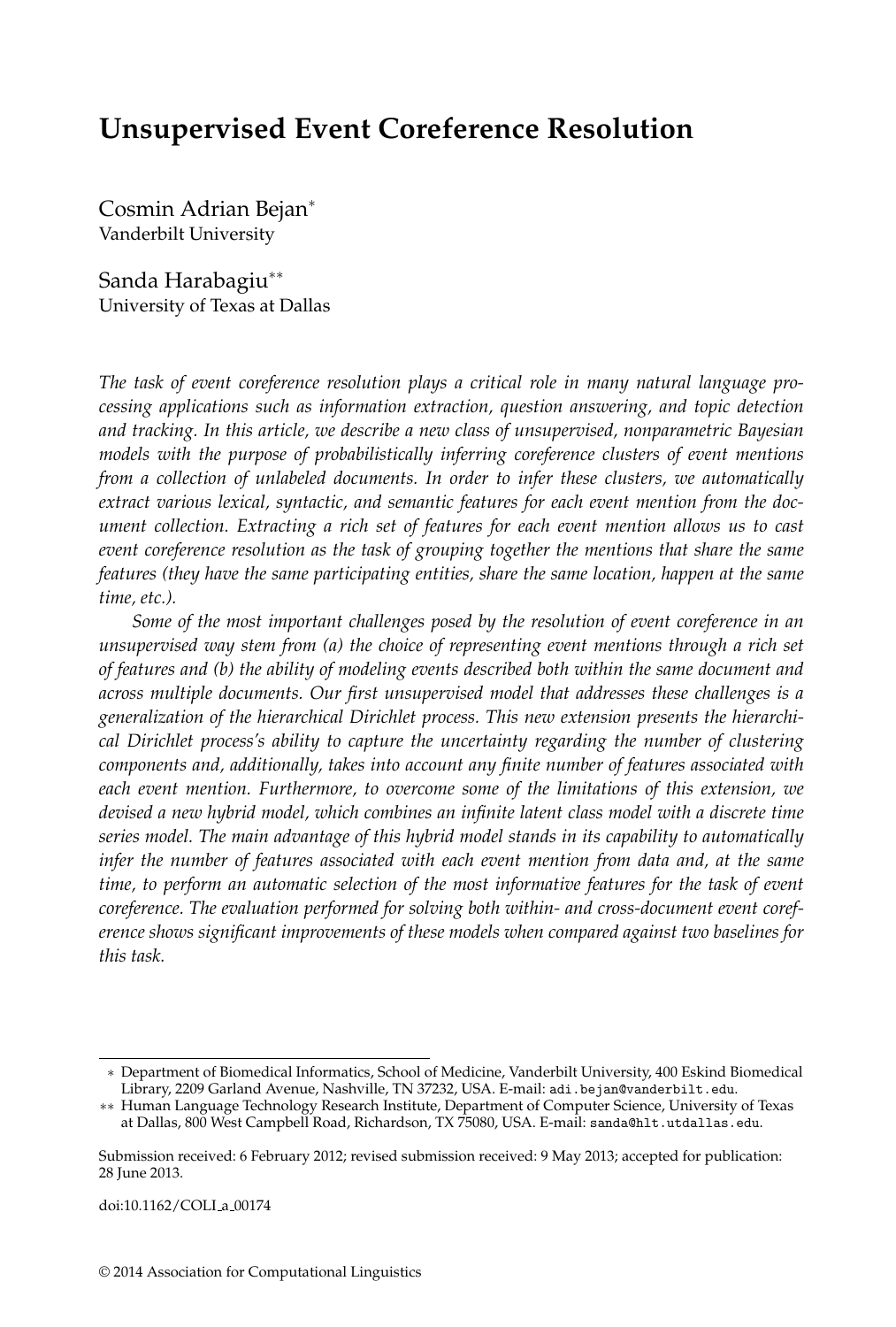# **Unsupervised Event Coreference Resolution**

Cosmin Adrian Bejan<sup>∗</sup> Vanderbilt University

Sanda Harabagiu∗∗ University of Texas at Dallas

*The task of event coreference resolution plays a critical role in many natural language processing applications such as information extraction, question answering, and topic detection and tracking. In this article, we describe a new class of unsupervised, nonparametric Bayesian models with the purpose of probabilistically inferring coreference clusters of event mentions from a collection of unlabeled documents. In order to infer these clusters, we automatically extract various lexical, syntactic, and semantic features for each event mention from the document collection. Extracting a rich set of features for each event mention allows us to cast event coreference resolution as the task of grouping together the mentions that share the same features (they have the same participating entities, share the same location, happen at the same time, etc.).*

*Some of the most important challenges posed by the resolution of event coreference in an unsupervised way stem from (a) the choice of representing event mentions through a rich set of features and (b) the ability of modeling events described both within the same document and across multiple documents. Our first unsupervised model that addresses these challenges is a generalization of the hierarchical Dirichlet process. This new extension presents the hierarchical Dirichlet process's ability to capture the uncertainty regarding the number of clustering components and, additionally, takes into account any finite number of features associated with each event mention. Furthermore, to overcome some of the limitations of this extension, we devised a new hybrid model, which combines an infinite latent class model with a discrete time series model. The main advantage of this hybrid model stands in its capability to automatically infer the number of features associated with each event mention from data and, at the same time, to perform an automatic selection of the most informative features for the task of event coreference. The evaluation performed for solving both within- and cross-document event coreference shows significant improvements of these models when compared against two baselines for this task.*

<sup>∗</sup> Department of Biomedical Informatics, School of Medicine, Vanderbilt University, 400 Eskind Biomedical Library, 2209 Garland Avenue, Nashville, TN 37232, USA. E-mail: adi.bejan@vanderbilt.edu.

<sup>∗∗</sup> Human Language Technology Research Institute, Department of Computer Science, University of Texas at Dallas, 800 West Campbell Road, Richardson, TX 75080, USA. E-mail: sanda@hlt.utdallas.edu.

Submission received: 6 February 2012; revised submission received: 9 May 2013; accepted for publication: 28 June 2013.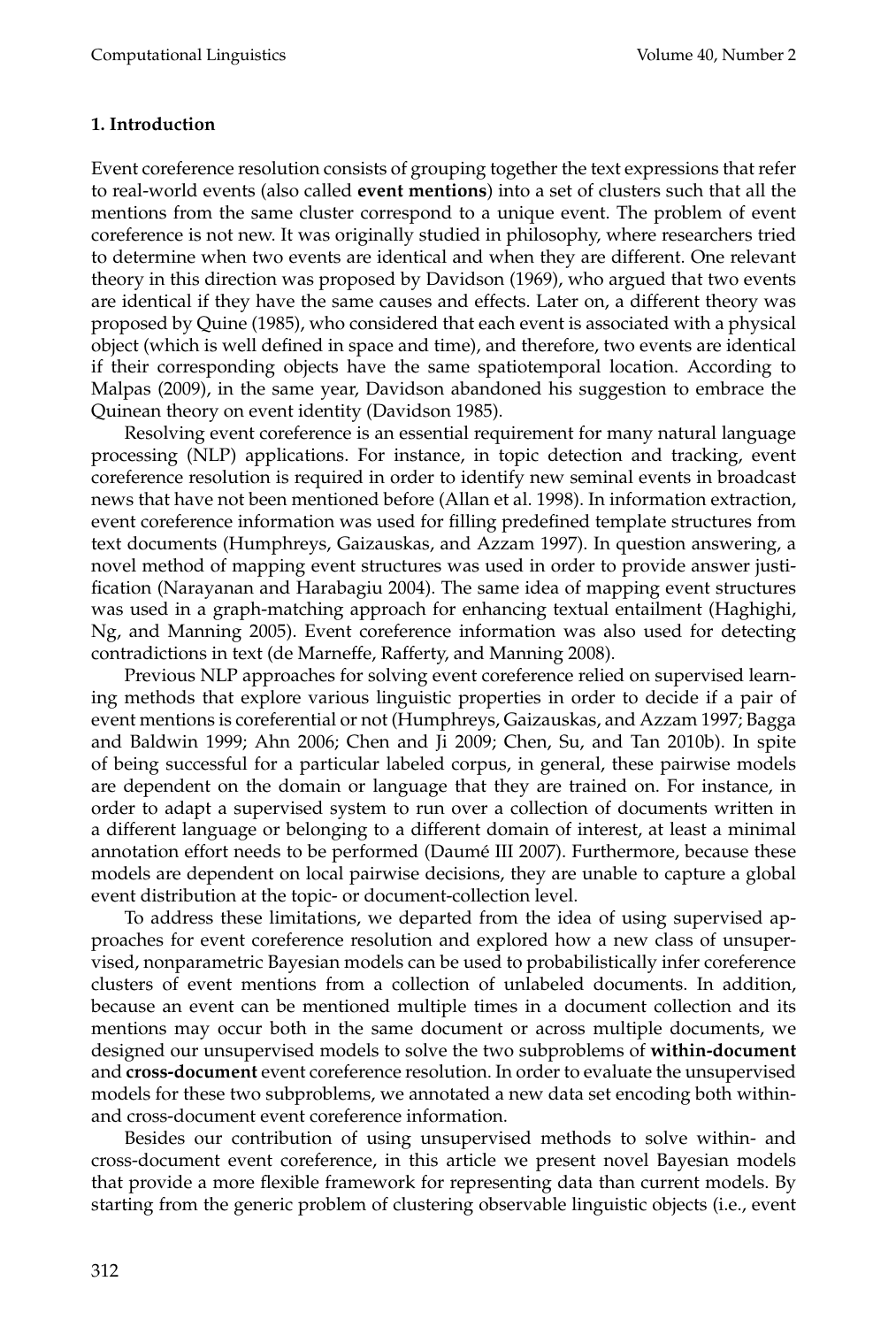### **1. Introduction**

Event coreference resolution consists of grouping together the text expressions that refer to real-world events (also called **event mentions**) into a set of clusters such that all the mentions from the same cluster correspond to a unique event. The problem of event coreference is not new. It was originally studied in philosophy, where researchers tried to determine when two events are identical and when they are different. One relevant theory in this direction was proposed by Davidson (1969), who argued that two events are identical if they have the same causes and effects. Later on, a different theory was proposed by Quine (1985), who considered that each event is associated with a physical object (which is well defined in space and time), and therefore, two events are identical if their corresponding objects have the same spatiotemporal location. According to Malpas (2009), in the same year, Davidson abandoned his suggestion to embrace the Quinean theory on event identity (Davidson 1985).

Resolving event coreference is an essential requirement for many natural language processing (NLP) applications. For instance, in topic detection and tracking, event coreference resolution is required in order to identify new seminal events in broadcast news that have not been mentioned before (Allan et al. 1998). In information extraction, event coreference information was used for filling predefined template structures from text documents (Humphreys, Gaizauskas, and Azzam 1997). In question answering, a novel method of mapping event structures was used in order to provide answer justification (Narayanan and Harabagiu 2004). The same idea of mapping event structures was used in a graph-matching approach for enhancing textual entailment (Haghighi, Ng, and Manning 2005). Event coreference information was also used for detecting contradictions in text (de Marneffe, Rafferty, and Manning 2008).

Previous NLP approaches for solving event coreference relied on supervised learning methods that explore various linguistic properties in order to decide if a pair of event mentions is coreferential or not (Humphreys, Gaizauskas, and Azzam 1997; Bagga and Baldwin 1999; Ahn 2006; Chen and Ji 2009; Chen, Su, and Tan 2010b). In spite of being successful for a particular labeled corpus, in general, these pairwise models are dependent on the domain or language that they are trained on. For instance, in order to adapt a supervised system to run over a collection of documents written in a different language or belonging to a different domain of interest, at least a minimal annotation effort needs to be performed (Daumé III 2007). Furthermore, because these models are dependent on local pairwise decisions, they are unable to capture a global event distribution at the topic- or document-collection level.

To address these limitations, we departed from the idea of using supervised approaches for event coreference resolution and explored how a new class of unsupervised, nonparametric Bayesian models can be used to probabilistically infer coreference clusters of event mentions from a collection of unlabeled documents. In addition, because an event can be mentioned multiple times in a document collection and its mentions may occur both in the same document or across multiple documents, we designed our unsupervised models to solve the two subproblems of **within-document** and **cross-document** event coreference resolution. In order to evaluate the unsupervised models for these two subproblems, we annotated a new data set encoding both withinand cross-document event coreference information.

Besides our contribution of using unsupervised methods to solve within- and cross-document event coreference, in this article we present novel Bayesian models that provide a more flexible framework for representing data than current models. By starting from the generic problem of clustering observable linguistic objects (i.e., event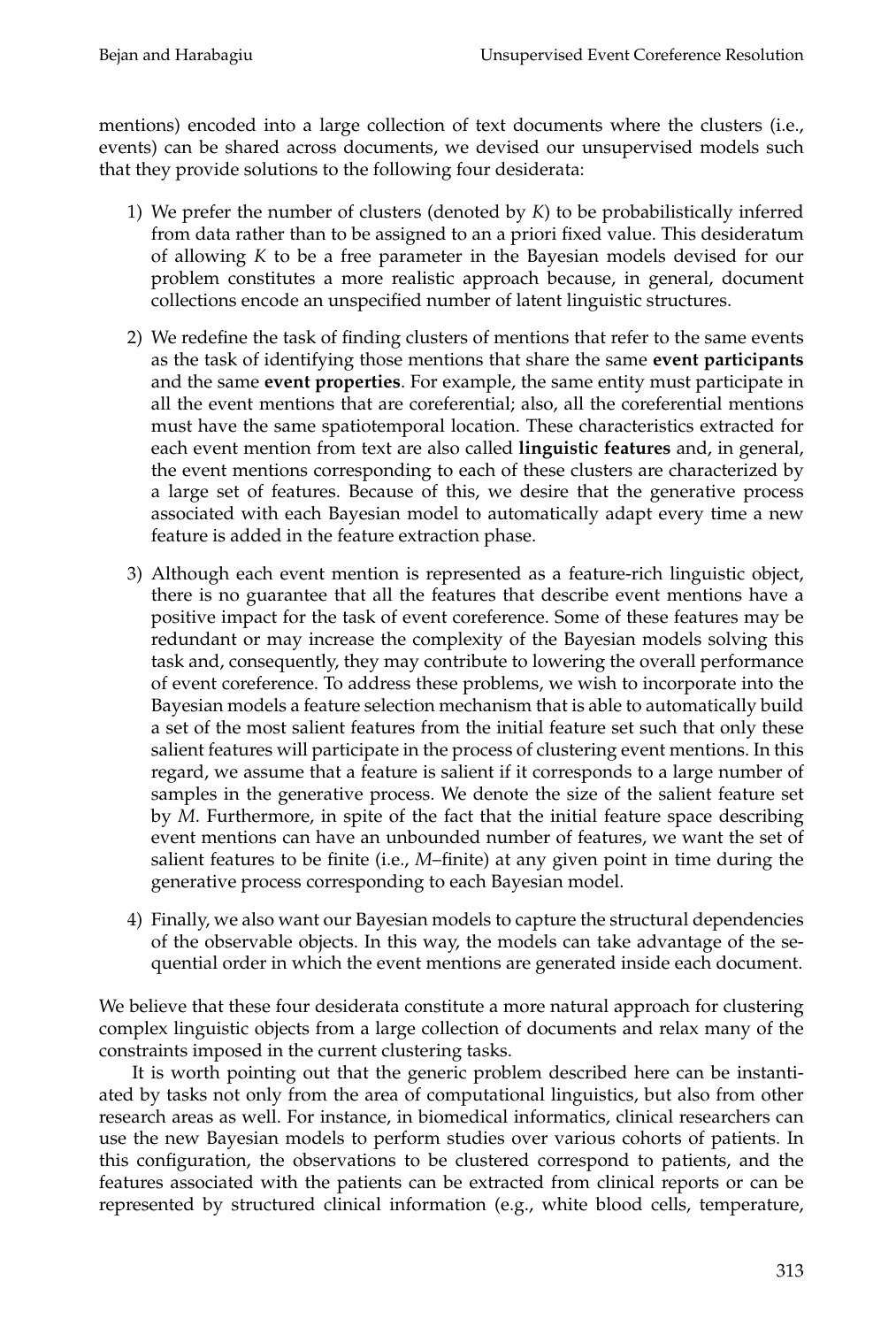mentions) encoded into a large collection of text documents where the clusters (i.e., events) can be shared across documents, we devised our unsupervised models such that they provide solutions to the following four desiderata:

- 1) We prefer the number of clusters (denoted by *K*) to be probabilistically inferred from data rather than to be assigned to an a priori fixed value. This desideratum of allowing *K* to be a free parameter in the Bayesian models devised for our problem constitutes a more realistic approach because, in general, document collections encode an unspecified number of latent linguistic structures.
- 2) We redefine the task of finding clusters of mentions that refer to the same events as the task of identifying those mentions that share the same **event participants** and the same **event properties**. For example, the same entity must participate in all the event mentions that are coreferential; also, all the coreferential mentions must have the same spatiotemporal location. These characteristics extracted for each event mention from text are also called **linguistic features** and, in general, the event mentions corresponding to each of these clusters are characterized by a large set of features. Because of this, we desire that the generative process associated with each Bayesian model to automatically adapt every time a new feature is added in the feature extraction phase.
- 3) Although each event mention is represented as a feature-rich linguistic object, there is no guarantee that all the features that describe event mentions have a positive impact for the task of event coreference. Some of these features may be redundant or may increase the complexity of the Bayesian models solving this task and, consequently, they may contribute to lowering the overall performance of event coreference. To address these problems, we wish to incorporate into the Bayesian models a feature selection mechanism that is able to automatically build a set of the most salient features from the initial feature set such that only these salient features will participate in the process of clustering event mentions. In this regard, we assume that a feature is salient if it corresponds to a large number of samples in the generative process. We denote the size of the salient feature set by *M*. Furthermore, in spite of the fact that the initial feature space describing event mentions can have an unbounded number of features, we want the set of salient features to be finite (i.e., *M*–finite) at any given point in time during the generative process corresponding to each Bayesian model.
- 4) Finally, we also want our Bayesian models to capture the structural dependencies of the observable objects. In this way, the models can take advantage of the sequential order in which the event mentions are generated inside each document.

We believe that these four desiderata constitute a more natural approach for clustering complex linguistic objects from a large collection of documents and relax many of the constraints imposed in the current clustering tasks.

It is worth pointing out that the generic problem described here can be instantiated by tasks not only from the area of computational linguistics, but also from other research areas as well. For instance, in biomedical informatics, clinical researchers can use the new Bayesian models to perform studies over various cohorts of patients. In this configuration, the observations to be clustered correspond to patients, and the features associated with the patients can be extracted from clinical reports or can be represented by structured clinical information (e.g., white blood cells, temperature,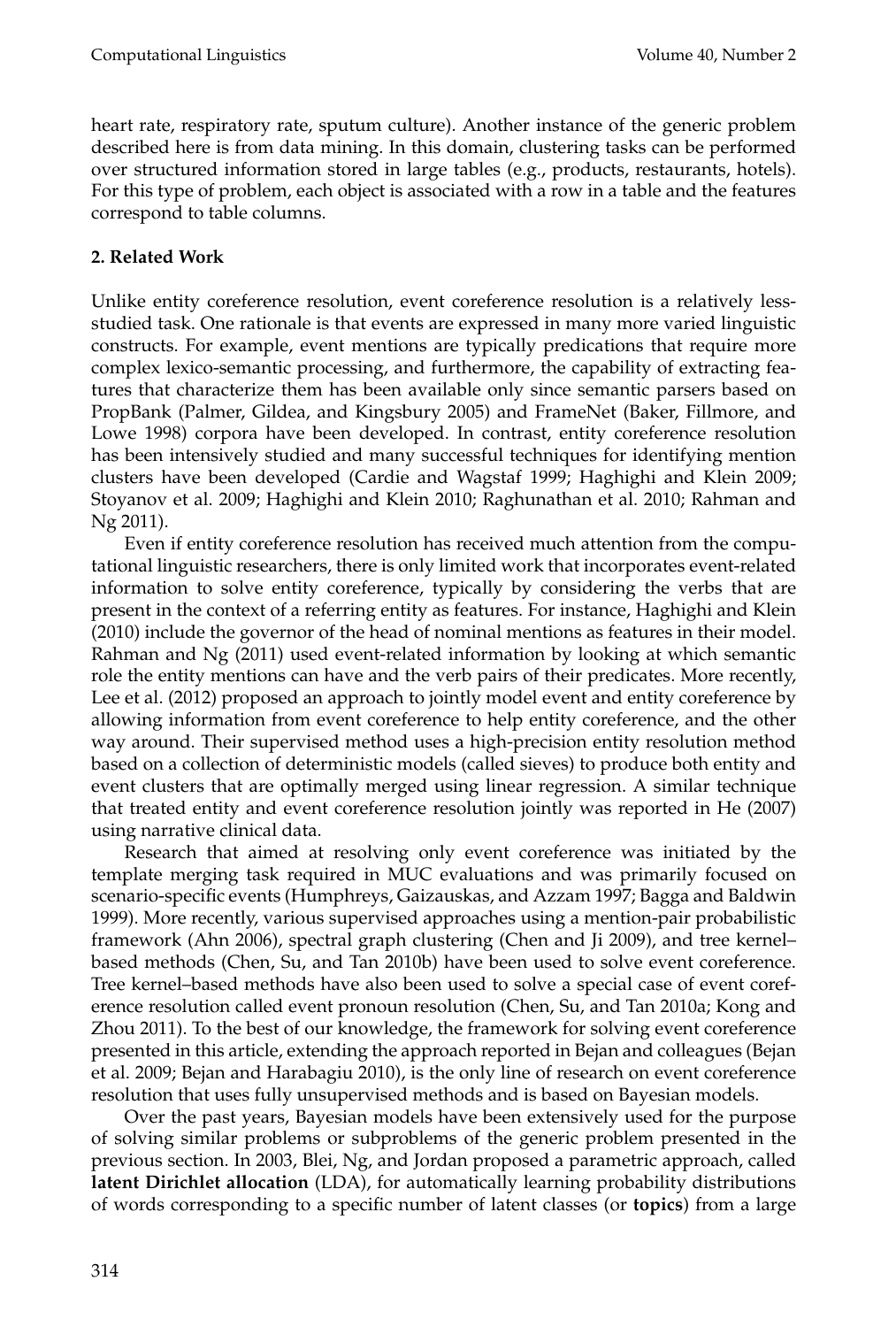heart rate, respiratory rate, sputum culture). Another instance of the generic problem described here is from data mining. In this domain, clustering tasks can be performed over structured information stored in large tables (e.g., products, restaurants, hotels). For this type of problem, each object is associated with a row in a table and the features correspond to table columns.

### **2. Related Work**

Unlike entity coreference resolution, event coreference resolution is a relatively lessstudied task. One rationale is that events are expressed in many more varied linguistic constructs. For example, event mentions are typically predications that require more complex lexico-semantic processing, and furthermore, the capability of extracting features that characterize them has been available only since semantic parsers based on PropBank (Palmer, Gildea, and Kingsbury 2005) and FrameNet (Baker, Fillmore, and Lowe 1998) corpora have been developed. In contrast, entity coreference resolution has been intensively studied and many successful techniques for identifying mention clusters have been developed (Cardie and Wagstaf 1999; Haghighi and Klein 2009; Stoyanov et al. 2009; Haghighi and Klein 2010; Raghunathan et al. 2010; Rahman and Ng 2011).

Even if entity coreference resolution has received much attention from the computational linguistic researchers, there is only limited work that incorporates event-related information to solve entity coreference, typically by considering the verbs that are present in the context of a referring entity as features. For instance, Haghighi and Klein (2010) include the governor of the head of nominal mentions as features in their model. Rahman and Ng (2011) used event-related information by looking at which semantic role the entity mentions can have and the verb pairs of their predicates. More recently, Lee et al. (2012) proposed an approach to jointly model event and entity coreference by allowing information from event coreference to help entity coreference, and the other way around. Their supervised method uses a high-precision entity resolution method based on a collection of deterministic models (called sieves) to produce both entity and event clusters that are optimally merged using linear regression. A similar technique that treated entity and event coreference resolution jointly was reported in He (2007) using narrative clinical data.

Research that aimed at resolving only event coreference was initiated by the template merging task required in MUC evaluations and was primarily focused on scenario-specific events (Humphreys, Gaizauskas, and Azzam 1997; Bagga and Baldwin 1999). More recently, various supervised approaches using a mention-pair probabilistic framework (Ahn 2006), spectral graph clustering (Chen and Ji 2009), and tree kernel– based methods (Chen, Su, and Tan 2010b) have been used to solve event coreference. Tree kernel–based methods have also been used to solve a special case of event coreference resolution called event pronoun resolution (Chen, Su, and Tan 2010a; Kong and Zhou 2011). To the best of our knowledge, the framework for solving event coreference presented in this article, extending the approach reported in Bejan and colleagues (Bejan et al. 2009; Bejan and Harabagiu 2010), is the only line of research on event coreference resolution that uses fully unsupervised methods and is based on Bayesian models.

Over the past years, Bayesian models have been extensively used for the purpose of solving similar problems or subproblems of the generic problem presented in the previous section. In 2003, Blei, Ng, and Jordan proposed a parametric approach, called **latent Dirichlet allocation** (LDA), for automatically learning probability distributions of words corresponding to a specific number of latent classes (or **topics**) from a large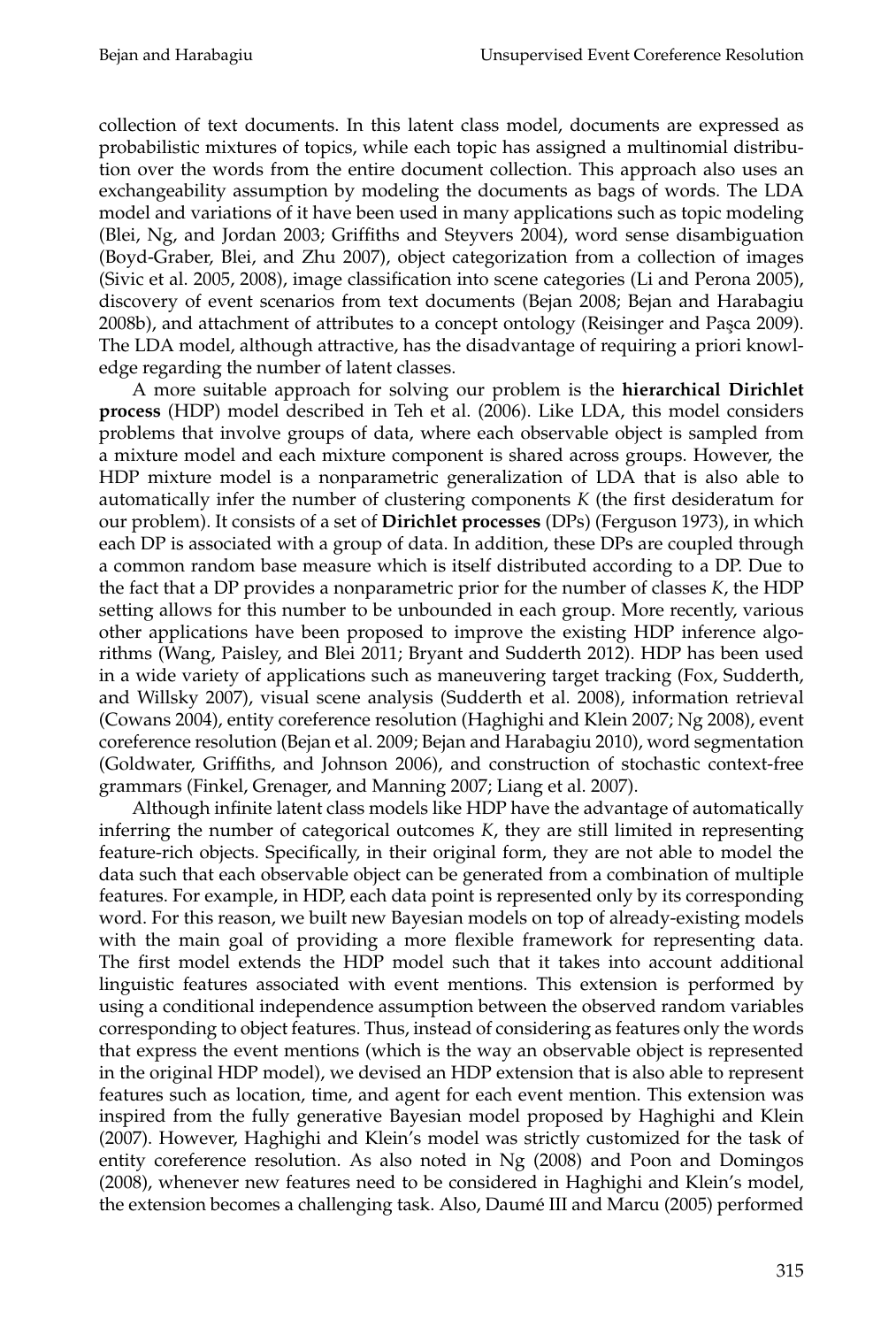collection of text documents. In this latent class model, documents are expressed as probabilistic mixtures of topics, while each topic has assigned a multinomial distribution over the words from the entire document collection. This approach also uses an exchangeability assumption by modeling the documents as bags of words. The LDA model and variations of it have been used in many applications such as topic modeling (Blei, Ng, and Jordan 2003; Griffiths and Steyvers 2004), word sense disambiguation (Boyd-Graber, Blei, and Zhu 2007), object categorization from a collection of images (Sivic et al. 2005, 2008), image classification into scene categories (Li and Perona 2005), discovery of event scenarios from text documents (Bejan 2008; Bejan and Harabagiu 2008b), and attachment of attributes to a concept ontology (Reisinger and Pasca 2009). The LDA model, although attractive, has the disadvantage of requiring a priori knowledge regarding the number of latent classes.

A more suitable approach for solving our problem is the **hierarchical Dirichlet process** (HDP) model described in Teh et al. (2006). Like LDA, this model considers problems that involve groups of data, where each observable object is sampled from a mixture model and each mixture component is shared across groups. However, the HDP mixture model is a nonparametric generalization of LDA that is also able to automatically infer the number of clustering components *K* (the first desideratum for our problem). It consists of a set of **Dirichlet processes** (DPs) (Ferguson 1973), in which each DP is associated with a group of data. In addition, these DPs are coupled through a common random base measure which is itself distributed according to a DP. Due to the fact that a DP provides a nonparametric prior for the number of classes *K*, the HDP setting allows for this number to be unbounded in each group. More recently, various other applications have been proposed to improve the existing HDP inference algorithms (Wang, Paisley, and Blei 2011; Bryant and Sudderth 2012). HDP has been used in a wide variety of applications such as maneuvering target tracking (Fox, Sudderth, and Willsky 2007), visual scene analysis (Sudderth et al. 2008), information retrieval (Cowans 2004), entity coreference resolution (Haghighi and Klein 2007; Ng 2008), event coreference resolution (Bejan et al. 2009; Bejan and Harabagiu 2010), word segmentation (Goldwater, Griffiths, and Johnson 2006), and construction of stochastic context-free grammars (Finkel, Grenager, and Manning 2007; Liang et al. 2007).

Although infinite latent class models like HDP have the advantage of automatically inferring the number of categorical outcomes *K*, they are still limited in representing feature-rich objects. Specifically, in their original form, they are not able to model the data such that each observable object can be generated from a combination of multiple features. For example, in HDP, each data point is represented only by its corresponding word. For this reason, we built new Bayesian models on top of already-existing models with the main goal of providing a more flexible framework for representing data. The first model extends the HDP model such that it takes into account additional linguistic features associated with event mentions. This extension is performed by using a conditional independence assumption between the observed random variables corresponding to object features. Thus, instead of considering as features only the words that express the event mentions (which is the way an observable object is represented in the original HDP model), we devised an HDP extension that is also able to represent features such as location, time, and agent for each event mention. This extension was inspired from the fully generative Bayesian model proposed by Haghighi and Klein (2007). However, Haghighi and Klein's model was strictly customized for the task of entity coreference resolution. As also noted in Ng (2008) and Poon and Domingos (2008), whenever new features need to be considered in Haghighi and Klein's model, the extension becomes a challenging task. Also, Daume III and Marcu (2005) performed ´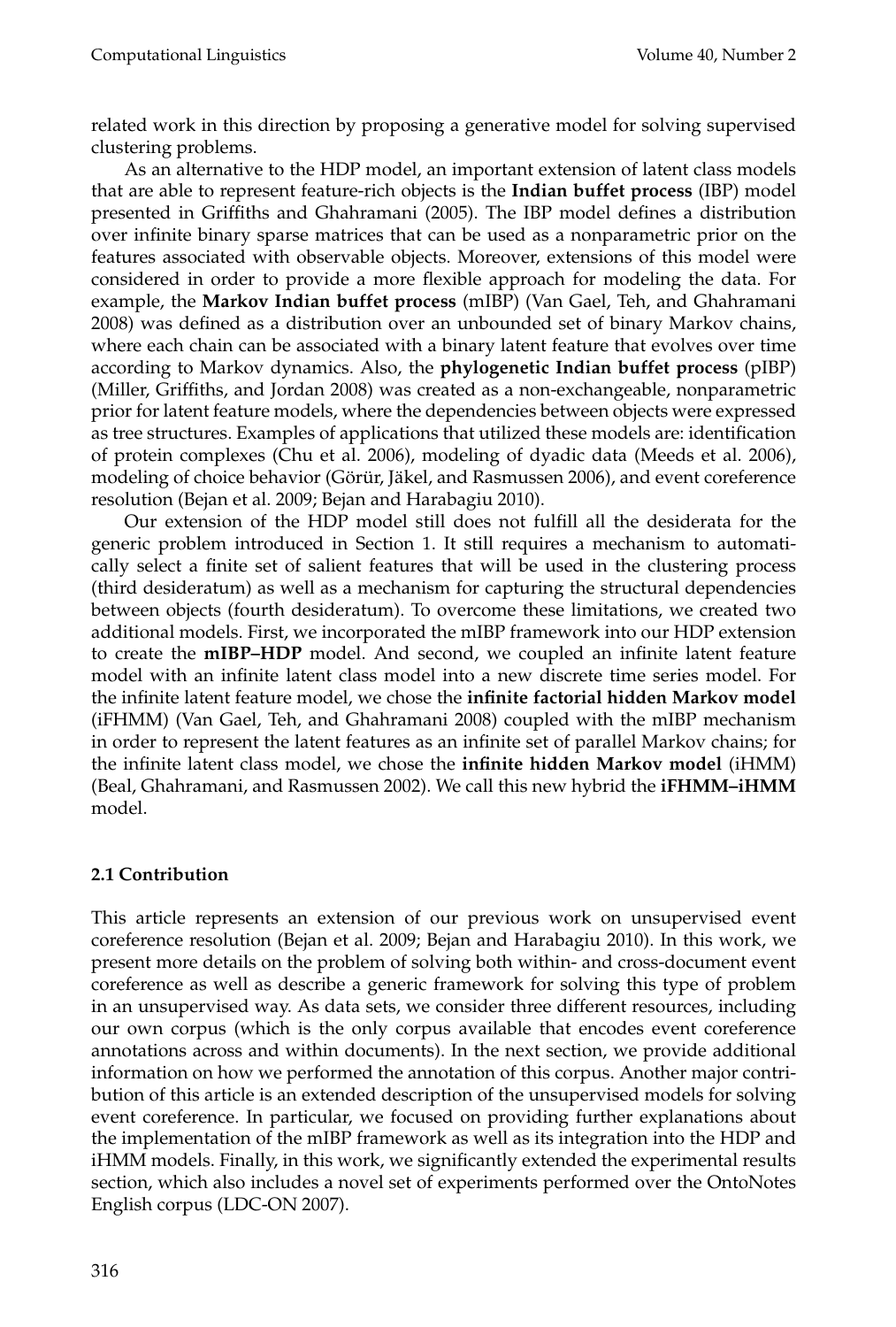related work in this direction by proposing a generative model for solving supervised clustering problems.

As an alternative to the HDP model, an important extension of latent class models that are able to represent feature-rich objects is the **Indian buffet process** (IBP) model presented in Griffiths and Ghahramani (2005). The IBP model defines a distribution over infinite binary sparse matrices that can be used as a nonparametric prior on the features associated with observable objects. Moreover, extensions of this model were considered in order to provide a more flexible approach for modeling the data. For example, the **Markov Indian buffet process** (mIBP) (Van Gael, Teh, and Ghahramani 2008) was defined as a distribution over an unbounded set of binary Markov chains, where each chain can be associated with a binary latent feature that evolves over time according to Markov dynamics. Also, the **phylogenetic Indian buffet process** (pIBP) (Miller, Griffiths, and Jordan 2008) was created as a non-exchangeable, nonparametric prior for latent feature models, where the dependencies between objects were expressed as tree structures. Examples of applications that utilized these models are: identification of protein complexes (Chu et al. 2006), modeling of dyadic data (Meeds et al. 2006), modeling of choice behavior (Görür, Jäkel, and Rasmussen 2006), and event coreference resolution (Bejan et al. 2009; Bejan and Harabagiu 2010).

Our extension of the HDP model still does not fulfill all the desiderata for the generic problem introduced in Section 1. It still requires a mechanism to automatically select a finite set of salient features that will be used in the clustering process (third desideratum) as well as a mechanism for capturing the structural dependencies between objects (fourth desideratum). To overcome these limitations, we created two additional models. First, we incorporated the mIBP framework into our HDP extension to create the **mIBP–HDP** model. And second, we coupled an infinite latent feature model with an infinite latent class model into a new discrete time series model. For the infinite latent feature model, we chose the **infinite factorial hidden Markov model** (iFHMM) (Van Gael, Teh, and Ghahramani 2008) coupled with the mIBP mechanism in order to represent the latent features as an infinite set of parallel Markov chains; for the infinite latent class model, we chose the **infinite hidden Markov model** (iHMM) (Beal, Ghahramani, and Rasmussen 2002). We call this new hybrid the **iFHMM–iHMM** model.

### **2.1 Contribution**

This article represents an extension of our previous work on unsupervised event coreference resolution (Bejan et al. 2009; Bejan and Harabagiu 2010). In this work, we present more details on the problem of solving both within- and cross-document event coreference as well as describe a generic framework for solving this type of problem in an unsupervised way. As data sets, we consider three different resources, including our own corpus (which is the only corpus available that encodes event coreference annotations across and within documents). In the next section, we provide additional information on how we performed the annotation of this corpus. Another major contribution of this article is an extended description of the unsupervised models for solving event coreference. In particular, we focused on providing further explanations about the implementation of the mIBP framework as well as its integration into the HDP and iHMM models. Finally, in this work, we significantly extended the experimental results section, which also includes a novel set of experiments performed over the OntoNotes English corpus (LDC-ON 2007).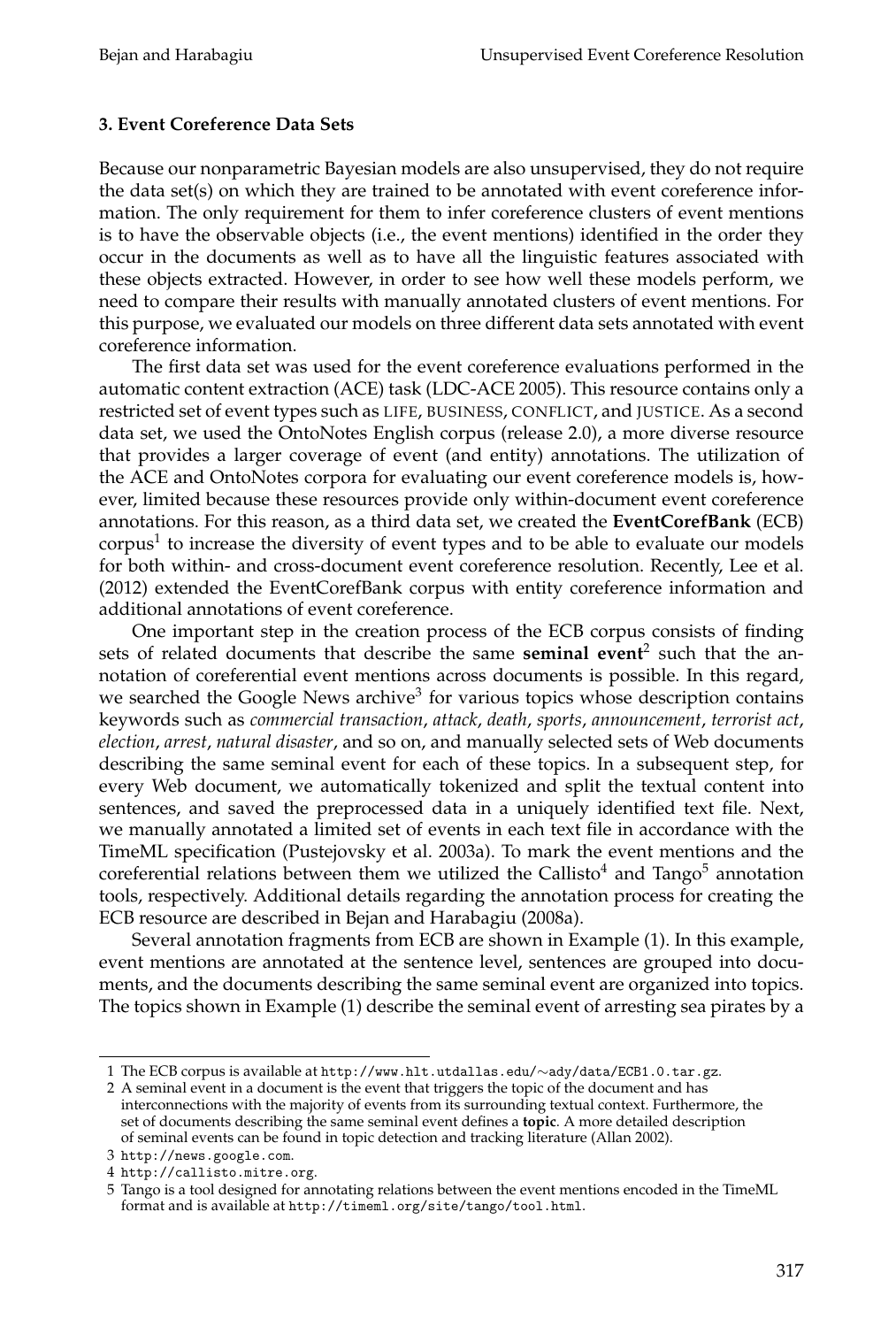### **3. Event Coreference Data Sets**

Because our nonparametric Bayesian models are also unsupervised, they do not require the data set(s) on which they are trained to be annotated with event coreference information. The only requirement for them to infer coreference clusters of event mentions is to have the observable objects (i.e., the event mentions) identified in the order they occur in the documents as well as to have all the linguistic features associated with these objects extracted. However, in order to see how well these models perform, we need to compare their results with manually annotated clusters of event mentions. For this purpose, we evaluated our models on three different data sets annotated with event coreference information.

The first data set was used for the event coreference evaluations performed in the automatic content extraction (ACE) task (LDC-ACE 2005). This resource contains only a restricted set of event types such as LIFE, BUSINESS, CONFLICT, and JUSTICE. As a second data set, we used the OntoNotes English corpus (release 2.0), a more diverse resource that provides a larger coverage of event (and entity) annotations. The utilization of the ACE and OntoNotes corpora for evaluating our event coreference models is, however, limited because these resources provide only within-document event coreference annotations. For this reason, as a third data set, we created the **EventCorefBank** (ECB) corpus<sup>1</sup> to increase the diversity of event types and to be able to evaluate our models for both within- and cross-document event coreference resolution. Recently, Lee et al. (2012) extended the EventCorefBank corpus with entity coreference information and additional annotations of event coreference.

One important step in the creation process of the ECB corpus consists of finding sets of related documents that describe the same **seminal event**<sup>2</sup> such that the annotation of coreferential event mentions across documents is possible. In this regard, we searched the Google News archive<sup>3</sup> for various topics whose description contains keywords such as *commercial transaction*, *attack*, *death*, *sports*, *announcement*, *terrorist act*, *election*, *arrest*, *natural disaster*, and so on, and manually selected sets of Web documents describing the same seminal event for each of these topics. In a subsequent step, for every Web document, we automatically tokenized and split the textual content into sentences, and saved the preprocessed data in a uniquely identified text file. Next, we manually annotated a limited set of events in each text file in accordance with the TimeML specification (Pustejovsky et al. 2003a). To mark the event mentions and the coreferential relations between them we utilized the Callisto<sup>4</sup> and Tango<sup>5</sup> annotation tools, respectively. Additional details regarding the annotation process for creating the ECB resource are described in Bejan and Harabagiu (2008a).

Several annotation fragments from ECB are shown in Example (1). In this example, event mentions are annotated at the sentence level, sentences are grouped into documents, and the documents describing the same seminal event are organized into topics. The topics shown in Example (1) describe the seminal event of arresting sea pirates by a

<sup>1</sup> The ECB corpus is available at http://www.hlt.utdallas.edu/∼ady/data/ECB1.0.tar.gz.

<sup>2</sup> A seminal event in a document is the event that triggers the topic of the document and has interconnections with the majority of events from its surrounding textual context. Furthermore, the set of documents describing the same seminal event defines a **topic**. A more detailed description of seminal events can be found in topic detection and tracking literature (Allan 2002).

<sup>3</sup> http://news.google.com.

<sup>4</sup> http://callisto.mitre.org.

<sup>5</sup> Tango is a tool designed for annotating relations between the event mentions encoded in the TimeML format and is available at http://timeml.org/site/tango/tool.html.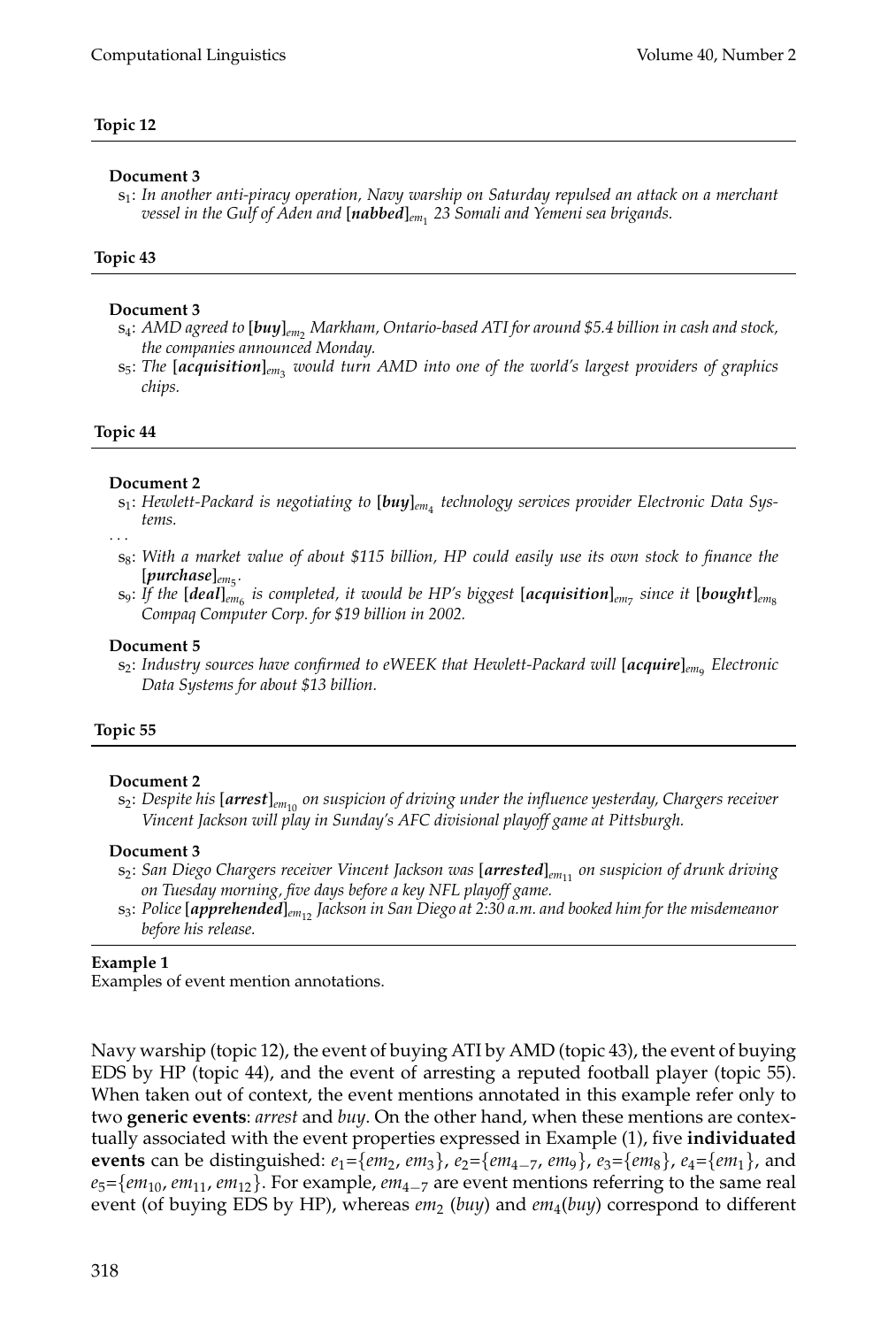### **Topic 12**

#### **Document 3**

s1 : *In another anti-piracy operation, Navy warship on Saturday repulsed an attack on a merchant vessel in the Gulf of Aden and* [*nabbed*]*em*<sup>1</sup> *23 Somali and Yemeni sea brigands.*

### **Topic 43**

#### **Document 3**

- s4 : *AMD agreed to* [*buy*]*em*<sup>2</sup> *Markham, Ontario-based ATI for around \$5.4 billion in cash and stock, the companies announced Monday.*
- s5 : *The* [*acquisition*]*em*<sup>3</sup> *would turn AMD into one of the world's largest providers of graphics chips.*

#### **Topic 44**

#### **Document 2**

s1 : *Hewlett-Packard is negotiating to* [*buy*]*em*<sup>4</sup> *technology services provider Electronic Data Systems.*

· · ·

- $\rm s_8$ : With a market value of about \$115 billion, HP could easily use its own stock to finance the  $[p$ *urchase* $]_{em_5}$ .
- $s_9$ : If the  $[\textit{deal}]_{em_6}$  is completed, it would be HP's biggest  $[\textit{acquisition}]_{em_7}$  since it  $[\textit{bought}]_{em_8}$ *Compaq Computer Corp. for \$19 billion in 2002.*

#### **Document 5**

 $\mathbf{s}_{2}$ : Industry sources have confirmed to eWEEK that Hewlett-Packard will [**acquire**]<sub>em9</sub> Electronic *Data Systems for about \$13 billion.*

### **Topic 55**

#### **Document 2**

s2 : *Despite his* [*arrest*]*em*<sup>10</sup> *on suspicion of driving under the influence yesterday, Chargers receiver Vincent Jackson will play in Sunday's AFC divisional playoff game at Pittsburgh.*

#### **Document 3**

- $\mathbf{s}_2$ : San Diego Chargers receiver Vincent Jackson was [**arrested**]<sub>em $_{11}$  on suspicion of drunk driving</sub> *on Tuesday morning, five days before a key NFL playoff game.*
- s3 : *Police* [*apprehended*]*em*<sup>12</sup> *Jackson in San Diego at 2:30 a.m. and booked him for the misdemeanor before his release.*

#### **Example 1**

Examples of event mention annotations.

Navy warship (topic 12), the event of buying ATI by AMD (topic 43), the event of buying EDS by HP (topic 44), and the event of arresting a reputed football player (topic 55). When taken out of context, the event mentions annotated in this example refer only to two **generic events**: *arrest* and *buy*. On the other hand, when these mentions are contextually associated with the event properties expressed in Example (1), five **individuated events** can be distinguished:  $e_1 = \{em_2, em_3\}$ ,  $e_2 = \{em_4\_7, em_9\}$ ,  $e_3 = \{em_8\}$ ,  $e_4 = \{em_1\}$ , and *e*<sub>5</sub>={*em*<sub>10</sub>, *em*<sub>11</sub>, *em*<sub>11</sub>}. For example, *em*<sub>4−7</sub> are event mentions referring to the same real event (of buying EDS by HP), whereas  $em_2$  (buy) and  $em_4(buy)$  correspond to different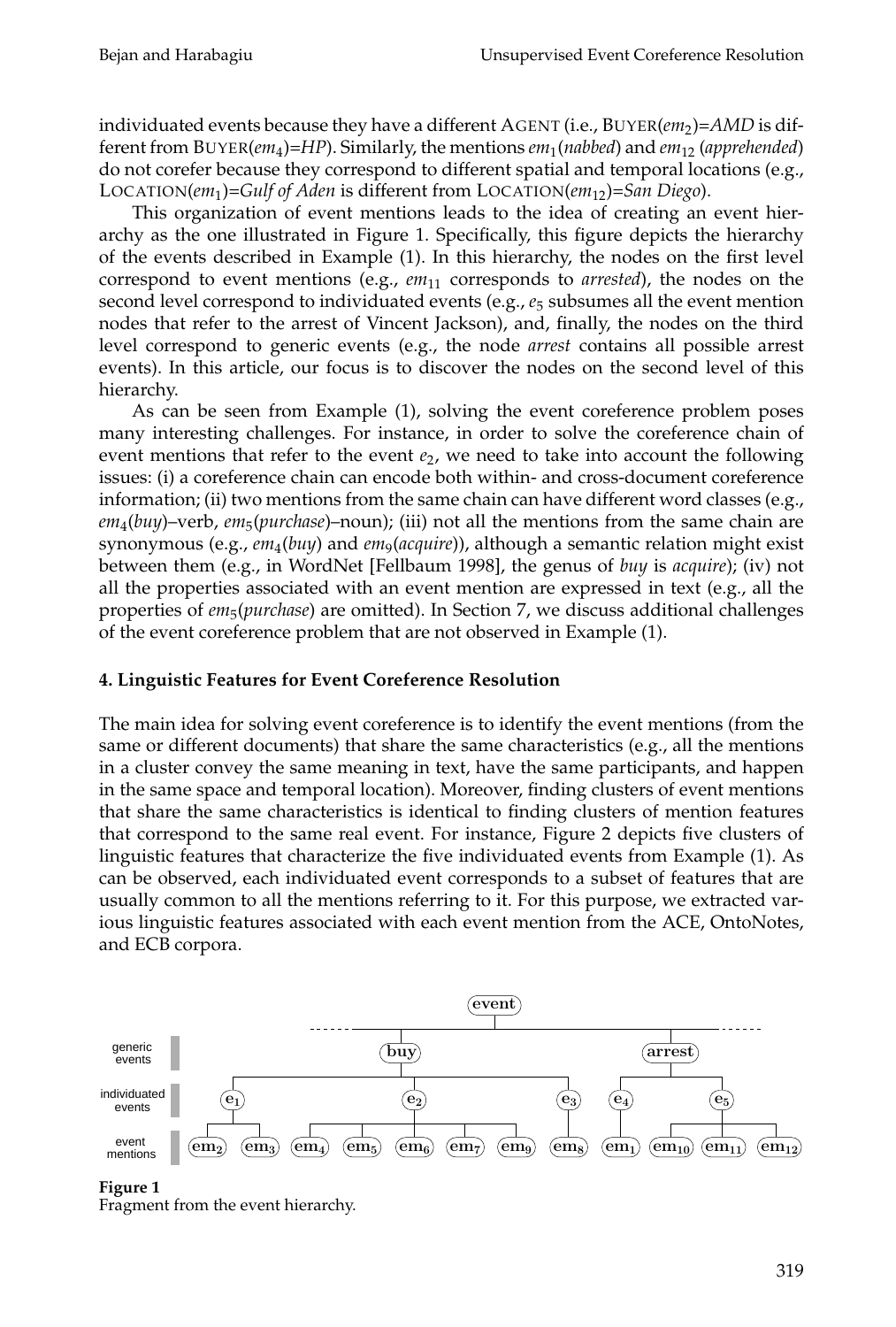individuated events because they have a different AGENT (i.e., BUYER(*em*<sub>2</sub>)=AMD is different from BUYER(*em*<sup>4</sup> )=*HP*). Similarly, the mentions *em*<sup>1</sup> (*nabbed*) and *em*<sup>12</sup> (*apprehended*) do not corefer because they correspond to different spatial and temporal locations (e.g., LOCATION(*em*<sup>1</sup> )=*Gulf of Aden* is different from LOCATION(*em*12)=*San Diego*).

This organization of event mentions leads to the idea of creating an event hierarchy as the one illustrated in Figure 1. Specifically, this figure depicts the hierarchy of the events described in Example (1). In this hierarchy, the nodes on the first level correspond to event mentions (e.g., *em*<sup>11</sup> corresponds to *arrested*), the nodes on the second level correspond to individuated events (e.g., *e*<sup>5</sup> subsumes all the event mention nodes that refer to the arrest of Vincent Jackson), and, finally, the nodes on the third level correspond to generic events (e.g., the node *arrest* contains all possible arrest events). In this article, our focus is to discover the nodes on the second level of this hierarchy.

As can be seen from Example (1), solving the event coreference problem poses many interesting challenges. For instance, in order to solve the coreference chain of event mentions that refer to the event  $e_2$ , we need to take into account the following issues: (i) a coreference chain can encode both within- and cross-document coreference information; (ii) two mentions from the same chain can have different word classes (e.g., *em*<sup>4</sup> (*buy*)–verb, *em*<sup>5</sup> (*purchase*)–noun); (iii) not all the mentions from the same chain are synonymous (e.g., *em*<sup>4</sup> (*buy*) and *em*<sup>9</sup> (*acquire*)), although a semantic relation might exist between them (e.g., in WordNet [Fellbaum 1998], the genus of *buy* is *acquire*); (iv) not all the properties associated with an event mention are expressed in text (e.g., all the properties of *em*<sup>5</sup> (*purchase*) are omitted). In Section 7, we discuss additional challenges of the event coreference problem that are not observed in Example (1).

### **4. Linguistic Features for Event Coreference Resolution**

The main idea for solving event coreference is to identify the event mentions (from the same or different documents) that share the same characteristics (e.g., all the mentions in a cluster convey the same meaning in text, have the same participants, and happen in the same space and temporal location). Moreover, finding clusters of event mentions that share the same characteristics is identical to finding clusters of mention features that correspond to the same real event. For instance, Figure 2 depicts five clusters of linguistic features that characterize the five individuated events from Example (1). As can be observed, each individuated event corresponds to a subset of features that are usually common to all the mentions referring to it. For this purpose, we extracted various linguistic features associated with each event mention from the ACE, OntoNotes, and ECB corpora.



**Figure 1**

Fragment from the event hierarchy.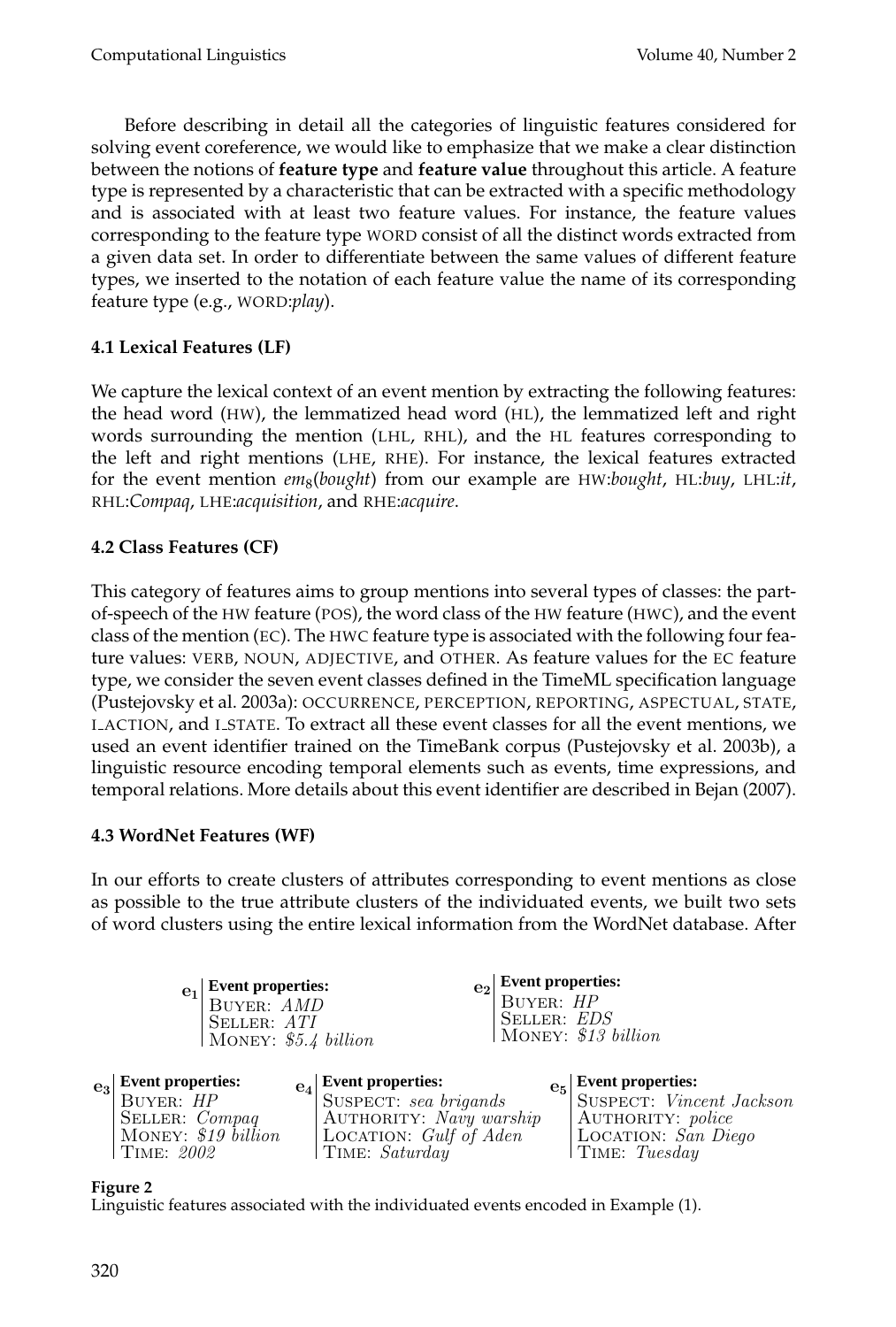Before describing in detail all the categories of linguistic features considered for solving event coreference, we would like to emphasize that we make a clear distinction between the notions of **feature type** and **feature value** throughout this article. A feature type is represented by a characteristic that can be extracted with a specific methodology and is associated with at least two feature values. For instance, the feature values corresponding to the feature type WORD consist of all the distinct words extracted from a given data set. In order to differentiate between the same values of different feature types, we inserted to the notation of each feature value the name of its corresponding feature type (e.g., WORD:*play*).

# **4.1 Lexical Features (LF)**

We capture the lexical context of an event mention by extracting the following features: the head word (HW), the lemmatized head word (HL), the lemmatized left and right words surrounding the mention (LHL, RHL), and the HL features corresponding to the left and right mentions (LHE, RHE). For instance, the lexical features extracted for the event mention *em*<sup>8</sup> (*bought*) from our example are HW:*bought*, HL:*buy*, LHL:*it*, RHL:*Compaq*, LHE:*acquisition*, and RHE:*acquire*.

# **4.2 Class Features (CF)**

This category of features aims to group mentions into several types of classes: the partof-speech of the HW feature (POS), the word class of the HW feature (HWC), and the event class of the mention (EC). The HWC feature type is associated with the following four feature values: VERB, NOUN, ADJECTIVE, and OTHER. As feature values for the EC feature type, we consider the seven event classes defined in the TimeML specification language (Pustejovsky et al. 2003a): OCCURRENCE, PERCEPTION, REPORTING, ASPECTUAL, STATE, I ACTION, and I STATE. To extract all these event classes for all the event mentions, we used an event identifier trained on the TimeBank corpus (Pustejovsky et al. 2003b), a linguistic resource encoding temporal elements such as events, time expressions, and temporal relations. More details about this event identifier are described in Bejan (2007).

### **4.3 WordNet Features (WF)**

In our efforts to create clusters of attributes corresponding to event mentions as close as possible to the true attribute clusters of the individuated events, we built two sets of word clusters using the entire lexical information from the WordNet database. After

| <b>Event properties:</b><br>$\overline{e}_1$<br><b>BUYER: AMD</b><br>SELLER: ATI | MONEY: $$5.4\ billion$                                   | $\left  \frac{e_2}{e}\right $ Event properties:<br><b>BUYER: HP</b><br>SELLER: <i>EDS</i> | MONEY: \$13 billion                               |
|----------------------------------------------------------------------------------|----------------------------------------------------------|-------------------------------------------------------------------------------------------|---------------------------------------------------|
| vent properties:                                                                 | $\left\vert \mathbf{e}_{4}\right\vert$ Event properties: |                                                                                           | $\left  \mathrm{e}_{5} \right $ Event properties: |

**Event properties: Event properties: Event properties:** Buyer: HP Seller: Compaq MONEY: \$19 billion Time: 2002  $e_3$ 

Suspect: sea brigands AUTHORITY: Navy warship LOCATION: Gulf of Aden Time: Saturday

SUSPECT: Vincent Jackson AUTHORITY: police LOCATION: San Diego Time: Tuesday

**Figure 2**

Linguistic features associated with the individuated events encoded in Example (1).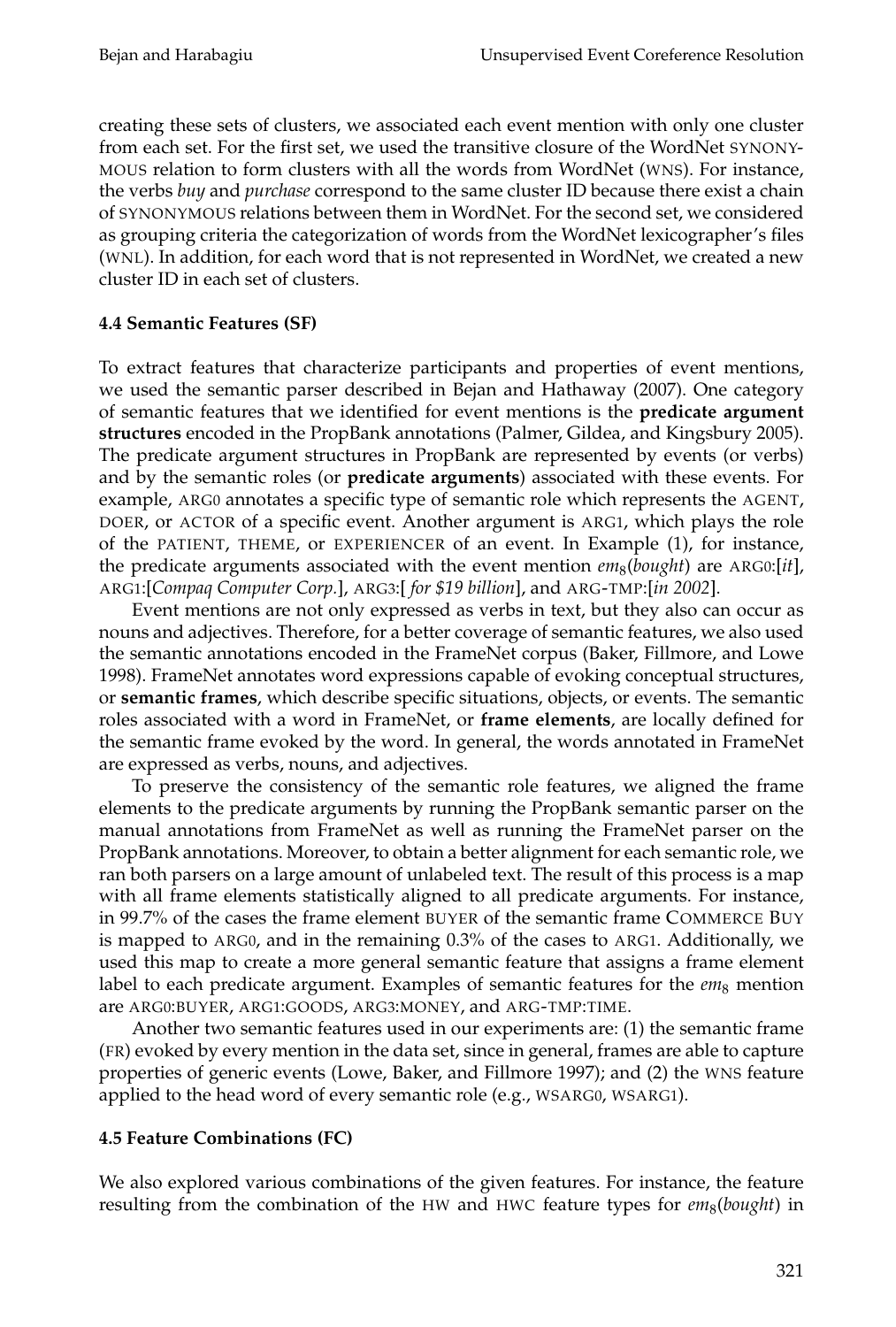creating these sets of clusters, we associated each event mention with only one cluster from each set. For the first set, we used the transitive closure of the WordNet SYNONY-MOUS relation to form clusters with all the words from WordNet (WNS). For instance, the verbs *buy* and *purchase* correspond to the same cluster ID because there exist a chain of SYNONYMOUS relations between them in WordNet. For the second set, we considered as grouping criteria the categorization of words from the WordNet lexicographer's files (WNL). In addition, for each word that is not represented in WordNet, we created a new cluster ID in each set of clusters.

### **4.4 Semantic Features (SF)**

To extract features that characterize participants and properties of event mentions, we used the semantic parser described in Bejan and Hathaway (2007). One category of semantic features that we identified for event mentions is the **predicate argument structures** encoded in the PropBank annotations (Palmer, Gildea, and Kingsbury 2005). The predicate argument structures in PropBank are represented by events (or verbs) and by the semantic roles (or **predicate arguments**) associated with these events. For example, ARG0 annotates a specific type of semantic role which represents the AGENT, DOER, or ACTOR of a specific event. Another argument is ARG1, which plays the role of the PATIENT, THEME, or EXPERIENCER of an event. In Example (1), for instance, the predicate arguments associated with the event mention  $\mathit{em}_8(\mathit{bought})$  are ARG0:[*it*], ARG1:[*Compaq Computer Corp.*], ARG3:[ *for \$19 billion*], and ARG-TMP:[*in 2002*].

Event mentions are not only expressed as verbs in text, but they also can occur as nouns and adjectives. Therefore, for a better coverage of semantic features, we also used the semantic annotations encoded in the FrameNet corpus (Baker, Fillmore, and Lowe 1998). FrameNet annotates word expressions capable of evoking conceptual structures, or **semantic frames**, which describe specific situations, objects, or events. The semantic roles associated with a word in FrameNet, or **frame elements**, are locally defined for the semantic frame evoked by the word. In general, the words annotated in FrameNet are expressed as verbs, nouns, and adjectives.

To preserve the consistency of the semantic role features, we aligned the frame elements to the predicate arguments by running the PropBank semantic parser on the manual annotations from FrameNet as well as running the FrameNet parser on the PropBank annotations. Moreover, to obtain a better alignment for each semantic role, we ran both parsers on a large amount of unlabeled text. The result of this process is a map with all frame elements statistically aligned to all predicate arguments. For instance, in 99.7% of the cases the frame element BUYER of the semantic frame COMMERCE BUY is mapped to ARG0, and in the remaining 0.3% of the cases to ARG1. Additionally, we used this map to create a more general semantic feature that assigns a frame element label to each predicate argument. Examples of semantic features for the *em*<sub>8</sub> mention are ARG0:BUYER, ARG1:GOODS, ARG3:MONEY, and ARG-TMP:TIME.

Another two semantic features used in our experiments are: (1) the semantic frame (FR) evoked by every mention in the data set, since in general, frames are able to capture properties of generic events (Lowe, Baker, and Fillmore 1997); and (2) the WNS feature applied to the head word of every semantic role (e.g., WSARG0, WSARG1).

### **4.5 Feature Combinations (FC)**

We also explored various combinations of the given features. For instance, the feature resulting from the combination of the HW and HWC feature types for  $em_8(bought)$  in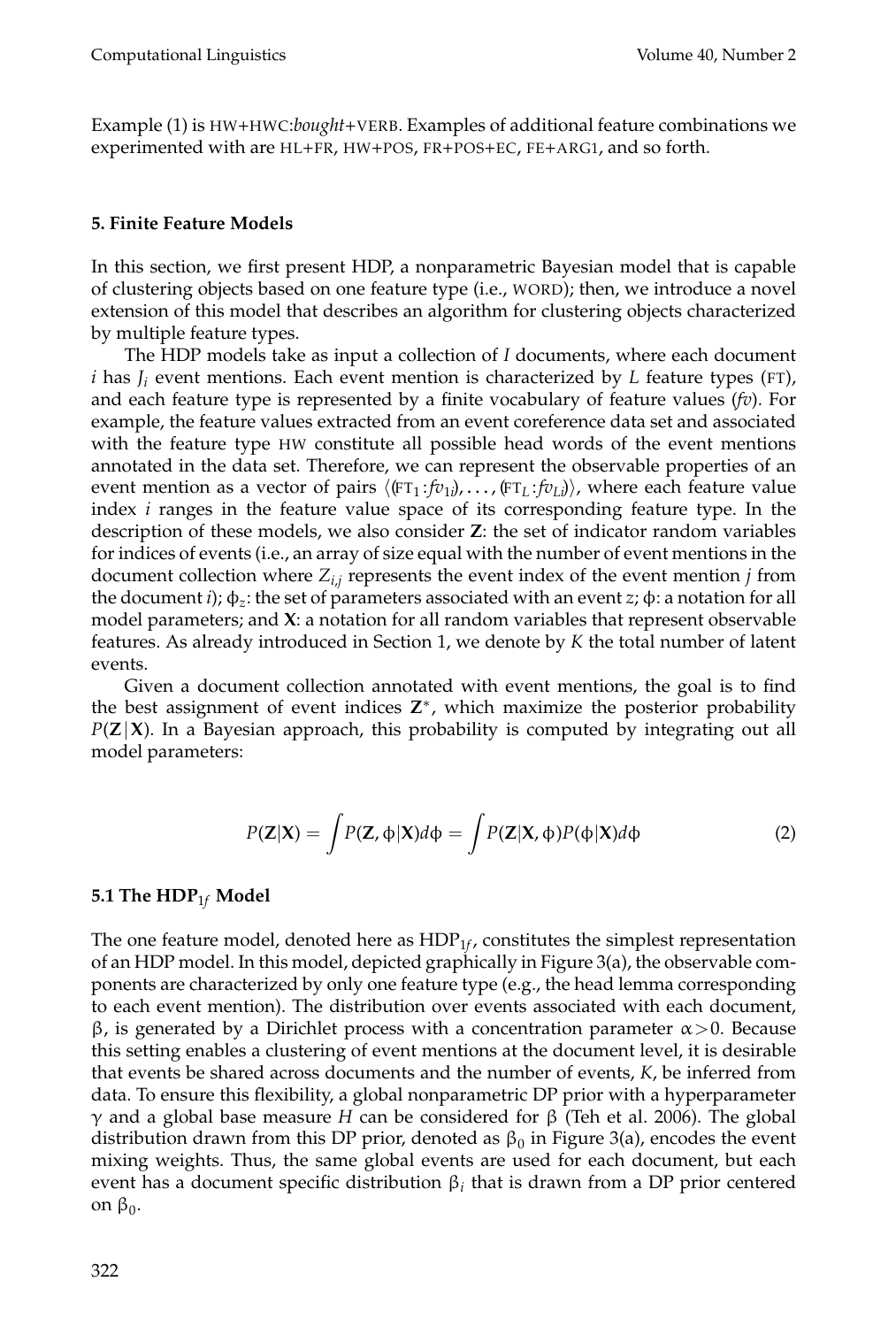Example (1) is HW+HWC:*bought*+VERB. Examples of additional feature combinations we experimented with are HL+FR, HW+POS, FR+POS+EC, FE+ARG1, and so forth.

### **5. Finite Feature Models**

In this section, we first present HDP, a nonparametric Bayesian model that is capable of clustering objects based on one feature type (i.e., WORD); then, we introduce a novel extension of this model that describes an algorithm for clustering objects characterized by multiple feature types.

The HDP models take as input a collection of *I* documents, where each document *i* has *J<sup>i</sup>* event mentions. Each event mention is characterized by *L* feature types (FT), and each feature type is represented by a finite vocabulary of feature values (*fv*). For example, the feature values extracted from an event coreference data set and associated with the feature type HW constitute all possible head words of the event mentions annotated in the data set. Therefore, we can represent the observable properties of an event mention as a vector of pairs  $\langle$  (FT<sub>1</sub> : *fv*<sub>1</sub> $)$ ,  $\dots$  , (FT<sub>*L*</sub> : *fv<sub>Li</sub>*)), where each feature value index *i* ranges in the feature value space of its corresponding feature type. In the description of these models, we also consider **Z**: the set of indicator random variables for indices of events (i.e., an array of size equal with the number of event mentions in the document collection where *Zi*,*<sup>j</sup>* represents the event index of the event mention *j* from the document *i*); φ*<sup>z</sup>* : the set of parameters associated with an event *z*; φ: a notation for all model parameters; and **X**: a notation for all random variables that represent observable features. As already introduced in Section 1, we denote by *K* the total number of latent events.

Given a document collection annotated with event mentions, the goal is to find the best assignment of event indices **Z** ∗ , which maximize the posterior probability *P*(**Z**|**X**). In a Bayesian approach, this probability is computed by integrating out all model parameters:

$$
P(\mathbf{Z}|\mathbf{X}) = \int P(\mathbf{Z}, \phi|\mathbf{X}) d\phi = \int P(\mathbf{Z}|\mathbf{X}, \phi) P(\phi|\mathbf{X}) d\phi
$$
 (2)

### **5.1 The HDP**1*<sup>f</sup>* **Model**

The one feature model, denoted here as  ${\rm HDP}_{1\!f}$ , constitutes the simplest representation of an HDP model. In this model, depicted graphically in Figure 3(a), the observable components are characterized by only one feature type (e.g., the head lemma corresponding to each event mention). The distribution over events associated with each document, β, is generated by a Dirichlet process with a concentration parameter  $\alpha > 0$ . Because this setting enables a clustering of event mentions at the document level, it is desirable that events be shared across documents and the number of events, *K*, be inferred from data. To ensure this flexibility, a global nonparametric DP prior with a hyperparameter γ and a global base measure *H* can be considered for β (Teh et al. 2006). The global distribution drawn from this DP prior, denoted as  $\beta_0$  in Figure 3(a), encodes the event mixing weights. Thus, the same global events are used for each document, but each event has a document specific distribution  $\beta_i$  that is drawn from a DP prior centered on  $\beta_0$ .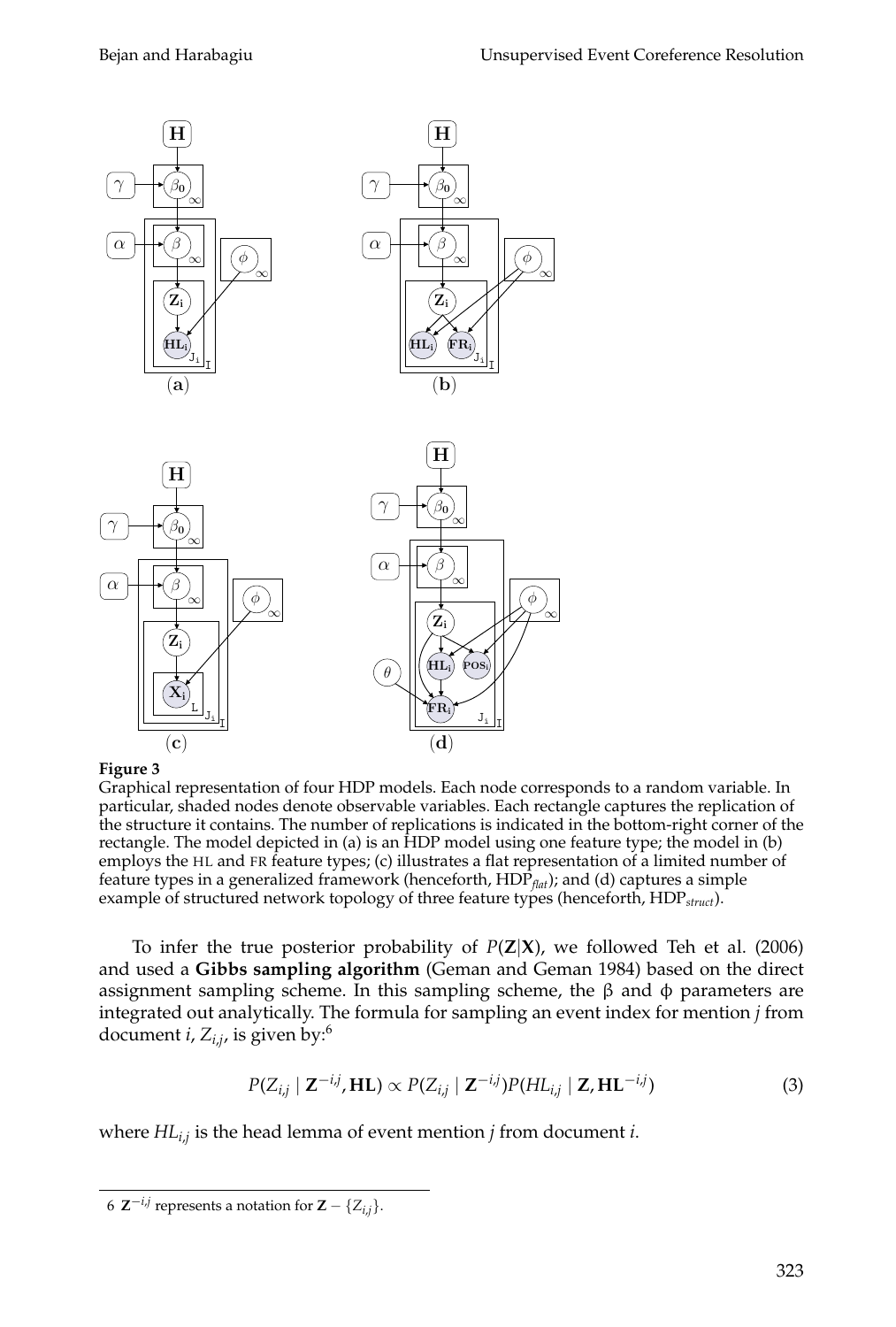

### **Figure 3**

Graphical representation of four HDP models. Each node corresponds to a random variable. In particular, shaded nodes denote observable variables. Each rectangle captures the replication of the structure it contains. The number of replications is indicated in the bottom-right corner of the rectangle. The model depicted in (a) is an HDP model using one feature type; the model in (b) employs the HL and FR feature types; (c) illustrates a flat representation of a limited number of feature types in a generalized framework (henceforth, HDP<sub>*flat*); and (d) captures a simple</sub> example of structured network topology of three feature types (henceforth, HDP*struct*).

To infer the true posterior probability of *P*(**Z**|**X**), we followed Teh et al. (2006) and used a **Gibbs sampling algorithm** (Geman and Geman 1984) based on the direct assignment sampling scheme. In this sampling scheme, the  $\beta$  and  $\phi$  parameters are integrated out analytically. The formula for sampling an event index for mention *j* from document *i*, *Zi*,*<sup>j</sup>* , is given by:<sup>6</sup>

$$
P(Z_{i,j} \mid \mathbf{Z}^{-i,j}, \mathbf{HL}) \propto P(Z_{i,j} \mid \mathbf{Z}^{-i,j}) P(\mathbf{HL}_{i,j} \mid \mathbf{Z}, \mathbf{HL}^{-i,j})
$$
\n(3)

where *HLi*,*<sup>j</sup>* is the head lemma of event mention *j* from document *i*.

 $6 \mathbf{Z}^{-i,j}$  represents a notation for  $\mathbf{Z} - \{Z_{i,j}\}.$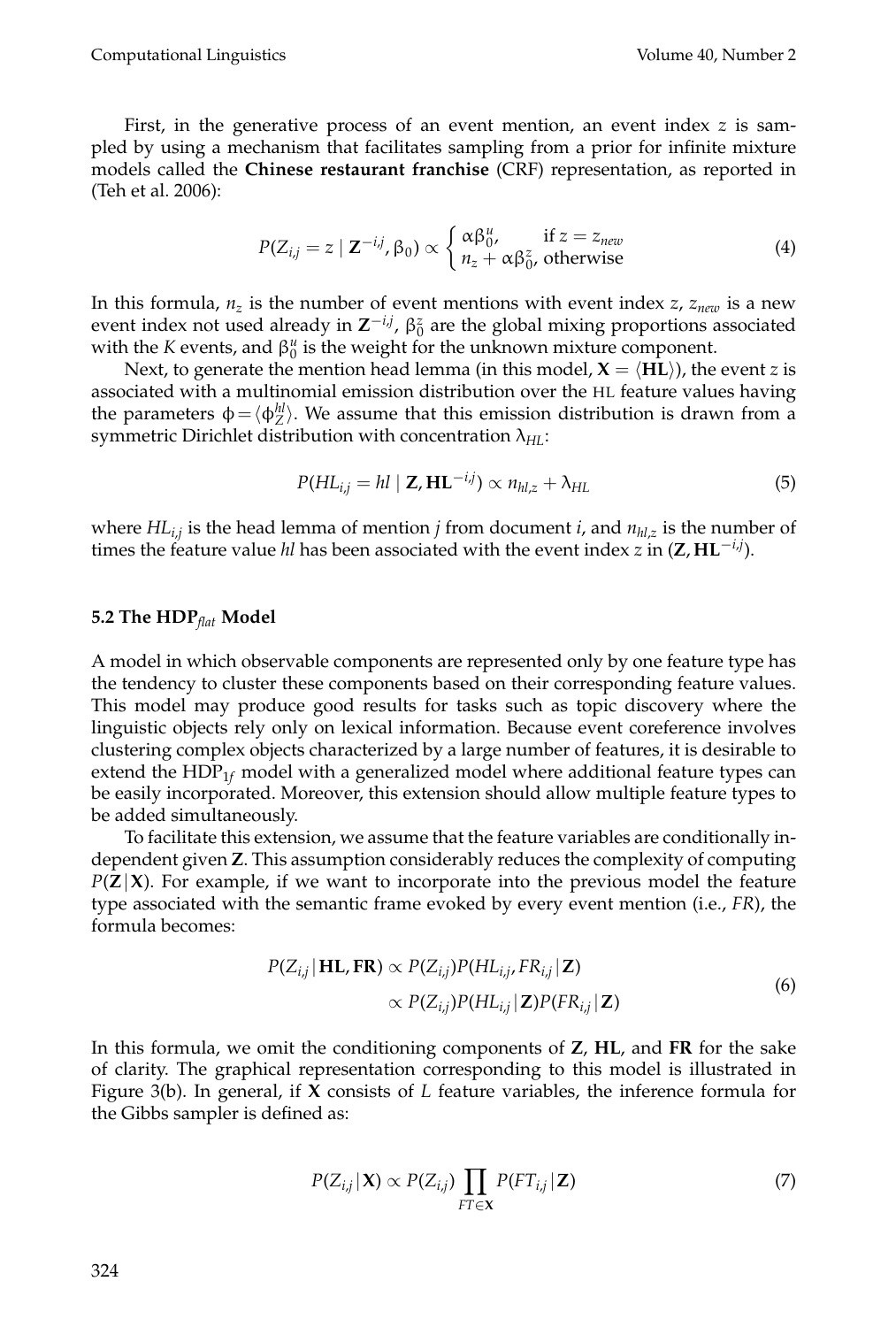First, in the generative process of an event mention, an event index *z* is sampled by using a mechanism that facilitates sampling from a prior for infinite mixture models called the **Chinese restaurant franchise** (CRF) representation, as reported in (Teh et al. 2006):

$$
P(Z_{i,j} = z \mid \mathbf{Z}^{-i,j}, \beta_0) \propto \begin{cases} \alpha \beta_0^u, & \text{if } z = z_{new} \\ n_z + \alpha \beta_0^z, & \text{otherwise} \end{cases}
$$
(4)

In this formula,  $n_z$  is the number of event mentions with event index *z*,  $z_{new}$  is a new event index not used already in  $Z^{-i,j}$ ,  $\beta_0^z$  are the global mixing proportions associated with the *K* events, and  $\beta_0^u$  is the weight for the unknown mixture component.

Next, to generate the mention head lemma (in this model,  $X = \langle HL \rangle$ ), the event *z* is associated with a multinomial emission distribution over the HL feature values having the parameters  $\phi = \langle \phi_E^{hl} \rangle$ . We assume that this emission distribution is drawn from a symmetric Dirichlet distribution with concentration λ*HL*:

$$
P(HL_{i,j} = hl \mid \mathbf{Z}, \mathbf{HL}^{-i,j}) \propto n_{hl,z} + \lambda_{HL}
$$
\n(5)

where *HLi*,*<sup>j</sup>* is the head lemma of mention *j* from document *i*, and *nhl*,*<sup>z</sup>* is the number of times the feature value *hl* has been associated with the event index *z* in (**Z**, **HL**−*i*,*<sup>j</sup>* ).

#### **5.2 The HDP***flat* **Model**

A model in which observable components are represented only by one feature type has the tendency to cluster these components based on their corresponding feature values. This model may produce good results for tasks such as topic discovery where the linguistic objects rely only on lexical information. Because event coreference involves clustering complex objects characterized by a large number of features, it is desirable to extend the  $HDP_{1f}$  model with a generalized model where additional feature types can be easily incorporated. Moreover, this extension should allow multiple feature types to be added simultaneously.

To facilitate this extension, we assume that the feature variables are conditionally independent given **Z**. This assumption considerably reduces the complexity of computing  $P(Z|X)$ . For example, if we want to incorporate into the previous model the feature type associated with the semantic frame evoked by every event mention (i.e., *FR*), the formula becomes:

$$
P(Z_{i,j} | \mathbf{HL}, \mathbf{FR}) \propto P(Z_{i,j}) P(\mathbf{HL}_{i,j}, \mathbf{FR}_{i,j} | \mathbf{Z})
$$
  
 
$$
\propto P(Z_{i,j}) P(\mathbf{HL}_{i,j} | \mathbf{Z}) P(\mathbf{FR}_{i,j} | \mathbf{Z})
$$
 (6)

In this formula, we omit the conditioning components of **Z**, **HL**, and **FR** for the sake of clarity. The graphical representation corresponding to this model is illustrated in Figure 3(b). In general, if **X** consists of *L* feature variables, the inference formula for the Gibbs sampler is defined as:

$$
P(Z_{i,j}|\mathbf{X}) \propto P(Z_{i,j}) \prod_{FT \in \mathbf{X}} P(FT_{i,j}|\mathbf{Z})
$$
\n(7)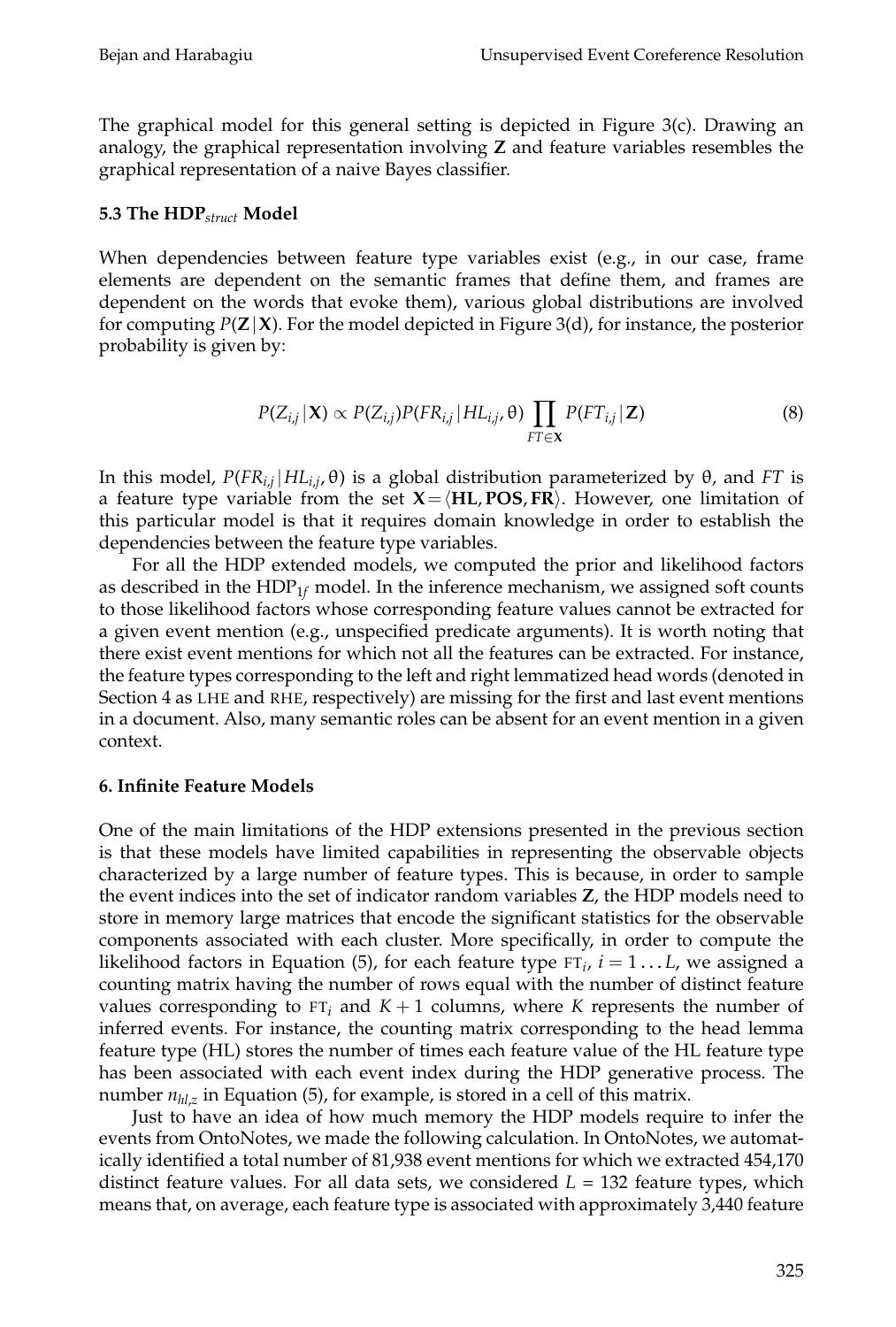The graphical model for this general setting is depicted in Figure 3(c). Drawing an analogy, the graphical representation involving **Z** and feature variables resembles the graphical representation of a naive Bayes classifier.

### **5.3 The HDP***struct* **Model**

When dependencies between feature type variables exist (e.g., in our case, frame elements are dependent on the semantic frames that define them, and frames are dependent on the words that evoke them), various global distributions are involved for computing  $P(Z|X)$ . For the model depicted in Figure 3(d), for instance, the posterior probability is given by:

$$
P(Z_{i,j}|\mathbf{X}) \propto P(Z_{i,j})P(FR_{i,j}|\,HL_{i,j},\theta)\prod_{FT\in\mathbf{X}}P(FT_{i,j}|\,\mathbf{Z})\tag{8}
$$

In this model, *P*(*FRi*,*<sup>j</sup>* |*HLi*,*<sup>j</sup>* , θ) is a global distribution parameterized by θ, and *FT* is a feature type variable from the set  $X = \langle HL, POS, FR \rangle$ . However, one limitation of this particular model is that it requires domain knowledge in order to establish the dependencies between the feature type variables.

For all the HDP extended models, we computed the prior and likelihood factors as described in the HDP1*<sup>f</sup>* model. In the inference mechanism, we assigned soft counts to those likelihood factors whose corresponding feature values cannot be extracted for a given event mention (e.g., unspecified predicate arguments). It is worth noting that there exist event mentions for which not all the features can be extracted. For instance, the feature types corresponding to the left and right lemmatized head words (denoted in Section 4 as LHE and RHE, respectively) are missing for the first and last event mentions in a document. Also, many semantic roles can be absent for an event mention in a given context.

### **6. Infinite Feature Models**

One of the main limitations of the HDP extensions presented in the previous section is that these models have limited capabilities in representing the observable objects characterized by a large number of feature types. This is because, in order to sample the event indices into the set of indicator random variables **Z**, the HDP models need to store in memory large matrices that encode the significant statistics for the observable components associated with each cluster. More specifically, in order to compute the likelihood factors in Equation (5), for each feature type  $FT_i$ ,  $i = 1...L$ , we assigned a counting matrix having the number of rows equal with the number of distinct feature values corresponding to  $FT_i$  and  $K + 1$  columns, where *K* represents the number of inferred events. For instance, the counting matrix corresponding to the head lemma feature type (HL) stores the number of times each feature value of the HL feature type has been associated with each event index during the HDP generative process. The number *nhl*,*<sup>z</sup>* in Equation (5), for example, is stored in a cell of this matrix.

Just to have an idea of how much memory the HDP models require to infer the events from OntoNotes, we made the following calculation. In OntoNotes, we automatically identified a total number of 81,938 event mentions for which we extracted 454,170 distinct feature values. For all data sets, we considered  $L = 132$  feature types, which means that, on average, each feature type is associated with approximately 3,440 feature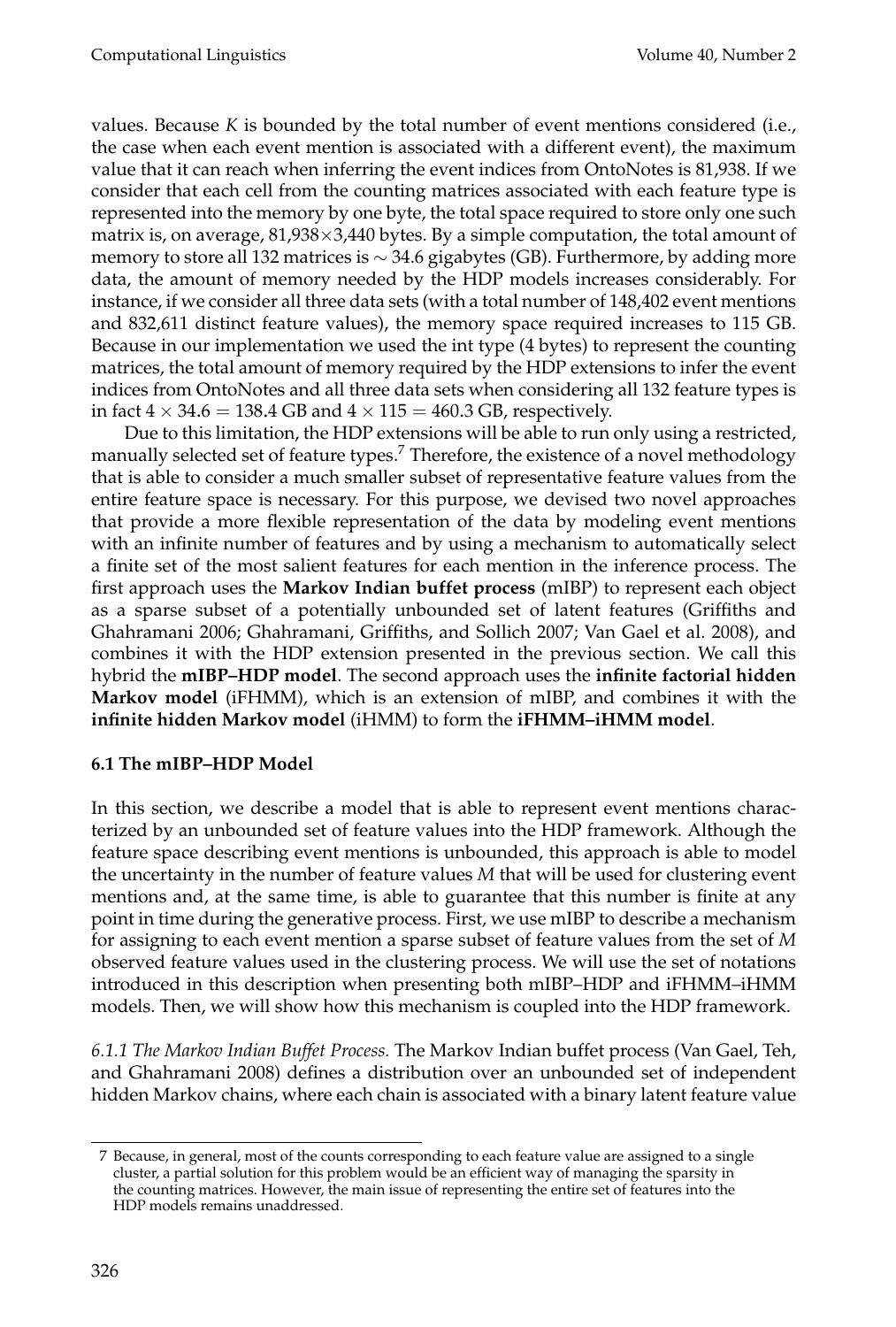values. Because *K* is bounded by the total number of event mentions considered (i.e., the case when each event mention is associated with a different event), the maximum value that it can reach when inferring the event indices from OntoNotes is 81,938. If we consider that each cell from the counting matrices associated with each feature type is represented into the memory by one byte, the total space required to store only one such matrix is, on average,  $81,938\times3,440$  bytes. By a simple computation, the total amount of memory to store all 132 matrices is ∼ 34.6 gigabytes (GB). Furthermore, by adding more data, the amount of memory needed by the HDP models increases considerably. For instance, if we consider all three data sets (with a total number of 148,402 event mentions and 832,611 distinct feature values), the memory space required increases to 115 GB. Because in our implementation we used the int type (4 bytes) to represent the counting matrices, the total amount of memory required by the HDP extensions to infer the event indices from OntoNotes and all three data sets when considering all 132 feature types is in fact  $4 \times 34.6 = 138.4$  GB and  $4 \times 115 = 460.3$  GB, respectively.

Due to this limitation, the HDP extensions will be able to run only using a restricted, manually selected set of feature types.<sup>7</sup> Therefore, the existence of a novel methodology that is able to consider a much smaller subset of representative feature values from the entire feature space is necessary. For this purpose, we devised two novel approaches that provide a more flexible representation of the data by modeling event mentions with an infinite number of features and by using a mechanism to automatically select a finite set of the most salient features for each mention in the inference process. The first approach uses the **Markov Indian buffet process** (mIBP) to represent each object as a sparse subset of a potentially unbounded set of latent features (Griffiths and Ghahramani 2006; Ghahramani, Griffiths, and Sollich 2007; Van Gael et al. 2008), and combines it with the HDP extension presented in the previous section. We call this hybrid the **mIBP–HDP model**. The second approach uses the **infinite factorial hidden Markov model** (iFHMM), which is an extension of mIBP, and combines it with the **infinite hidden Markov model** (iHMM) to form the **iFHMM–iHMM model**.

# **6.1 The mIBP–HDP Model**

In this section, we describe a model that is able to represent event mentions characterized by an unbounded set of feature values into the HDP framework. Although the feature space describing event mentions is unbounded, this approach is able to model the uncertainty in the number of feature values *M* that will be used for clustering event mentions and, at the same time, is able to guarantee that this number is finite at any point in time during the generative process. First, we use mIBP to describe a mechanism for assigning to each event mention a sparse subset of feature values from the set of *M* observed feature values used in the clustering process. We will use the set of notations introduced in this description when presenting both mIBP–HDP and iFHMM–iHMM models. Then, we will show how this mechanism is coupled into the HDP framework.

*6.1.1 The Markov Indian Buffet Process.* The Markov Indian buffet process (Van Gael, Teh, and Ghahramani 2008) defines a distribution over an unbounded set of independent hidden Markov chains, where each chain is associated with a binary latent feature value

<sup>7</sup> Because, in general, most of the counts corresponding to each feature value are assigned to a single cluster, a partial solution for this problem would be an efficient way of managing the sparsity in the counting matrices. However, the main issue of representing the entire set of features into the HDP models remains unaddressed.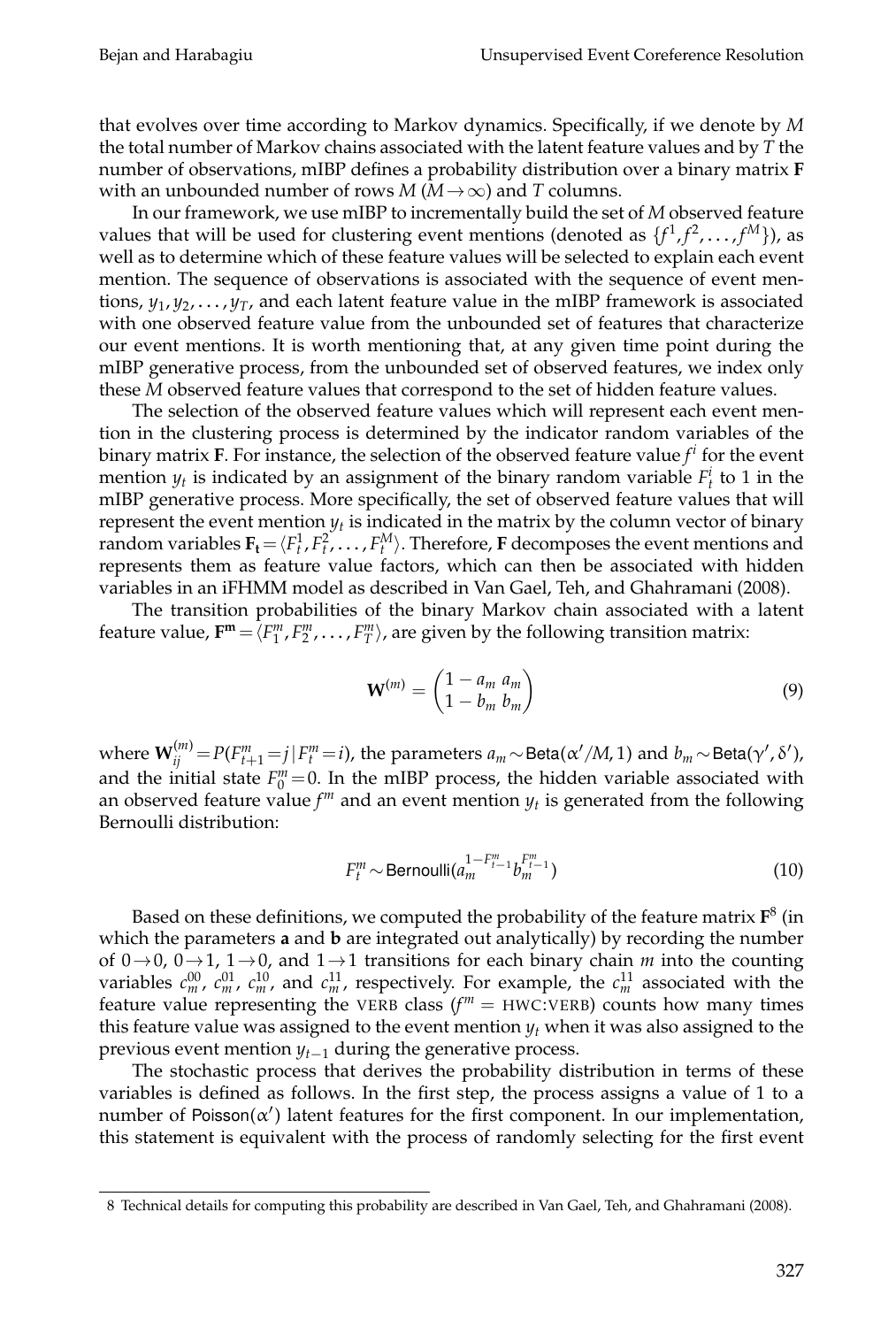that evolves over time according to Markov dynamics. Specifically, if we denote by *M* the total number of Markov chains associated with the latent feature values and by *T* the number of observations, mIBP defines a probability distribution over a binary matrix **F** with an unbounded number of rows  $M(M \rightarrow \infty)$  and *T* columns.

In our framework, we use mIBP to incrementally build the set of *M* observed feature values that will be used for clustering event mentions (denoted as  $\{f^1, f^2, \ldots, f^M\}$ ), as well as to determine which of these feature values will be selected to explain each event mention. The sequence of observations is associated with the sequence of event mentions, *y*<sup>1</sup> , *y*<sup>2</sup> , . . . , *yT*, and each latent feature value in the mIBP framework is associated with one observed feature value from the unbounded set of features that characterize our event mentions. It is worth mentioning that, at any given time point during the mIBP generative process, from the unbounded set of observed features, we index only these *M* observed feature values that correspond to the set of hidden feature values.

The selection of the observed feature values which will represent each event mention in the clustering process is determined by the indicator random variables of the binary matrix **F**. For instance, the selection of the observed feature value  $f^i$  for the event mention  $y_t$  is indicated by an assignment of the binary random variable  $F_t^i$  to 1 in the mIBP generative process. More specifically, the set of observed feature values that will represent the event mention  $y_t$  is indicated in the matrix by the column vector of binary random variables  $\mathbf{F}_t = \langle F_t^1, F_t^2, \dots, F_t^M \rangle$ . Therefore, **F** decomposes the event mentions and represents them as feature value factors, which can then be associated with hidden variables in an iFHMM model as described in Van Gael, Teh, and Ghahramani (2008).

The transition probabilities of the binary Markov chain associated with a latent feature value,  $\mathbf{F}^{\mathbf{m}} = \langle F_1^m, F_2^m, \dots, F_T^m \rangle$ , are given by the following transition matrix:

$$
\mathbf{W}^{(m)} = \begin{pmatrix} 1 - a_m \ a_m \\ 1 - b_m \ b_m \end{pmatrix} \tag{9}
$$

where  $\textbf{W}^{(m)}_{ij} \!=\! P(F^m_{t+1} \!=\! j \!\mid\! F^m_t \!=\! i)$ , the parameters  $a_m \!\sim\! \text{Beta}(\alpha'/M\!,1)$  and  $b_m \!\sim\! \text{Beta}(\gamma',\delta'),$ and the initial state  $F_0^m = 0$ . In the mIBP process, the hidden variable associated with an observed feature value  $f<sup>m</sup>$  and an event mention  $y<sub>t</sub>$  is generated from the following Bernoulli distribution:

$$
F_{t}^{m} \sim \text{Bernoulli}(a_{m}^{1-F_{t-1}^{m}} b_{m}^{F_{t-1}^{m}})
$$
\n(10)

Based on these definitions, we computed the probability of the feature matrix **F** 8 (in which the parameters **a** and **b** are integrated out analytically) by recording the number of 0→0, 0→1, 1→0, and 1→1 transitions for each binary chain *m* into the counting variables  $c_m^{00}$ ,  $c_m^{01}$ ,  $c_m^{10}$ , and  $c_m^{11}$ , respectively. For example, the  $c_m^{11}$  associated with the feature value representing the VERB class  $(f<sup>m</sup> = HWC:VERB)$  counts how many times this feature value was assigned to the event mention  $y_t$  when it was also assigned to the previous event mention *yt*−<sup>1</sup> during the generative process.

The stochastic process that derives the probability distribution in terms of these variables is defined as follows. In the first step, the process assigns a value of 1 to a number of Poisson( $\alpha'$ ) latent features for the first component. In our implementation, this statement is equivalent with the process of randomly selecting for the first event

<sup>8</sup> Technical details for computing this probability are described in Van Gael, Teh, and Ghahramani (2008).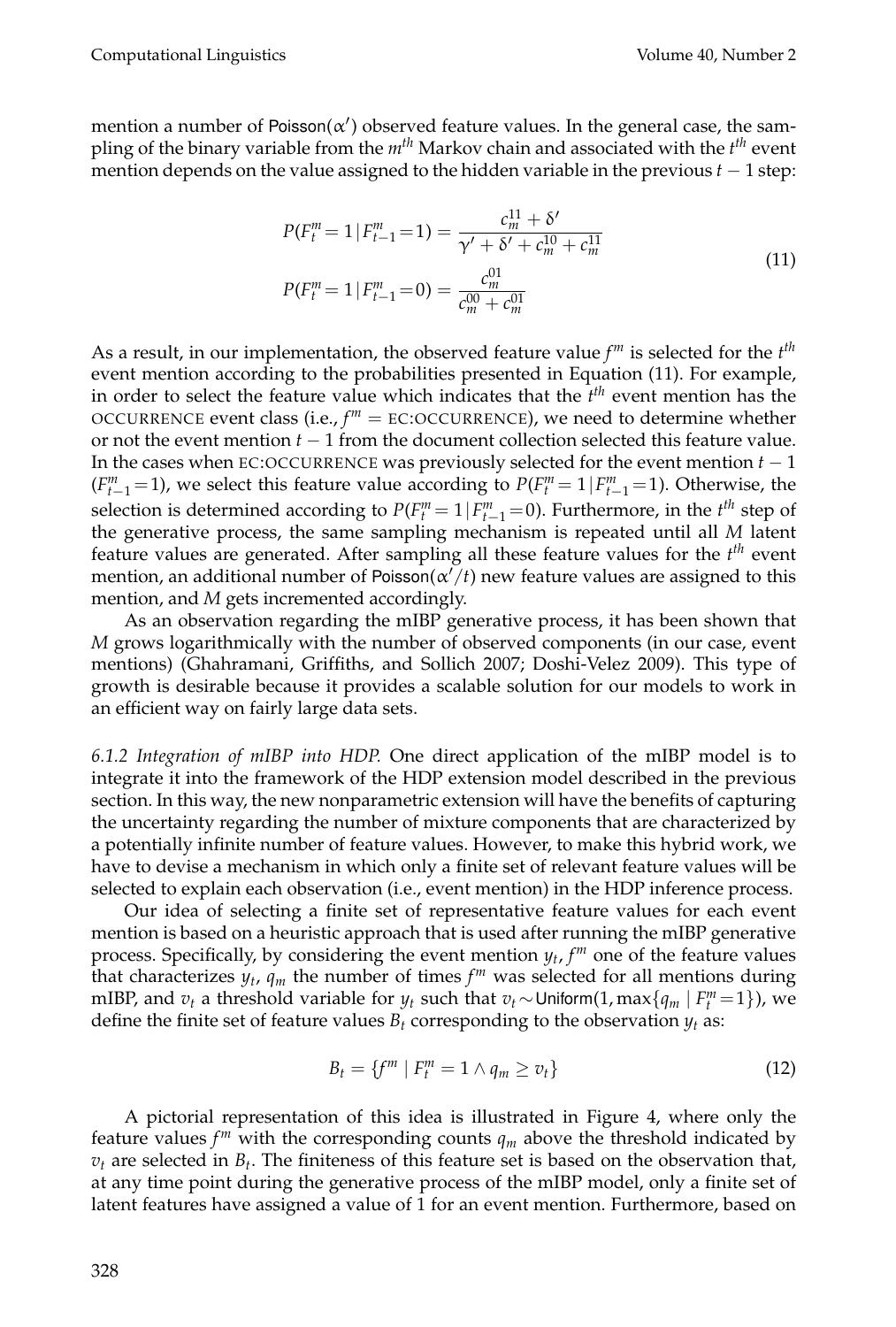mention a number of Poisson $(\alpha')$  observed feature values. In the general case, the sampling of the binary variable from the *mth* Markov chain and associated with the *t th* event mention depends on the value assigned to the hidden variable in the previous *t* − 1 step:

$$
P(F_l^m = 1 | F_{t-1}^m = 1) = \frac{c_m^{11} + \delta'}{\gamma' + \delta' + c_m^{10} + c_m^{11}}
$$
  
\n
$$
P(F_l^m = 1 | F_{t-1}^m = 0) = \frac{c_m^{01}}{c_m^{00} + c_m^{01}}
$$
\n(11)

As a result, in our implementation, the observed feature value *f <sup>m</sup>* is selected for the *t th* event mention according to the probabilities presented in Equation (11). For example, in order to select the feature value which indicates that the *t th* event mention has the OCCURRENCE event class (i.e.,  $f^m =$  EC:OCCURRENCE), we need to determine whether or not the event mention *t* − 1 from the document collection selected this feature value. In the cases when EC:OCCURRENCE was previously selected for the event mention *t* − 1  $(F_{t-1}^m = 1)$ , we select this feature value according to  $P(F_t^m = 1 | F_{t-1}^m = 1)$ . Otherwise, the selection is determined according to  $P(F_t^m = 1 | F_{t-1}^m = 0)$ . Furthermore, in the  $t^{th}$  step of the generative process, the same sampling mechanism is repeated until all *M* latent feature values are generated. After sampling all these feature values for the *t<sup>th</sup>* event mention, an additional number of Poisson( $\alpha'/t$ ) new feature values are assigned to this mention, and *M* gets incremented accordingly.

As an observation regarding the mIBP generative process, it has been shown that *M* grows logarithmically with the number of observed components (in our case, event mentions) (Ghahramani, Griffiths, and Sollich 2007; Doshi-Velez 2009). This type of growth is desirable because it provides a scalable solution for our models to work in an efficient way on fairly large data sets.

*6.1.2 Integration of mIBP into HDP.* One direct application of the mIBP model is to integrate it into the framework of the HDP extension model described in the previous section. In this way, the new nonparametric extension will have the benefits of capturing the uncertainty regarding the number of mixture components that are characterized by a potentially infinite number of feature values. However, to make this hybrid work, we have to devise a mechanism in which only a finite set of relevant feature values will be selected to explain each observation (i.e., event mention) in the HDP inference process.

Our idea of selecting a finite set of representative feature values for each event mention is based on a heuristic approach that is used after running the mIBP generative process. Specifically, by considering the event mention *y<sup>t</sup>* , *f <sup>m</sup>* one of the feature values that characterizes  $y_t$ ,  $q_m$  the number of times  $f^m$  was selected for all mentions during mIBP, and  $v_t$  a threshold variable for  $y_t$  such that  $v_t \sim$  Uniform(1, max $\{q_m \mid F_t^m = 1\}$ ), we define the finite set of feature values  $B_t$  corresponding to the observation  $y_t$  as:

$$
B_t = \{f^m \mid F_t^m = 1 \land q_m \ge v_t\} \tag{12}
$$

A pictorial representation of this idea is illustrated in Figure 4, where only the feature values  $f^m$  with the corresponding counts  $q_m$  above the threshold indicated by  $v_t$  are selected in  $B_t$ . The finiteness of this feature set is based on the observation that, at any time point during the generative process of the mIBP model, only a finite set of latent features have assigned a value of 1 for an event mention. Furthermore, based on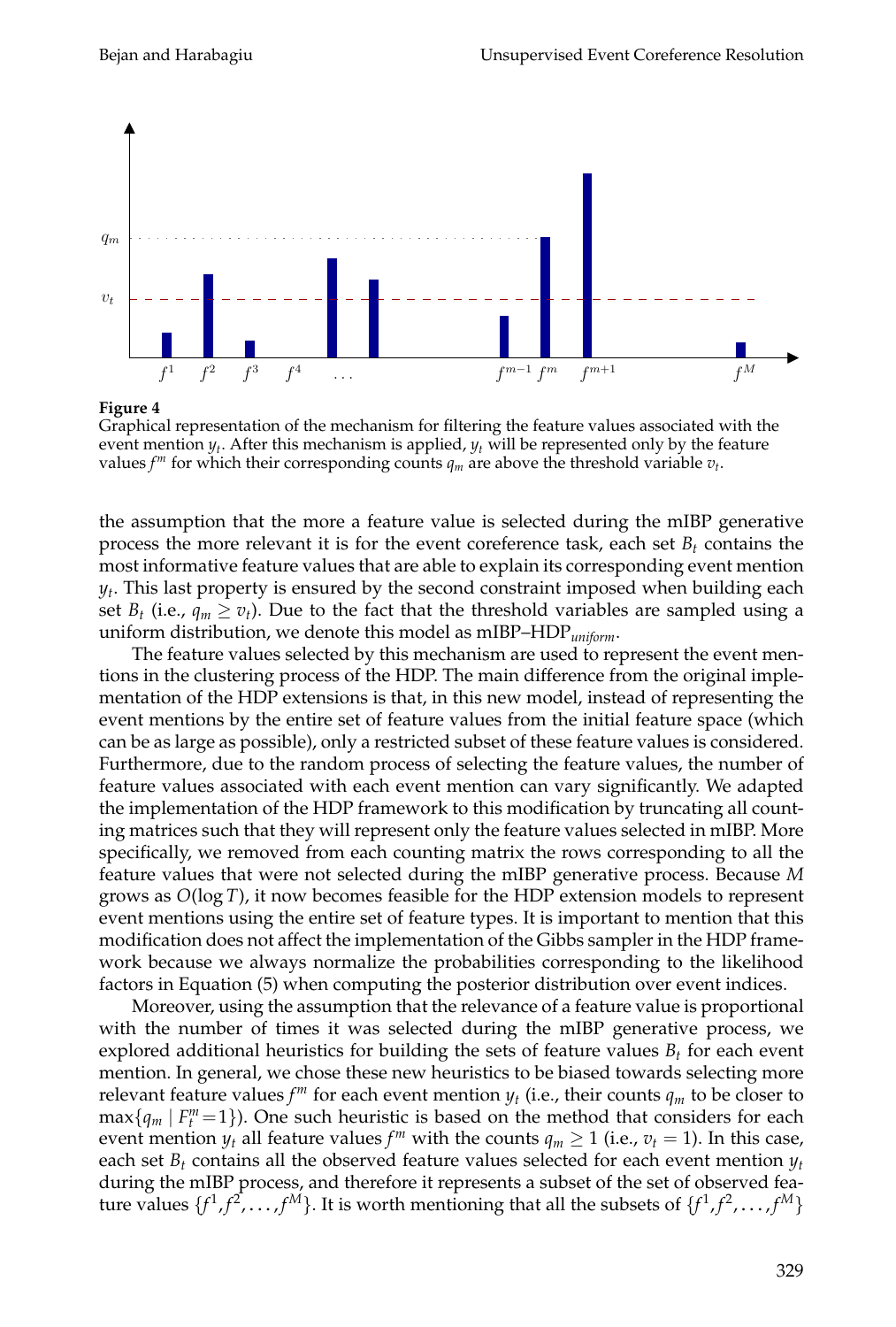

**Figure 4**

Graphical representation of the mechanism for filtering the feature values associated with the event mention *y<sup>t</sup>* . After this mechanism is applied, *y<sup>t</sup>* will be represented only by the feature values  $f^m$  for which their corresponding counts  $q_m$  are above the threshold variable  $v_t$ .

the assumption that the more a feature value is selected during the mIBP generative process the more relevant it is for the event coreference task, each set  $B_t$  contains the most informative feature values that are able to explain its corresponding event mention *yt* . This last property is ensured by the second constraint imposed when building each set  $B_t$  (i.e.,  $q_m \ge v_t$ ). Due to the fact that the threshold variables are sampled using a uniform distribution, we denote this model as mIBP–HDP*uniform*.

The feature values selected by this mechanism are used to represent the event mentions in the clustering process of the HDP. The main difference from the original implementation of the HDP extensions is that, in this new model, instead of representing the event mentions by the entire set of feature values from the initial feature space (which can be as large as possible), only a restricted subset of these feature values is considered. Furthermore, due to the random process of selecting the feature values, the number of feature values associated with each event mention can vary significantly. We adapted the implementation of the HDP framework to this modification by truncating all counting matrices such that they will represent only the feature values selected in mIBP. More specifically, we removed from each counting matrix the rows corresponding to all the feature values that were not selected during the mIBP generative process. Because *M* grows as *O*(log *T*), it now becomes feasible for the HDP extension models to represent event mentions using the entire set of feature types. It is important to mention that this modification does not affect the implementation of the Gibbs sampler in the HDP framework because we always normalize the probabilities corresponding to the likelihood factors in Equation (5) when computing the posterior distribution over event indices.

Moreover, using the assumption that the relevance of a feature value is proportional with the number of times it was selected during the mIBP generative process, we explored additional heuristics for building the sets of feature values *B<sup>t</sup>* for each event mention. In general, we chose these new heuristics to be biased towards selecting more relevant feature values  $f^m$  for each event mention  $y_t$  (i.e., their counts  $q_m$  to be closer to  $\max\{q_m | F^m_t = 1\}$ ). One such heuristic is based on the method that considers for each event mention  $y_t$  all feature values  $f^m$  with the counts  $q_m \ge 1$  (i.e.,  $v_t = 1$ ). In this case, each set  $B_t$  contains all the observed feature values selected for each event mention  $y_t$ during the mIBP process, and therefore it represents a subset of the set of observed feature values  $\{f^1, f^2, \ldots, f^M\}$ . It is worth mentioning that all the subsets of  $\{f^1, f^2, \ldots, f^M\}$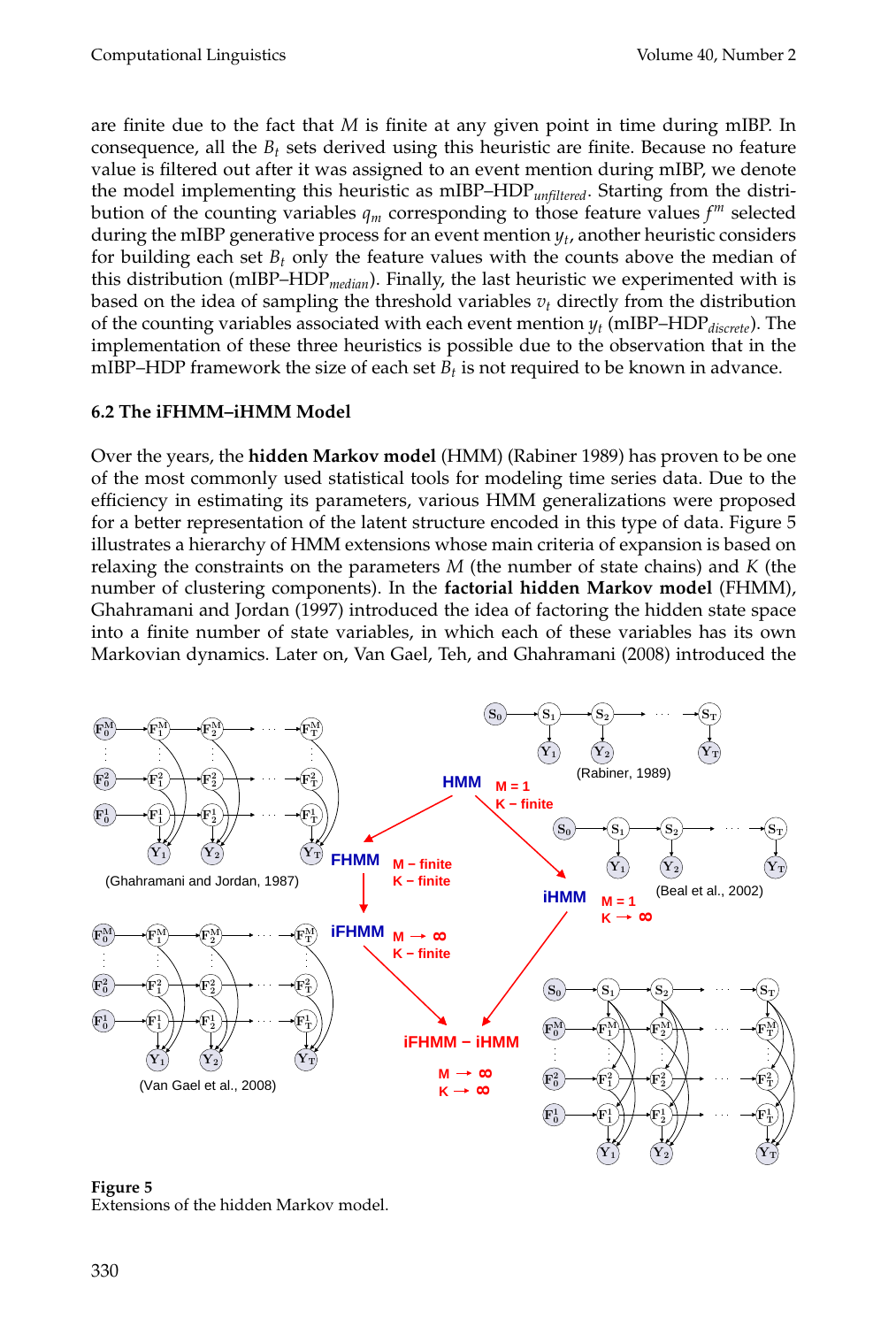are finite due to the fact that *M* is finite at any given point in time during mIBP. In consequence, all the *B<sup>t</sup>* sets derived using this heuristic are finite. Because no feature value is filtered out after it was assigned to an event mention during mIBP, we denote the model implementing this heuristic as mIBP–HDP*unfiltered*. Starting from the distribution of the counting variables *q<sup>m</sup>* corresponding to those feature values *f <sup>m</sup>* selected during the mIBP generative process for an event mention  $y_t$ , another heuristic considers for building each set  $B_t$  only the feature values with the counts above the median of this distribution (mIBP–HDP*median*). Finally, the last heuristic we experimented with is based on the idea of sampling the threshold variables  $v_t$  directly from the distribution of the counting variables associated with each event mention *y<sup>t</sup>* (mIBP–HDP*discrete*). The implementation of these three heuristics is possible due to the observation that in the mIBP–HDP framework the size of each set  $B_t$  is not required to be known in advance.

# **6.2 The iFHMM–iHMM Model**

Over the years, the **hidden Markov model** (HMM) (Rabiner 1989) has proven to be one of the most commonly used statistical tools for modeling time series data. Due to the efficiency in estimating its parameters, various HMM generalizations were proposed for a better representation of the latent structure encoded in this type of data. Figure 5 illustrates a hierarchy of HMM extensions whose main criteria of expansion is based on relaxing the constraints on the parameters *M* (the number of state chains) and *K* (the number of clustering components). In the **factorial hidden Markov model** (FHMM), Ghahramani and Jordan (1997) introduced the idea of factoring the hidden state space into a finite number of state variables, in which each of these variables has its own Markovian dynamics. Later on, Van Gael, Teh, and Ghahramani (2008) introduced the



**Figure 5** Extensions of the hidden Markov model.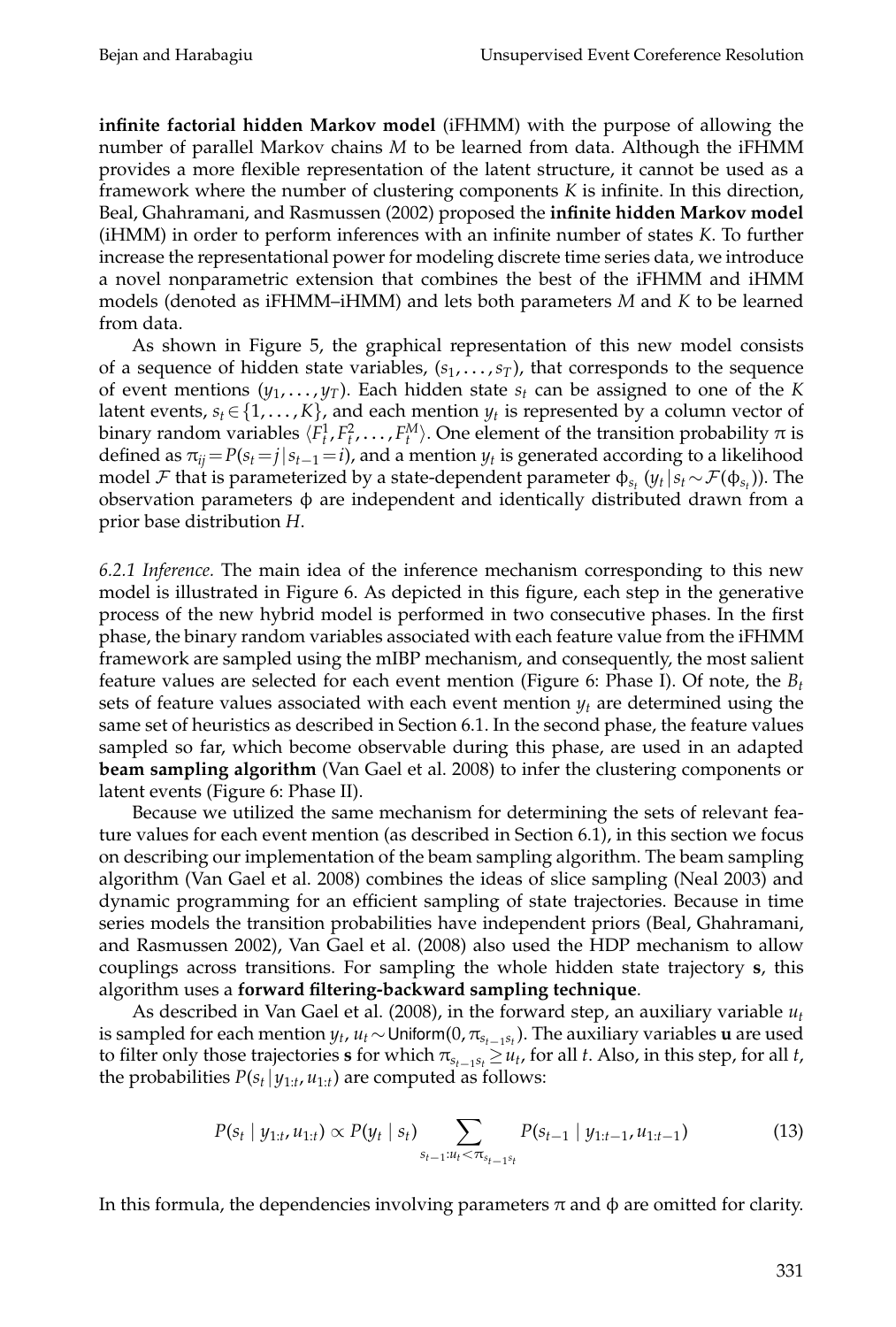**infinite factorial hidden Markov model** (iFHMM) with the purpose of allowing the number of parallel Markov chains *M* to be learned from data. Although the iFHMM provides a more flexible representation of the latent structure, it cannot be used as a framework where the number of clustering components *K* is infinite. In this direction, Beal, Ghahramani, and Rasmussen (2002) proposed the **infinite hidden Markov model** (iHMM) in order to perform inferences with an infinite number of states *K*. To further increase the representational power for modeling discrete time series data, we introduce a novel nonparametric extension that combines the best of the iFHMM and iHMM models (denoted as iFHMM–iHMM) and lets both parameters *M* and *K* to be learned from data.

As shown in Figure 5, the graphical representation of this new model consists of a sequence of hidden state variables, (s<sub>1</sub>, . . . , s<sub>T</sub>), that corresponds to the sequence of event mentions (*y*<sup>1</sup> , . . . , *yT*). Each hidden state *s<sup>t</sup>* can be assigned to one of the *K* latent events,  $s_t \in \{1, ..., K\}$ , and each mention  $y_t$  is represented by a column vector of binary random variables  $\langle F_t^1, F_t^2, \ldots, F_t^M \rangle$ . One element of the transition probability π is defined as  $\pi_{ij} = P(s_i = j | s_{i-1} = i)$ , and a mention  $y_t$  is generated according to a likelihood model  ${\cal F}$  that is parameterized by a state-dependent parameter  $\phi_{s_t}(y_t|s_t\!\sim\!{\cal F}(\phi_{s_t})).$  The observation parameters φ are independent and identically distributed drawn from a prior base distribution *H*.

*6.2.1 Inference.* The main idea of the inference mechanism corresponding to this new model is illustrated in Figure 6. As depicted in this figure, each step in the generative process of the new hybrid model is performed in two consecutive phases. In the first phase, the binary random variables associated with each feature value from the iFHMM framework are sampled using the mIBP mechanism, and consequently, the most salient feature values are selected for each event mention (Figure 6: Phase I). Of note, the *B<sup>t</sup>* sets of feature values associated with each event mention *y<sup>t</sup>* are determined using the same set of heuristics as described in Section 6.1. In the second phase, the feature values sampled so far, which become observable during this phase, are used in an adapted **beam sampling algorithm** (Van Gael et al. 2008) to infer the clustering components or latent events (Figure 6: Phase II).

Because we utilized the same mechanism for determining the sets of relevant feature values for each event mention (as described in Section 6.1), in this section we focus on describing our implementation of the beam sampling algorithm. The beam sampling algorithm (Van Gael et al. 2008) combines the ideas of slice sampling (Neal 2003) and dynamic programming for an efficient sampling of state trajectories. Because in time series models the transition probabilities have independent priors (Beal, Ghahramani, and Rasmussen 2002), Van Gael et al. (2008) also used the HDP mechanism to allow couplings across transitions. For sampling the whole hidden state trajectory **s**, this algorithm uses a **forward filtering-backward sampling technique**.

As described in Van Gael et al. (2008), in the forward step, an auxiliary variable *u<sup>t</sup>* is sampled for each mention  $y_t$ ,  $u_t \sim$  Uniform(0,  $\pi_{s_{t-1} s_t}$ ). The auxiliary variables  $\bf{u}$  are used to filter only those trajectories  $s$  for which  $\pi_{s_{t-1}s_t} \geq u_t$ , for all *t*. Also, in this step, for all *t*, the probabilities  $P(s_t | y_{1:t}, u_{1:t})$  are computed as follows:

$$
P(s_t | y_{1:t}, u_{1:t}) \propto P(y_t | s_t) \sum_{s_{t-1}: u_t < \pi_{s_{t-1}s_t}} P(s_{t-1} | y_{1:t-1}, u_{1:t-1}) \tag{13}
$$

In this formula, the dependencies involving parameters  $\pi$  and  $\phi$  are omitted for clarity.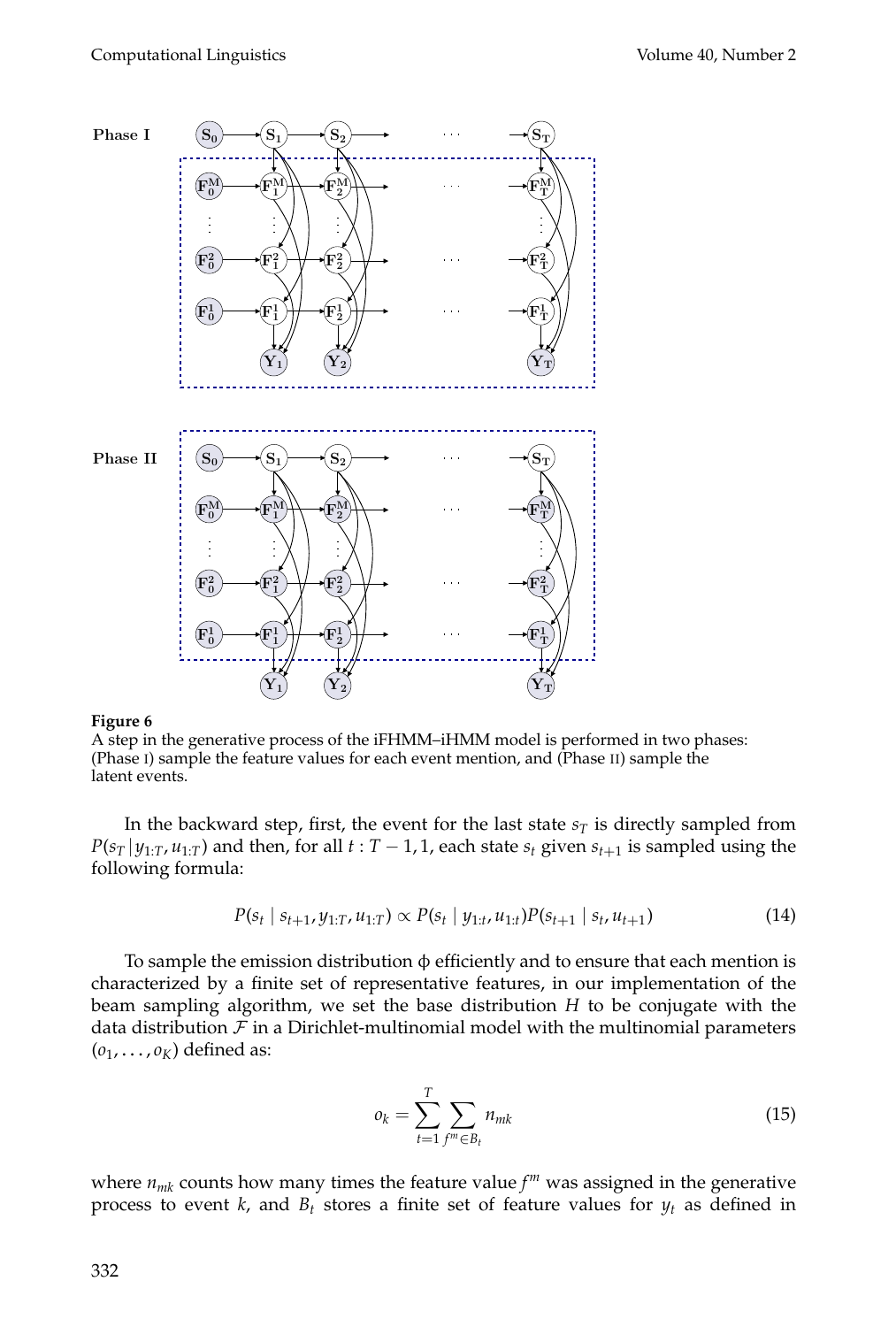

### **Figure 6**

A step in the generative process of the iFHMM–iHMM model is performed in two phases: (Phase I) sample the feature values for each event mention, and (Phase II) sample the latent events.

In the backward step, first, the event for the last state  $s<sub>T</sub>$  is directly sampled from  $P(s_T | y_{1:T}, u_{1:T})$  and then, for all  $t : T - 1$ , 1, each state  $s_t$  given  $s_{t+1}$  is sampled using the following formula:

$$
P(s_t \mid s_{t+1}, y_{1:T}, u_{1:T}) \propto P(s_t \mid y_{1:t}, u_{1:t}) P(s_{t+1} \mid s_t, u_{t+1})
$$
\n(14)

To sample the emission distribution  $\phi$  efficiently and to ensure that each mention is characterized by a finite set of representative features, in our implementation of the beam sampling algorithm, we set the base distribution *H* to be conjugate with the data distribution  $\mathcal F$  in a Dirichlet-multinomial model with the multinomial parameters  $(o_1, \ldots, o_K)$  defined as:

$$
o_k = \sum_{t=1}^{T} \sum_{f^m \in B_t} n_{mk}
$$
 (15)

where *nmk* counts how many times the feature value *f <sup>m</sup>* was assigned in the generative process to event *k*, and  $B_t$  stores a finite set of feature values for  $y_t$  as defined in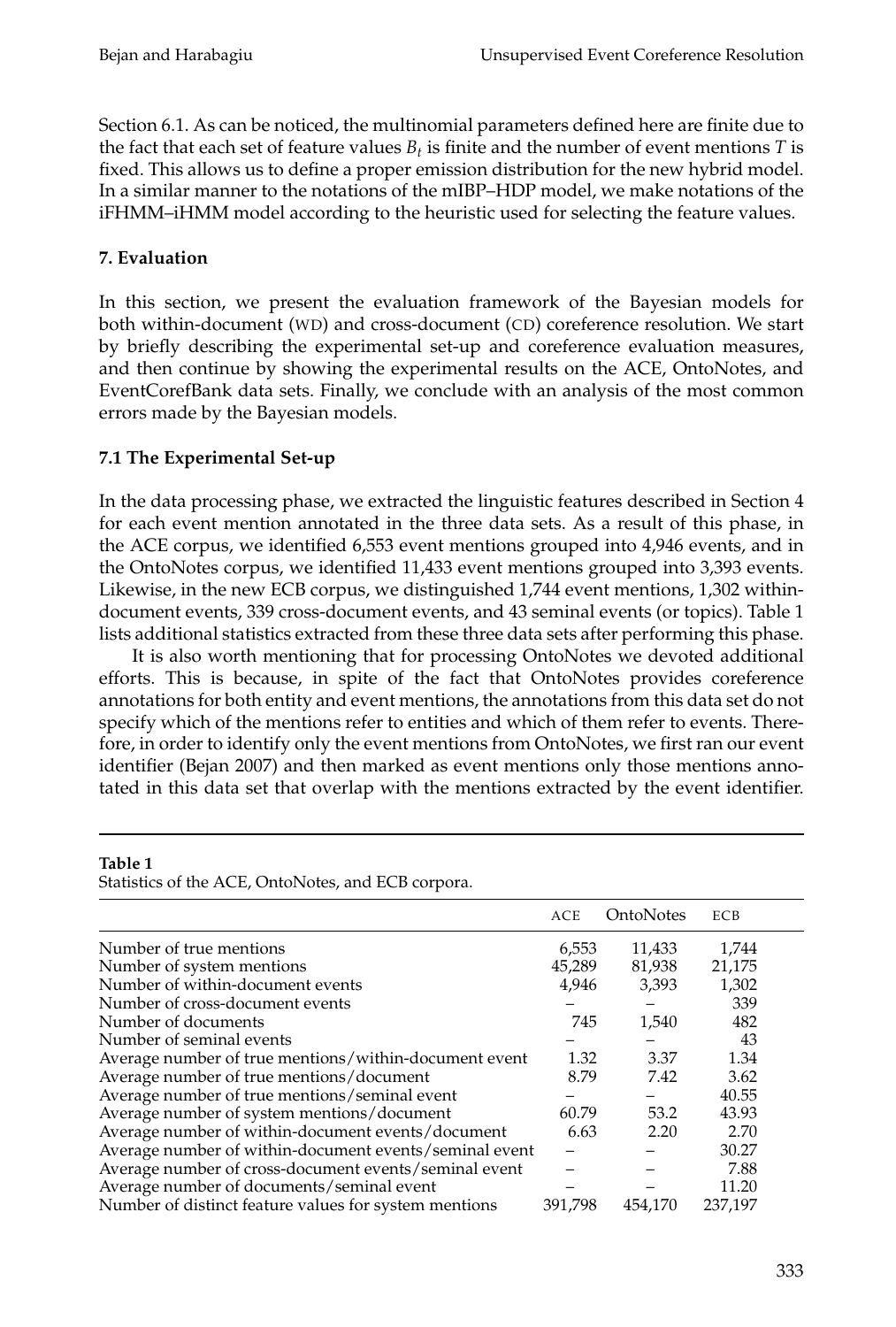Section 6.1. As can be noticed, the multinomial parameters defined here are finite due to the fact that each set of feature values  $B_t$  is finite and the number of event mentions  $T$  is fixed. This allows us to define a proper emission distribution for the new hybrid model. In a similar manner to the notations of the mIBP–HDP model, we make notations of the iFHMM–iHMM model according to the heuristic used for selecting the feature values.

# **7. Evaluation**

In this section, we present the evaluation framework of the Bayesian models for both within-document (WD) and cross-document (CD) coreference resolution. We start by briefly describing the experimental set-up and coreference evaluation measures, and then continue by showing the experimental results on the ACE, OntoNotes, and EventCorefBank data sets. Finally, we conclude with an analysis of the most common errors made by the Bayesian models.

## **7.1 The Experimental Set-up**

In the data processing phase, we extracted the linguistic features described in Section 4 for each event mention annotated in the three data sets. As a result of this phase, in the ACE corpus, we identified 6,553 event mentions grouped into 4,946 events, and in the OntoNotes corpus, we identified 11,433 event mentions grouped into 3,393 events. Likewise, in the new ECB corpus, we distinguished 1,744 event mentions, 1,302 withindocument events, 339 cross-document events, and 43 seminal events (or topics). Table 1 lists additional statistics extracted from these three data sets after performing this phase.

It is also worth mentioning that for processing OntoNotes we devoted additional efforts. This is because, in spite of the fact that OntoNotes provides coreference annotations for both entity and event mentions, the annotations from this data set do not specify which of the mentions refer to entities and which of them refer to events. Therefore, in order to identify only the event mentions from OntoNotes, we first ran our event identifier (Bejan 2007) and then marked as event mentions only those mentions annotated in this data set that overlap with the mentions extracted by the event identifier.

|                                                        | <b>ACE</b> | OntoNotes | ECB     |  |
|--------------------------------------------------------|------------|-----------|---------|--|
| Number of true mentions                                | 6,553      | 11,433    | 1,744   |  |
| Number of system mentions                              | 45,289     | 81,938    | 21,175  |  |
| Number of within-document events                       | 4,946      | 3,393     | 1,302   |  |
| Number of cross-document events                        |            |           | 339     |  |
| Number of documents                                    | 745        | 1,540     | 482     |  |
| Number of seminal events                               |            |           | 43      |  |
| Average number of true mentions/within-document event  | 1.32       | 3.37      | 1.34    |  |
| Average number of true mentions/document               | 8.79       | 7.42      | 3.62    |  |
| Average number of true mentions/seminal event          |            |           | 40.55   |  |
| Average number of system mentions/document             | 60.79      | 53.2      | 43.93   |  |
| Average number of within-document events/document      | 6.63       | 2.20      | 2.70    |  |
| Average number of within-document events/seminal event |            |           | 30.27   |  |
| Average number of cross-document events/seminal event  |            |           | 7.88    |  |
| Average number of documents/seminal event              |            |           | 11.20   |  |
| Number of distinct feature values for system mentions  | 391,798    | 454,170   | 237,197 |  |

# **Table 1**

Statistics of the ACE, OntoNotes, and ECB corpora.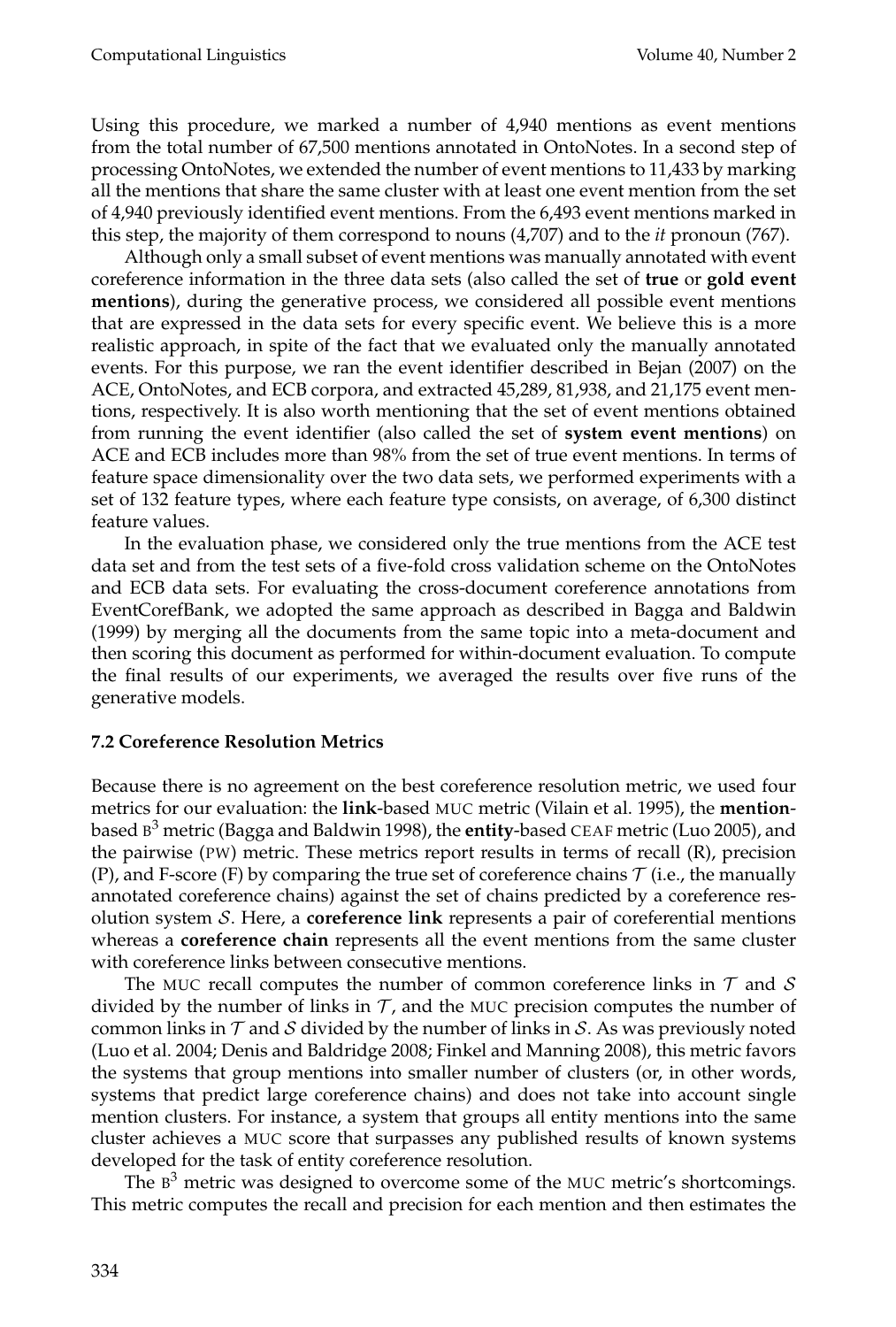Using this procedure, we marked a number of 4,940 mentions as event mentions from the total number of 67,500 mentions annotated in OntoNotes. In a second step of processing OntoNotes, we extended the number of event mentions to 11,433 by marking all the mentions that share the same cluster with at least one event mention from the set of 4,940 previously identified event mentions. From the 6,493 event mentions marked in this step, the majority of them correspond to nouns (4,707) and to the *it* pronoun (767).

Although only a small subset of event mentions was manually annotated with event coreference information in the three data sets (also called the set of **true** or **gold event mentions**), during the generative process, we considered all possible event mentions that are expressed in the data sets for every specific event. We believe this is a more realistic approach, in spite of the fact that we evaluated only the manually annotated events. For this purpose, we ran the event identifier described in Bejan (2007) on the ACE, OntoNotes, and ECB corpora, and extracted 45,289, 81,938, and 21,175 event mentions, respectively. It is also worth mentioning that the set of event mentions obtained from running the event identifier (also called the set of **system event mentions**) on ACE and ECB includes more than 98% from the set of true event mentions. In terms of feature space dimensionality over the two data sets, we performed experiments with a set of 132 feature types, where each feature type consists, on average, of 6,300 distinct feature values.

In the evaluation phase, we considered only the true mentions from the ACE test data set and from the test sets of a five-fold cross validation scheme on the OntoNotes and ECB data sets. For evaluating the cross-document coreference annotations from EventCorefBank, we adopted the same approach as described in Bagga and Baldwin (1999) by merging all the documents from the same topic into a meta-document and then scoring this document as performed for within-document evaluation. To compute the final results of our experiments, we averaged the results over five runs of the generative models.

### **7.2 Coreference Resolution Metrics**

Because there is no agreement on the best coreference resolution metric, we used four metrics for our evaluation: the **link**-based MUC metric (Vilain et al. 1995), the **mention**based B <sup>3</sup> metric (Bagga and Baldwin 1998), the **entity**-based CEAF metric (Luo 2005), and the pairwise (PW) metric. These metrics report results in terms of recall (R), precision (P), and F-score (F) by comparing the true set of coreference chains  $\mathcal T$  (i.e., the manually annotated coreference chains) against the set of chains predicted by a coreference resolution system S. Here, a **coreference link** represents a pair of coreferential mentions whereas a **coreference chain** represents all the event mentions from the same cluster with coreference links between consecutive mentions.

The MUC recall computes the number of common coreference links in  $\mathcal T$  and  $\mathcal S$ divided by the number of links in  $\mathcal{T}$ , and the MUC precision computes the number of common links in  $\mathcal T$  and  $\mathcal S$  divided by the number of links in  $\mathcal S$ . As was previously noted (Luo et al. 2004; Denis and Baldridge 2008; Finkel and Manning 2008), this metric favors the systems that group mentions into smaller number of clusters (or, in other words, systems that predict large coreference chains) and does not take into account single mention clusters. For instance, a system that groups all entity mentions into the same cluster achieves a MUC score that surpasses any published results of known systems developed for the task of entity coreference resolution.

The  $B<sup>3</sup>$  metric was designed to overcome some of the MUC metric's shortcomings. This metric computes the recall and precision for each mention and then estimates the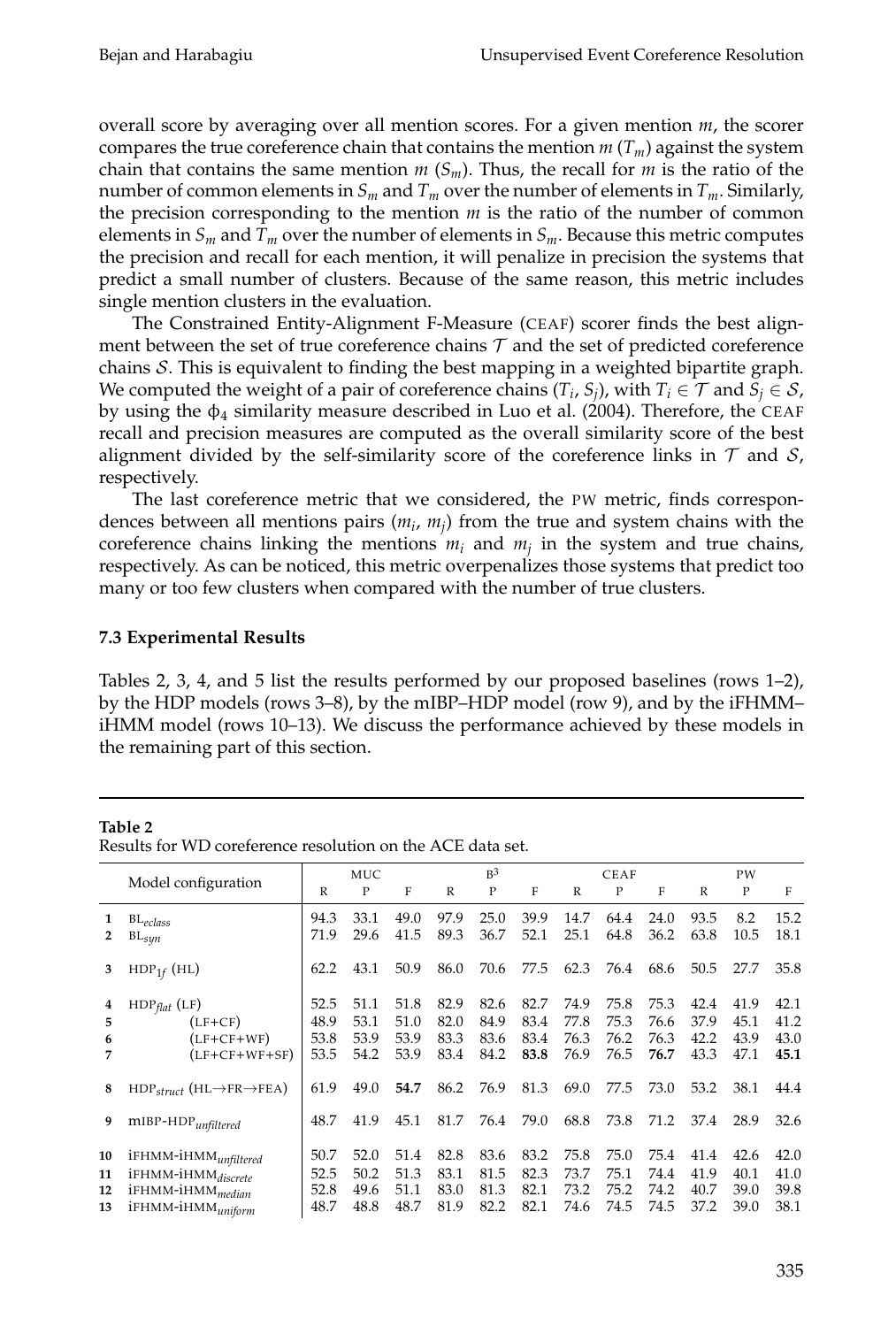overall score by averaging over all mention scores. For a given mention *m*, the scorer compares the true coreference chain that contains the mention  $m(T_m)$  against the system chain that contains the same mention  $m(S_m)$ . Thus, the recall for  $m$  is the ratio of the number of common elements in  $S_m$  and  $T_m$  over the number of elements in  $T_m$ . Similarly, the precision corresponding to the mention  $m$  is the ratio of the number of common elements in  $S_m$  and  $T_m$  over the number of elements in  $S_m$ . Because this metric computes the precision and recall for each mention, it will penalize in precision the systems that predict a small number of clusters. Because of the same reason, this metric includes single mention clusters in the evaluation.

The Constrained Entity-Alignment F-Measure (CEAF) scorer finds the best alignment between the set of true coreference chains  $\mathcal T$  and the set of predicted coreference chains S. This is equivalent to finding the best mapping in a weighted bipartite graph. We computed the weight of a pair of coreference chains  $(T_i, S_j)$ , with  $T_i \in \mathcal{T}$  and  $S_j \in \mathcal{S}$ , by using the  $\phi_4$  similarity measure described in Luo et al. (2004). Therefore, the CEAF recall and precision measures are computed as the overall similarity score of the best alignment divided by the self-similarity score of the coreference links in  $\mathcal T$  and  $\mathcal S$ , respectively.

The last coreference metric that we considered, the PW metric, finds correspondences between all mentions pairs  $(m_i, m_j)$  from the true and system chains with the coreference chains linking the mentions *m<sup>i</sup>* and *m<sup>j</sup>* in the system and true chains, respectively. As can be noticed, this metric overpenalizes those systems that predict too many or too few clusters when compared with the number of true clusters.

### **7.3 Experimental Results**

Tables 2, 3, 4, and 5 list the results performed by our proposed baselines (rows 1–2), by the HDP models (rows 3–8), by the mIBP–HDP model (row 9), and by the iFHMM– iHMM model (rows 10–13). We discuss the performance achieved by these models in the remaining part of this section.

### **Table 2**

|    | Model configuration                                    |      | MUC  | F    |      | $R^3$ |      |      | <b>CEAF</b><br>P |      |      | PW   |      |
|----|--------------------------------------------------------|------|------|------|------|-------|------|------|------------------|------|------|------|------|
|    |                                                        | R    | P    |      | R    | P     | F    | R    |                  | F    | R    | P    | F    |
| 1  | $\mathrm{BL}_{e class}$                                | 94.3 | 33.1 | 49.0 | 97.9 | 25.0  | 39.9 | 14.7 | 64.4             | 24.0 | 93.5 | 8.2  | 15.2 |
| 2  | $BL_{syn}$                                             | 71.9 | 29.6 | 41.5 | 89.3 | 36.7  | 52.1 | 25.1 | 64.8             | 36.2 | 63.8 | 10.5 | 18.1 |
|    |                                                        |      |      |      |      |       |      |      |                  |      |      |      |      |
| 3  | $HDP_{1f}$ (HL)                                        | 62.2 | 43.1 | 50.9 | 86.0 | 70.6  | 77.5 | 62.3 | 76.4             | 68.6 | 50.5 | 27.7 | 35.8 |
|    |                                                        |      |      |      |      |       |      |      |                  |      |      |      |      |
| 4  | $HDP_{flat}$ (LF)                                      | 52.5 | 51.1 | 51.8 | 82.9 | 82.6  | 82.7 | 74.9 | 75.8             | 75.3 | 42.4 | 41.9 | 42.1 |
| 5  | $(LF+CF)$                                              | 48.9 | 53.1 | 51.0 | 82.0 | 84.9  | 83.4 | 77.8 | 75.3             | 76.6 | 37.9 | 45.1 | 41.2 |
| 6  | $(LF+CF+WF)$                                           | 53.8 | 53.9 | 53.9 | 83.3 | 83.6  | 83.4 | 76.3 | 76.2             | 76.3 | 42.2 | 43.9 | 43.0 |
|    | $(LF+CF+WF+SF)$                                        | 53.5 | 54.2 | 53.9 | 83.4 | 84.2  | 83.8 | 76.9 | 76.5             | 76.7 | 43.3 | 47.1 | 45.1 |
|    |                                                        |      |      |      |      |       |      |      |                  |      |      |      |      |
| 8  | $HDP_{struct}$ (HL $\rightarrow$ FR $\rightarrow$ FEA) | 61.9 | 49.0 | 54.7 | 86.2 | 76.9  | 81.3 | 69.0 | 77.5             | 73.0 | 53.2 | 38.1 | 44.4 |
|    |                                                        |      |      |      |      |       |      |      |                  |      |      |      |      |
| 9  | $m$ IBP-HDP $_{unfiltered}$                            | 48.7 | 41.9 | 45.1 | 81.7 | 76.4  | 79.0 | 68.8 | 73.8             | 71.2 | 37.4 | 28.9 | 32.6 |
|    |                                                        |      |      |      |      |       |      |      |                  |      |      |      |      |
| 10 | iFHMM-iHMM <sub>unfiltered</sub>                       | 50.7 | 52.0 | 51.4 | 82.8 | 83.6  | 83.2 | 75.8 | 75.0             | 75.4 | 41.4 | 42.6 | 42.0 |
|    |                                                        | 52.5 | 50.2 | 51.3 | 83.1 | 81.5  | 82.3 | 73.7 | 75.1             | 74.4 | 41.9 | 40.1 | 41.0 |
| 11 | iFHMM-iHMM <sub>discrete</sub>                         |      |      |      |      |       |      | 73.2 | 75.2             |      | 40.7 | 39.0 |      |
| 12 | iFHMM-iHMM <sub>median</sub>                           | 52.8 | 49.6 | 51.1 | 83.0 | 81.3  | 82.1 |      |                  | 74.2 |      |      | 39.8 |
| 13 | iFHMM-iHMMuniform                                      | 48.7 | 48.8 | 48.7 | 81.9 | 82.2  | 82.1 | 74.6 | 74.5             | 74.5 | 37.2 | 39.0 | 38.1 |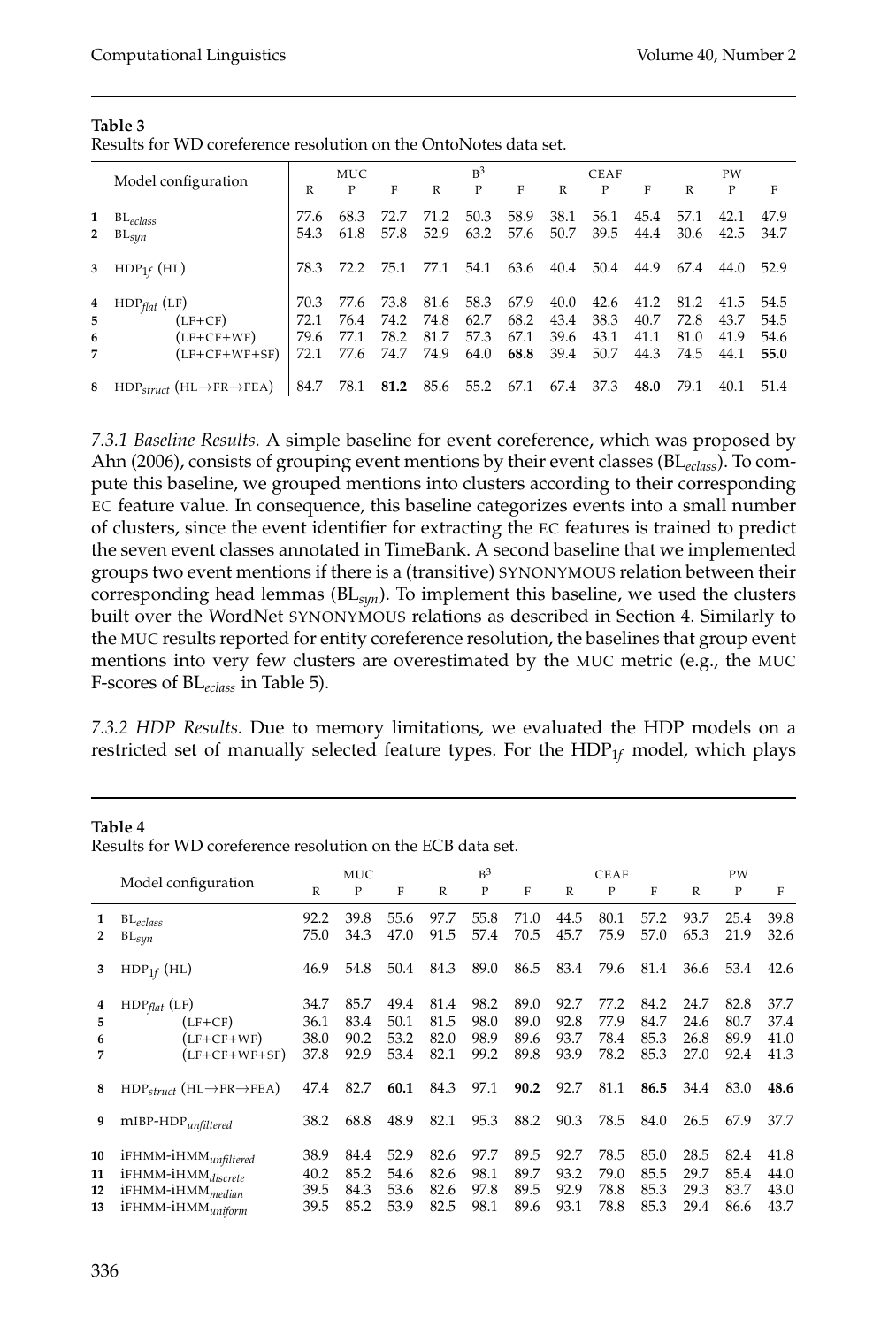|                   |                                                                 | <b>MUC</b>                   |                              |                              | $R^3$                        |                              |                              |                              | <b>CEAF</b>                  |                              |                              | PW                           |                              |  |
|-------------------|-----------------------------------------------------------------|------------------------------|------------------------------|------------------------------|------------------------------|------------------------------|------------------------------|------------------------------|------------------------------|------------------------------|------------------------------|------------------------------|------------------------------|--|
|                   | Model configuration                                             |                              | P                            | F                            | R                            | P                            | F                            | R                            | P                            | F                            | R                            | P                            | F                            |  |
| 1<br>$\mathbf{2}$ | $BL_{eclass}$<br>$BL_{syn}$                                     | 77.6<br>54.3                 | 68.3<br>61.8                 | 72.7<br>57.8                 | 71.2<br>52.9                 | 50.3<br>63.2                 | 58.9<br>57.6                 | 38.1<br>50.7                 | 56.1<br>39.5                 | 45.4<br>44.4                 | 57.1<br>30.6                 | 42.1<br>42.5                 | 47.9<br>34.7                 |  |
| 3                 | $HDP_{1f}$ (HL)                                                 | 78.3                         | 72.2                         | 75.1                         | 77.1                         | 54.1                         | 63.6                         | 40.4                         | 50.4                         | 44.9                         | 67.4                         | 44.0                         | 52.9                         |  |
| 4<br>5<br>6<br>7  | $HDP_{flat}$ (LF)<br>$(LF+CF)$<br>(LF+CF+WF)<br>$(LF+CF+WF+SF)$ | 70.3<br>72.1<br>79.6<br>72.1 | 77.6<br>76.4<br>77.1<br>77.6 | 73.8<br>74.2<br>78.2<br>74.7 | 81.6<br>74.8<br>81.7<br>74.9 | 58.3<br>62.7<br>57.3<br>64.0 | 67.9<br>68.2<br>67.1<br>68.8 | 40.0<br>43.4<br>39.6<br>39.4 | 42.6<br>38.3<br>43.1<br>50.7 | 41.2<br>40.7<br>41.1<br>44.3 | 81.2<br>72.8<br>81.0<br>74.5 | 41.5<br>43.7<br>41.9<br>44.1 | 54.5<br>54.5<br>54.6<br>55.0 |  |
| 8                 | $HDP_{struct}$ (HL $\rightarrow$ FR $\rightarrow$ FEA)          | 84.7                         | 78.1                         | 81.2                         |                              | 85.6 55.2                    | 67.1                         | 67.4                         | 37.3                         | 48.0                         | 79.1                         | 40.1                         | 51.4                         |  |

#### **Table 3** Results for WD coreference resolution on the OntoNotes data set.

*7.3.1 Baseline Results.* A simple baseline for event coreference, which was proposed by Ahn (2006), consists of grouping event mentions by their event classes (BL*eclass*). To compute this baseline, we grouped mentions into clusters according to their corresponding EC feature value. In consequence, this baseline categorizes events into a small number of clusters, since the event identifier for extracting the EC features is trained to predict the seven event classes annotated in TimeBank. A second baseline that we implemented groups two event mentions if there is a (transitive) SYNONYMOUS relation between their corresponding head lemmas (BL*syn*). To implement this baseline, we used the clusters built over the WordNet SYNONYMOUS relations as described in Section 4. Similarly to the MUC results reported for entity coreference resolution, the baselines that group event mentions into very few clusters are overestimated by the MUC metric (e.g., the MUC F-scores of BL*eclass* in Table 5).

*7.3.2 HDP Results.* Due to memory limitations, we evaluated the HDP models on a restricted set of manually selected feature types. For the HDP1*<sup>f</sup>* model, which plays

### **Table 4**

|    | Model configuration                                    |      | MUC  |      | $R^3$ |      |      |              | <b>CEAF</b> |      |      | PW   |      |  |
|----|--------------------------------------------------------|------|------|------|-------|------|------|--------------|-------------|------|------|------|------|--|
|    |                                                        | R    | P    | F    | R     | P    | F    | $\mathbb{R}$ | P           | F    | R    | P    | F    |  |
| 1  | $BL_{eclass}$                                          | 92.2 | 39.8 | 55.6 | 97.7  | 55.8 | 71.0 | 44.5         | 80.1        | 57.2 | 93.7 | 25.4 | 39.8 |  |
| 2  | $\mathtt{BL}_{syn}$                                    | 75.0 | 34.3 | 47.0 | 91.5  | 57.4 | 70.5 | 45.7         | 75.9        | 57.0 | 65.3 | 21.9 | 32.6 |  |
| 3  | $HDP_{1f}$ (HL)                                        | 46.9 | 54.8 | 50.4 | 84.3  | 89.0 | 86.5 | 83.4         | 79.6        | 81.4 | 36.6 | 53.4 | 42.6 |  |
|    | $HDP_{flat}$ (LF)                                      | 34.7 | 85.7 | 49.4 | 81.4  | 98.2 | 89.0 | 92.7         | 77.2        | 84.2 | 24.7 | 82.8 | 37.7 |  |
| 5  | $(LF+CF)$                                              | 36.1 | 83.4 | 50.1 | 81.5  | 98.0 | 89.0 | 92.8         | 77.9        | 84.7 | 24.6 | 80.7 | 37.4 |  |
| 6  | $(LF+CF+WF)$                                           | 38.0 | 90.2 | 53.2 | 82.0  | 98.9 | 89.6 | 93.7         | 78.4        | 85.3 | 26.8 | 89.9 | 41.0 |  |
|    | $(LF+CF+WF+SF)$                                        | 37.8 | 92.9 | 53.4 | 82.1  | 99.2 | 89.8 | 93.9         | 78.2        | 85.3 | 27.0 | 92.4 | 41.3 |  |
| 8  | $HDP_{struct}$ (HL $\rightarrow$ FR $\rightarrow$ FEA) | 47.4 | 82.7 | 60.1 | 84.3  | 97.1 | 90.2 | 92.7         | 81.1        | 86.5 | 34.4 | 83.0 | 48.6 |  |
|    | $mIBP-HDP$ <sub>unfiltered</sub>                       | 38.2 | 68.8 | 48.9 | 82.1  | 95.3 | 88.2 | 90.3         | 78.5        | 84.0 | 26.5 | 67.9 | 37.7 |  |
| 10 | iFHMM-iHMM <sub>unfiltered</sub>                       | 38.9 | 84.4 | 52.9 | 82.6  | 97.7 | 89.5 | 92.7         | 78.5        | 85.0 | 28.5 | 82.4 | 41.8 |  |
| 11 | iFHMM-iHMM <sub>discrete</sub>                         | 40.2 | 85.2 | 54.6 | 82.6  | 98.1 | 89.7 | 93.2         | 79.0        | 85.5 | 29.7 | 85.4 | 44.0 |  |
| 12 | iFHMM-iHMM <sub>median</sub>                           | 39.5 | 84.3 | 53.6 | 82.6  | 97.8 | 89.5 | 92.9         | 78.8        | 85.3 | 29.3 | 83.7 | 43.0 |  |
| 13 | iFHMM-iHMM <sub>uniform</sub>                          | 39.5 | 85.2 | 53.9 | 82.5  | 98.1 | 89.6 | 93.1         | 78.8        | 85.3 | 29.4 | 86.6 | 43.7 |  |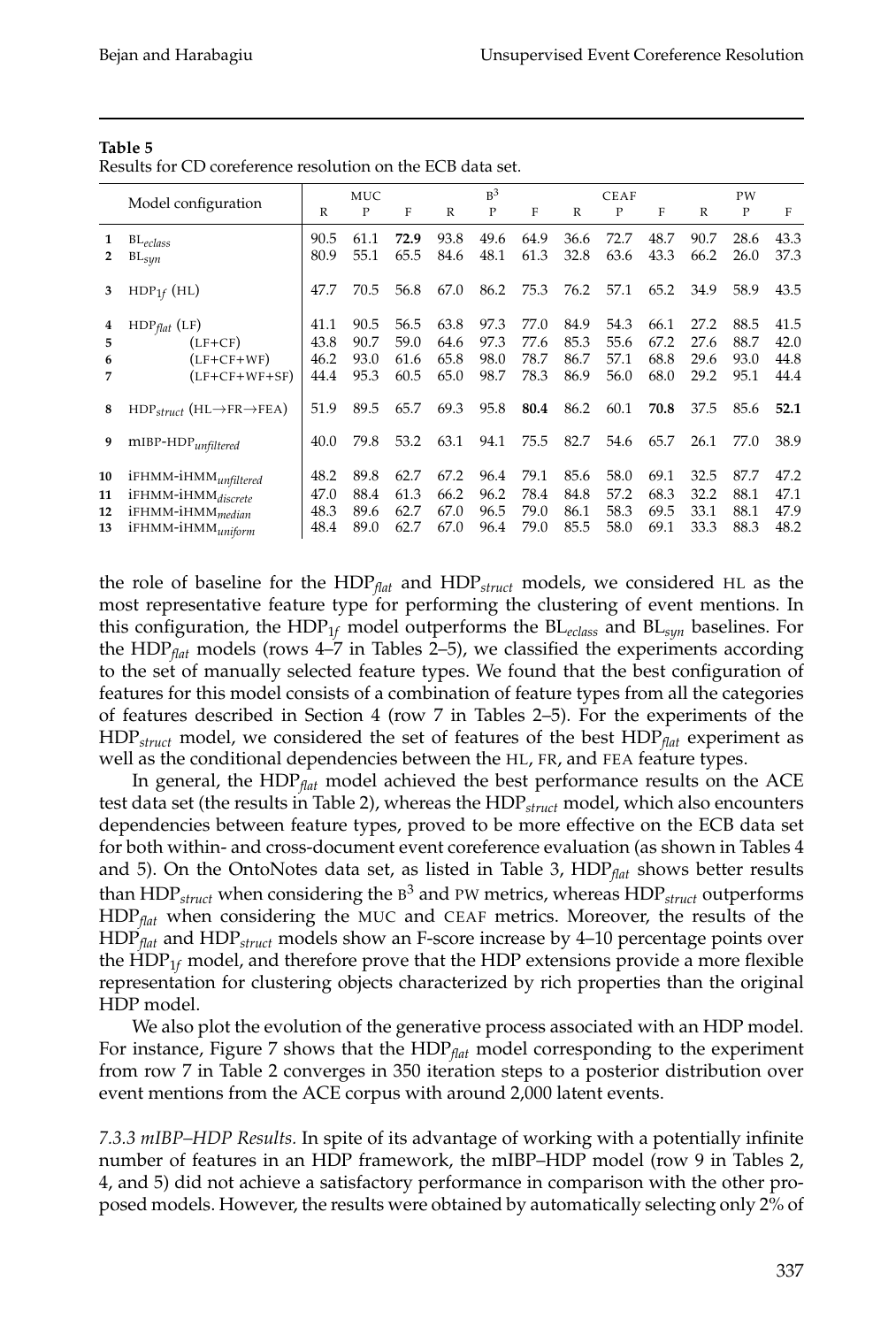| а<br>n.<br>н |  |
|--------------|--|
|--------------|--|

Results for CD coreference resolution on the ECB data set.

|                      |                                                                                                                         |                              |                              |                              |                              | $R^3$                        |                              |                              |                              |                              |                              |                              |                              |
|----------------------|-------------------------------------------------------------------------------------------------------------------------|------------------------------|------------------------------|------------------------------|------------------------------|------------------------------|------------------------------|------------------------------|------------------------------|------------------------------|------------------------------|------------------------------|------------------------------|
|                      | Model configuration                                                                                                     | R                            | MUC<br>P                     | F                            | R                            | P                            | F                            | R                            | <b>CEAF</b><br>P             | F                            | R                            | PW<br>P                      | F                            |
| 1                    | $BL_{eclass}$<br>$BL_{syn}$                                                                                             | 90.5<br>80.9                 | 61.1<br>55.1                 | 72.9<br>65.5                 | 93.8<br>84.6                 | 49.6<br>48.1                 | 64.9<br>61.3                 | 36.6<br>32.8                 | 72.7<br>63.6                 | 48.7<br>43.3                 | 90.7<br>66.2                 | 28.6<br>26.0                 | 43.3<br>37.3                 |
|                      | $HDP_{1f}$ (HL)                                                                                                         | 47.7                         | 70.5                         | 56.8                         | 67.0                         | 86.2                         | 75.3                         | 76.2                         | 57.1                         | 65.2                         | 34.9                         | 58.9                         | 43.5                         |
| 5<br>6               | $HDP_{flat}$ (LF)<br>$(LF+CF)$<br>(LF+CF+WF)<br>$(LF+CF+WF+SF)$                                                         | 41.1<br>43.8<br>46.2<br>44.4 | 90.5<br>90.7<br>93.0<br>95.3 | 56.5<br>59.0<br>61.6<br>60.5 | 63.8<br>64.6<br>65.8<br>65.0 | 97.3<br>97.3<br>98.0<br>98.7 | 77.0<br>77.6<br>78.7<br>78.3 | 84.9<br>85.3<br>86.7<br>86.9 | 54.3<br>55.6<br>57.1<br>56.0 | 66.1<br>67.2<br>68.8<br>68.0 | 27.2<br>27.6<br>29.6<br>29.2 | 88.5<br>88.7<br>93.0<br>95.1 | 41.5<br>42.0<br>44.8<br>44.4 |
| 8                    | $HDP_{struct}$ (HL $\rightarrow$ FR $\rightarrow$ FEA)                                                                  | 51.9                         | 89.5                         | 65.7                         | 69.3                         | 95.8                         | 80.4                         | 86.2                         | 60.1                         | 70.8                         | 37.5                         | 85.6                         | 52.1                         |
|                      | $m$ IBP-HDP $_{unfiltered}$                                                                                             | 40.0                         | 79.8                         | 53.2                         | 63.1                         | 94.1                         | 75.5                         | 82.7                         | 54.6                         | 65.7                         | 26.1                         | 77.0                         | 38.9                         |
| 10<br>11<br>12<br>13 | iFHMM-iHMM <sub>unfiltered</sub><br>iFHMM-iHMMdiscrete<br>iFHMM-iHMM <sub>median</sub><br>iFHMM-iHMM <sub>uniform</sub> | 48.2<br>47.0<br>48.3<br>48.4 | 89.8<br>88.4<br>89.6<br>89.0 | 62.7<br>61.3<br>62.7<br>62.7 | 67.2<br>66.2<br>67.0<br>67.0 | 96.4<br>96.2<br>96.5<br>96.4 | 79.1<br>78.4<br>79.0<br>79.0 | 85.6<br>84.8<br>86.1<br>85.5 | 58.0<br>57.2<br>58.3<br>58.0 | 69.1<br>68.3<br>69.5<br>69.1 | 32.5<br>32.2<br>33.1<br>33.3 | 87.7<br>88.1<br>88.1<br>88.3 | 47.2<br>47.1<br>47.9<br>48.2 |

the role of baseline for the HDP*flat* and HDP*struct* models, we considered HL as the most representative feature type for performing the clustering of event mentions. In this configuration, the HDP1*<sup>f</sup>* model outperforms the BL*eclass* and BL*syn* baselines. For the HDP*flat* models (rows 4–7 in Tables 2–5), we classified the experiments according to the set of manually selected feature types. We found that the best configuration of features for this model consists of a combination of feature types from all the categories of features described in Section 4 (row 7 in Tables 2–5). For the experiments of the HDP*struct* model, we considered the set of features of the best HDP*flat* experiment as well as the conditional dependencies between the HL, FR, and FEA feature types.

In general, the HDP*flat* model achieved the best performance results on the ACE test data set (the results in Table 2), whereas the HDP*struct* model, which also encounters dependencies between feature types, proved to be more effective on the ECB data set for both within- and cross-document event coreference evaluation (as shown in Tables 4 and 5). On the OntoNotes data set, as listed in Table 3, HDP*flat* shows better results than HDP*struct* when considering the B 3 and PW metrics, whereas HDP*struct* outperforms HDP*flat* when considering the MUC and CEAF metrics. Moreover, the results of the HDP*flat* and HDP*struct* models show an F-score increase by 4–10 percentage points over the  $HDP<sub>1f</sub>$  model, and therefore prove that the HDP extensions provide a more flexible representation for clustering objects characterized by rich properties than the original HDP model.

We also plot the evolution of the generative process associated with an HDP model. For instance, Figure 7 shows that the HDP*flat* model corresponding to the experiment from row 7 in Table 2 converges in 350 iteration steps to a posterior distribution over event mentions from the ACE corpus with around 2,000 latent events.

*7.3.3 mIBP–HDP Results.* In spite of its advantage of working with a potentially infinite number of features in an HDP framework, the mIBP–HDP model (row 9 in Tables 2, 4, and 5) did not achieve a satisfactory performance in comparison with the other proposed models. However, the results were obtained by automatically selecting only 2% of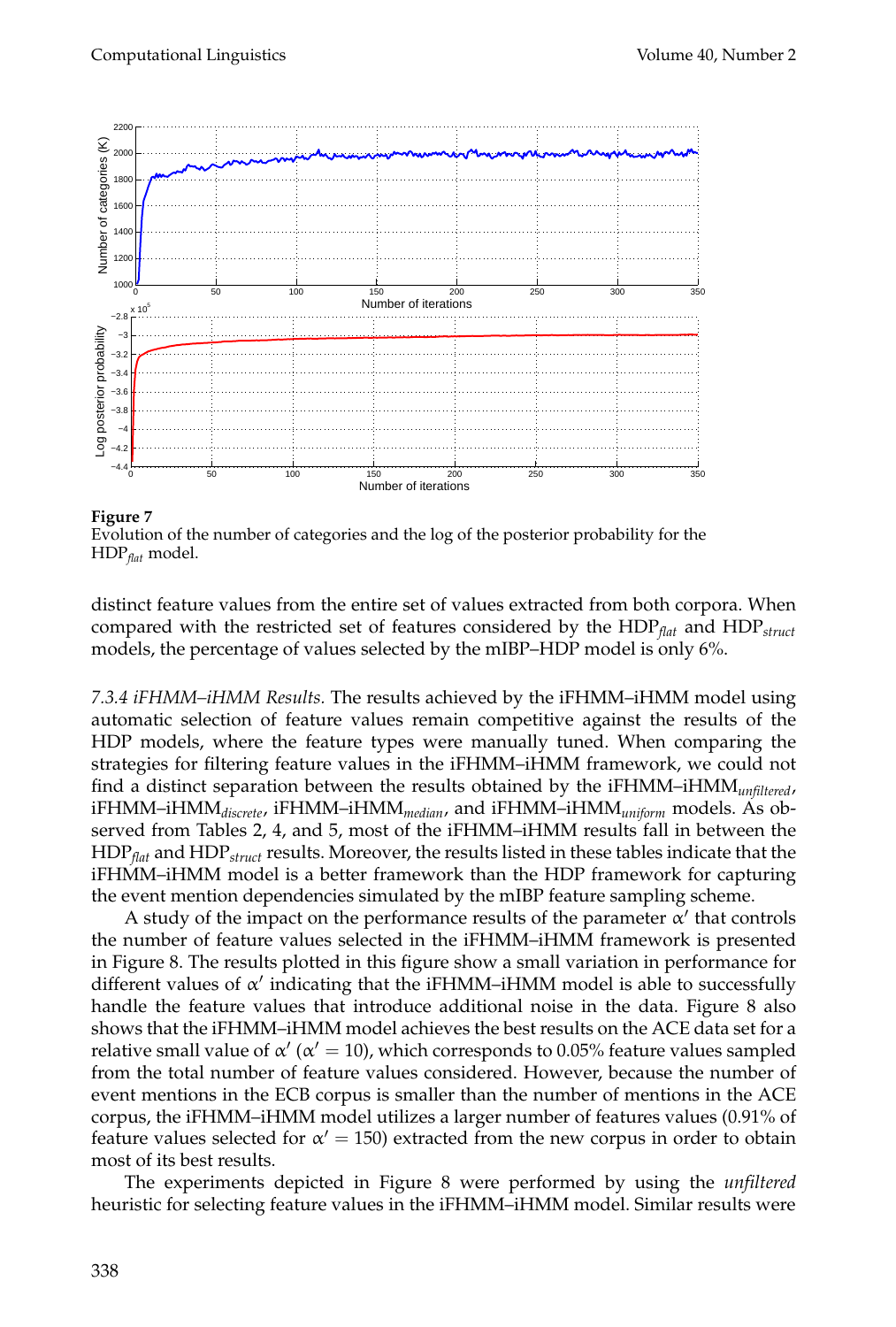

**Figure 7**

Evolution of the number of categories and the log of the posterior probability for the HDP*flat* model.

distinct feature values from the entire set of values extracted from both corpora. When compared with the restricted set of features considered by the HDP*flat* and HDP*struct* models, the percentage of values selected by the mIBP–HDP model is only 6%.

*7.3.4 iFHMM–iHMM Results.* The results achieved by the iFHMM–iHMM model using automatic selection of feature values remain competitive against the results of the HDP models, where the feature types were manually tuned. When comparing the strategies for filtering feature values in the iFHMM–iHMM framework, we could not find a distinct separation between the results obtained by the iFHMM–iHMM*unfiltered*, iFHMM–iHMM*discrete*, iFHMM–iHMM*median*, and iFHMM–iHMM*uniform* models. As observed from Tables 2, 4, and 5, most of the iFHMM–iHMM results fall in between the HDP*flat* and HDP*struct* results. Moreover, the results listed in these tables indicate that the iFHMM–iHMM model is a better framework than the HDP framework for capturing the event mention dependencies simulated by the mIBP feature sampling scheme.

A study of the impact on the performance results of the parameter  $\alpha'$  that controls the number of feature values selected in the iFHMM–iHMM framework is presented in Figure 8. The results plotted in this figure show a small variation in performance for different values of α ′ indicating that the iFHMM–iHMM model is able to successfully handle the feature values that introduce additional noise in the data. Figure 8 also shows that the iFHMM–iHMM model achieves the best results on the ACE data set for a relative small value of  $\alpha'$  ( $\alpha' = 10$ ), which corresponds to 0.05% feature values sampled from the total number of feature values considered. However, because the number of event mentions in the ECB corpus is smaller than the number of mentions in the ACE corpus, the iFHMM–iHMM model utilizes a larger number of features values (0.91% of feature values selected for  $\alpha' = 150$ ) extracted from the new corpus in order to obtain most of its best results.

The experiments depicted in Figure 8 were performed by using the *unfiltered* heuristic for selecting feature values in the iFHMM–iHMM model. Similar results were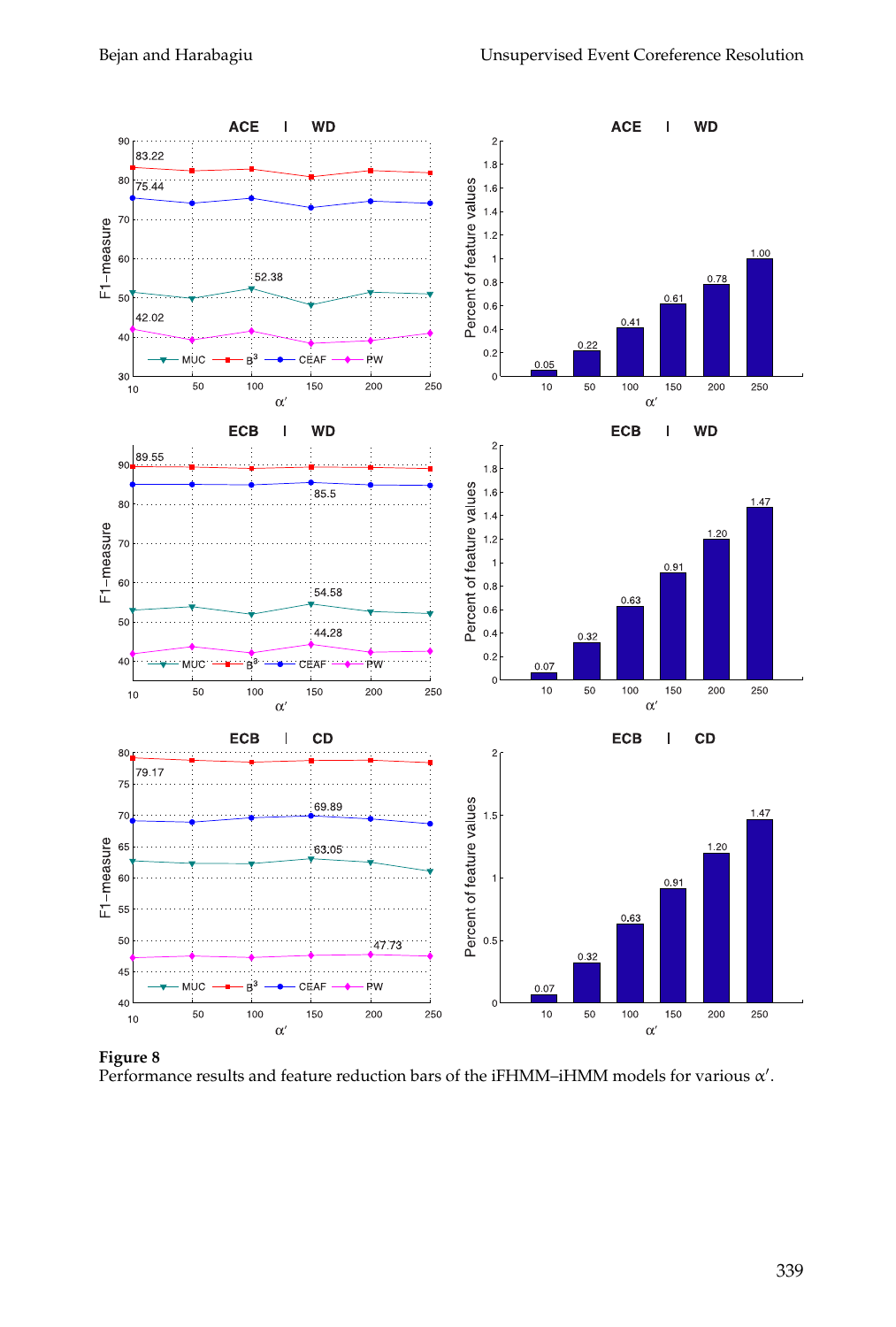

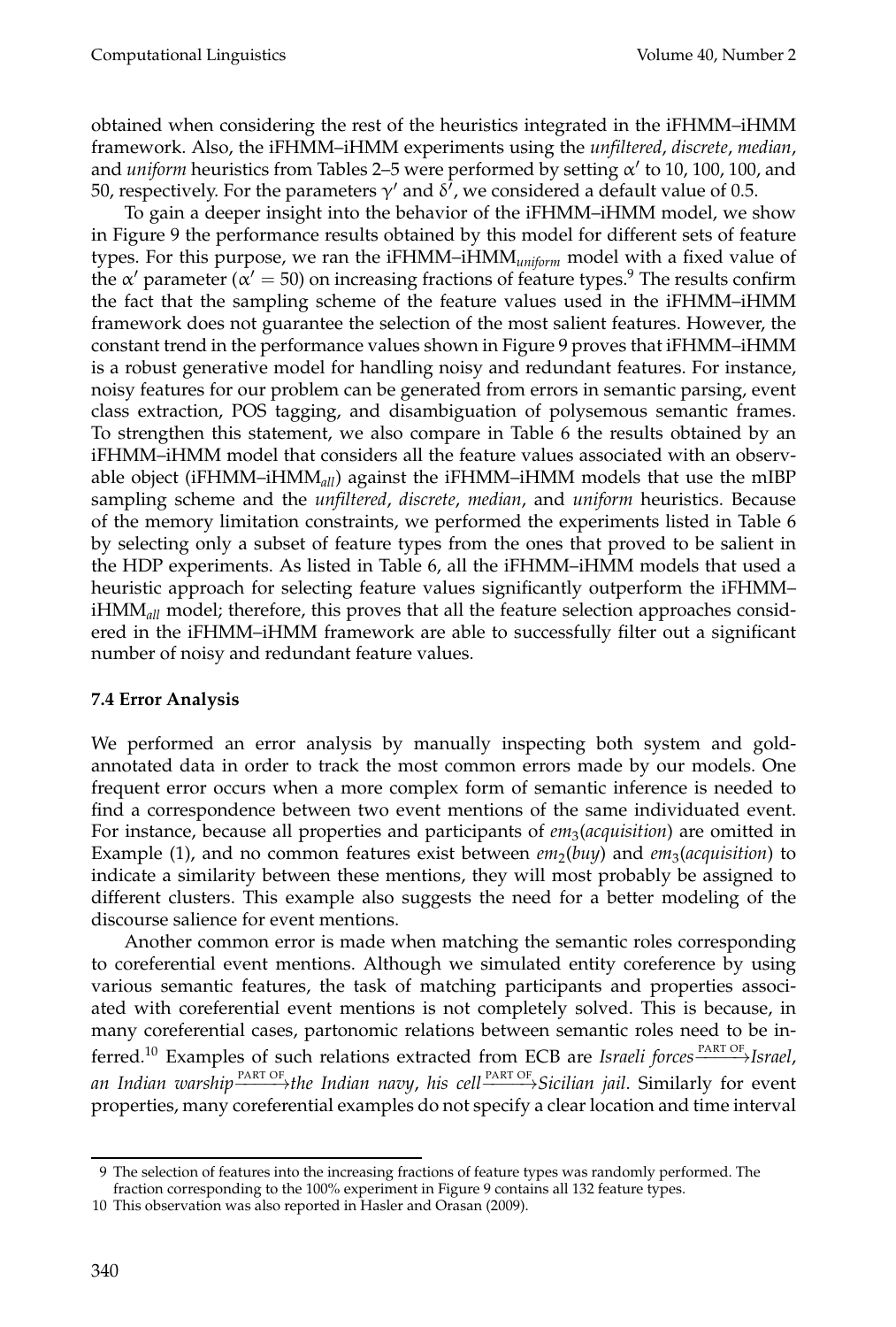obtained when considering the rest of the heuristics integrated in the iFHMM–iHMM framework. Also, the iFHMM–iHMM experiments using the *unfiltered*, *discrete*, *median*, and *uniform* heuristics from Tables 2–5 were performed by setting α ′ to 10, 100, 100, and 50, respectively. For the parameters  $\gamma'$  and  $\delta'$ , we considered a default value of 0.5.

To gain a deeper insight into the behavior of the iFHMM–iHMM model, we show in Figure 9 the performance results obtained by this model for different sets of feature types. For this purpose, we ran the iFHMM–iHMM*uniform* model with a fixed value of the  $\alpha'$  parameter ( $\alpha' = 50$ ) on increasing fractions of feature types.<sup>9</sup> The results confirm the fact that the sampling scheme of the feature values used in the iFHMM–iHMM framework does not guarantee the selection of the most salient features. However, the constant trend in the performance values shown in Figure 9 proves that iFHMM–iHMM is a robust generative model for handling noisy and redundant features. For instance, noisy features for our problem can be generated from errors in semantic parsing, event class extraction, POS tagging, and disambiguation of polysemous semantic frames. To strengthen this statement, we also compare in Table 6 the results obtained by an iFHMM–iHMM model that considers all the feature values associated with an observable object (iFHMM–iHMM*all*) against the iFHMM–iHMM models that use the mIBP sampling scheme and the *unfiltered*, *discrete*, *median*, and *uniform* heuristics. Because of the memory limitation constraints, we performed the experiments listed in Table 6 by selecting only a subset of feature types from the ones that proved to be salient in the HDP experiments. As listed in Table 6, all the iFHMM–iHMM models that used a heuristic approach for selecting feature values significantly outperform the iFHMM– iHMM*all* model; therefore, this proves that all the feature selection approaches considered in the iFHMM–iHMM framework are able to successfully filter out a significant number of noisy and redundant feature values.

### **7.4 Error Analysis**

We performed an error analysis by manually inspecting both system and goldannotated data in order to track the most common errors made by our models. One frequent error occurs when a more complex form of semantic inference is needed to find a correspondence between two event mentions of the same individuated event. For instance, because all properties and participants of *em*<sup>3</sup> (*acquisition*) are omitted in Example (1), and no common features exist between *em*<sub>2</sub>(buy) and *em*<sub>3</sub>(acquisition) to indicate a similarity between these mentions, they will most probably be assigned to different clusters. This example also suggests the need for a better modeling of the discourse salience for event mentions.

Another common error is made when matching the semantic roles corresponding to coreferential event mentions. Although we simulated entity coreference by using various semantic features, the task of matching participants and properties associated with coreferential event mentions is not completely solved. This is because, in many coreferential cases, partonomic relations between semantic roles need to be inferred.<sup>10</sup> Examples of such relations extracted from ECB are *Israeli forces*  $\frac{PART \, OF}{PART}$ *Israel*, *an Indian warship* PART OF −−−−→*the Indian navy*, *his cell* PART OF −−−−→*Sicilian jail*. Similarly for event properties, many coreferential examples do not specify a clear location and time interval

<sup>9</sup> The selection of features into the increasing fractions of feature types was randomly performed. The

fraction corresponding to the 100% experiment in Figure 9 contains all 132 feature types.

<sup>10</sup> This observation was also reported in Hasler and Orasan (2009).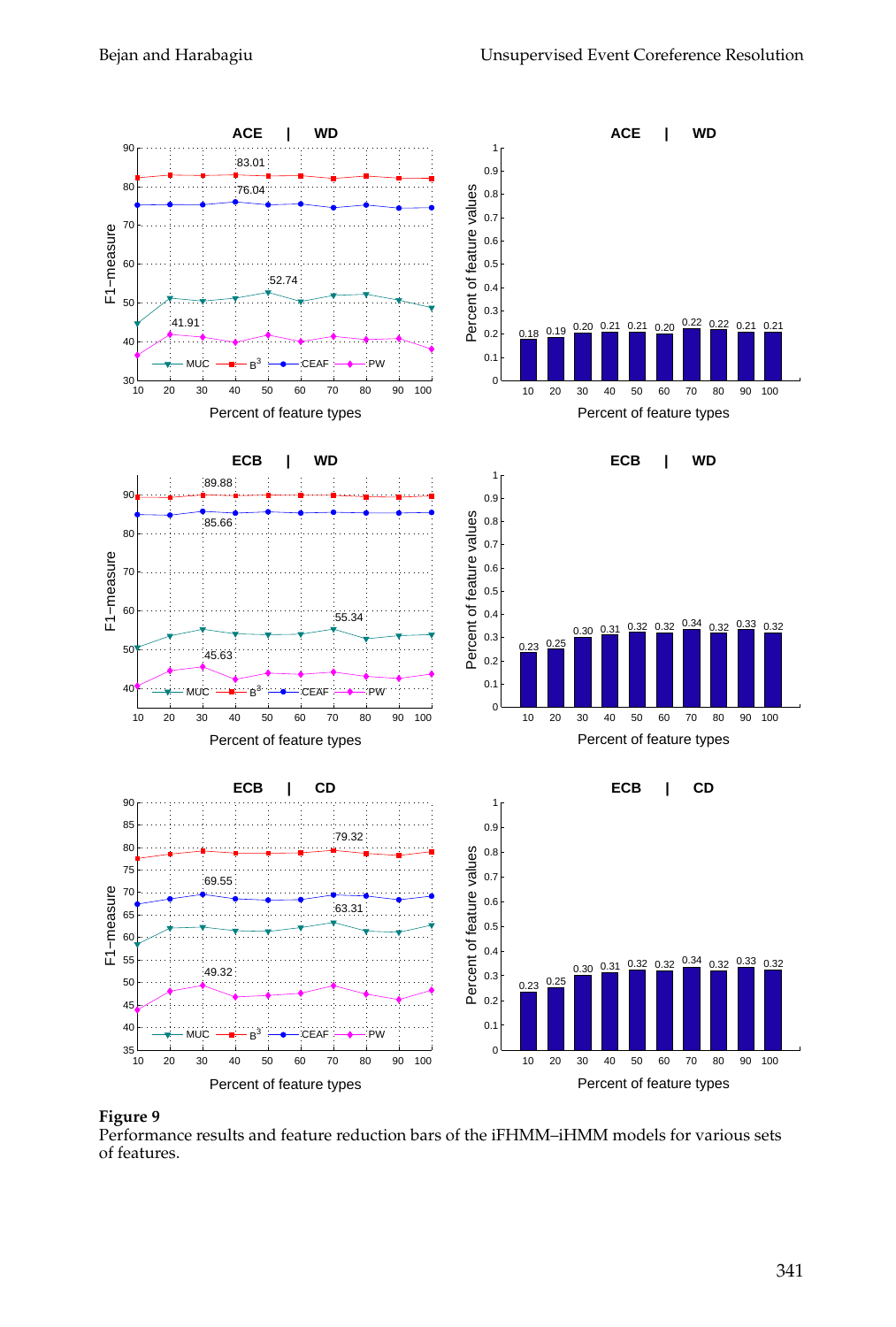

### **Figure 9**

Performance results and feature reduction bars of the iFHMM–iHMM models for various sets of features.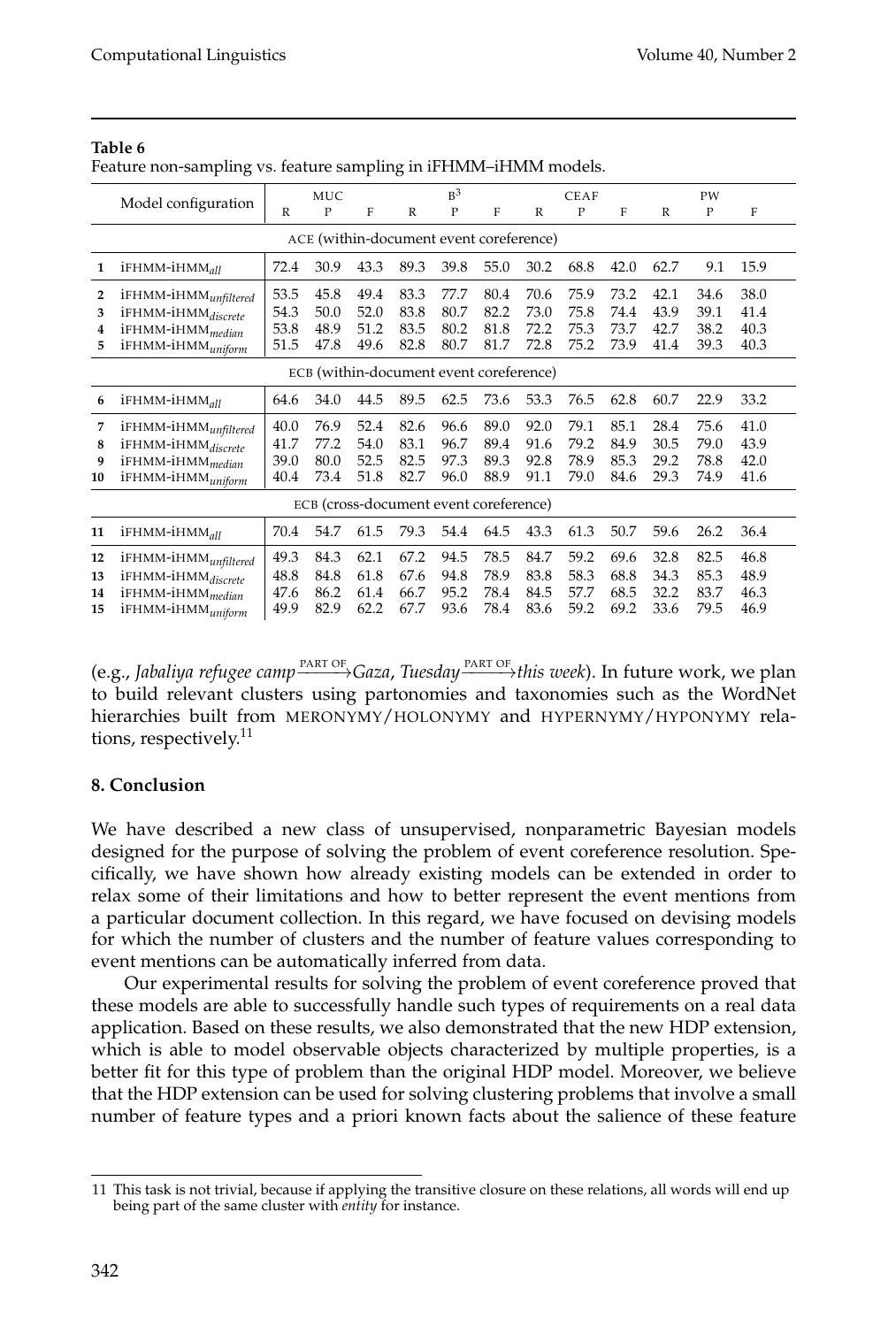| х<br>$\circ$<br>х<br>$\circ$ |                                                                                                                                     |                              |                                        |                              |                              |                              |                              |                              |                              |                              |                              |                              |                              |
|------------------------------|-------------------------------------------------------------------------------------------------------------------------------------|------------------------------|----------------------------------------|------------------------------|------------------------------|------------------------------|------------------------------|------------------------------|------------------------------|------------------------------|------------------------------|------------------------------|------------------------------|
|                              | Model configuration                                                                                                                 |                              | <b>MUC</b>                             |                              |                              | $R^3$                        |                              |                              | <b>CEAF</b>                  |                              |                              | PW                           |                              |
|                              |                                                                                                                                     | R                            | P                                      | F                            | R                            | P                            | F                            | R                            | P                            | F                            | R                            | $\mathbf{P}$                 | F                            |
|                              | ACE (within-document event coreference)                                                                                             |                              |                                        |                              |                              |                              |                              |                              |                              |                              |                              |                              |                              |
| 1                            | iFHMM-iHMM <sub>all</sub>                                                                                                           | 72.4                         | 30.9                                   | 43.3                         | 89.3                         | 39.8                         | 55.0                         | 30.2                         | 68.8                         | 42.0                         | 62.7                         | 9.1                          | 15.9                         |
| 2<br>3<br>4<br>5             | iFHMM-iHMM <sub>unfiltered</sub><br>iFHMM-iHMM <sub>discrete</sub><br>iFHMM-iHMM <sub>median</sub><br>iFHMM-iHMM <sub>uniform</sub> | 53.5<br>54.3<br>53.8<br>51.5 | 45.8<br>50.0<br>48.9<br>47.8           | 49.4<br>52.0<br>51.2<br>49.6 | 83.3<br>83.8<br>83.5<br>82.8 | 77.7<br>80.7<br>80.2<br>80.7 | 80.4<br>82.2<br>81.8<br>81.7 | 70.6<br>73.0<br>72.2<br>72.8 | 75.9<br>75.8<br>75.3<br>75.2 | 73.2<br>74.4<br>73.7<br>73.9 | 42.1<br>43.9<br>42.7<br>41.4 | 34.6<br>39.1<br>38.2<br>39.3 | 38.0<br>41.4<br>40.3<br>40.3 |
|                              | ECB (within-document event coreference)                                                                                             |                              |                                        |                              |                              |                              |                              |                              |                              |                              |                              |                              |                              |
| 6                            | iFHMM-iHMM <sub>all</sub>                                                                                                           | 64.6                         | 34.0                                   | 44.5                         | 89.5                         | 62.5                         | 73.6                         | 53.3                         | 76.5                         | 62.8                         | 60.7                         | 22.9                         | 33.2                         |
| 7<br>8<br>9<br>10            | iFHMM-iHMM <sub>unfiltered</sub><br>iFHMM-iHMMdiscrete<br>iFHMM-iHMM <sub>median</sub><br>iFHMM-iHMM <sub>uniform</sub>             | 40.0<br>41.7<br>39.0<br>40.4 | 76.9<br>77.2<br>80.0<br>73.4           | 52.4<br>54.0<br>52.5<br>51.8 | 82.6<br>83.1<br>82.5<br>82.7 | 96.6<br>96.7<br>97.3<br>96.0 | 89.0<br>89.4<br>89.3<br>88.9 | 92.0<br>91.6<br>92.8<br>91.1 | 79.1<br>79.2<br>78.9<br>79.0 | 85.1<br>84.9<br>85.3<br>84.6 | 28.4<br>30.5<br>29.2<br>29.3 | 75.6<br>79.0<br>78.8<br>74.9 | 41.0<br>43.9<br>42.0<br>41.6 |
|                              |                                                                                                                                     |                              | ECB (cross-document event coreference) |                              |                              |                              |                              |                              |                              |                              |                              |                              |                              |
| 11                           | iFHMM-iHMM <sub>all</sub>                                                                                                           | 70.4                         | 54.7                                   | 61.5                         | 79.3                         | 54.4                         | 64.5                         | 43.3                         | 61.3                         | 50.7                         | 59.6                         | 26.2                         | 36.4                         |
| 12<br>13<br>14<br>15         | iFHMM-iHMM <sub>unfiltered</sub><br>iFHMM-iHMM <sub>discrete</sub><br>iFHMM-iHMM <sub>median</sub><br>iFHMM-iHMM <sub>uniform</sub> | 49.3<br>48.8<br>47.6<br>49.9 | 84.3<br>84.8<br>86.2<br>82.9           | 62.1<br>61.8<br>61.4<br>62.2 | 67.2<br>67.6<br>66.7<br>67.7 | 94.5<br>94.8<br>95.2<br>93.6 | 78.5<br>78.9<br>78.4<br>78.4 | 84.7<br>83.8<br>84.5<br>83.6 | 59.2<br>58.3<br>57.7<br>59.2 | 69.6<br>68.8<br>68.5<br>69.2 | 32.8<br>34.3<br>32.2<br>33.6 | 82.5<br>85.3<br>83.7<br>79.5 | 46.8<br>48.9<br>46.3<br>46.9 |

#### **Table 6** Feature non-sampling vs. feature sampling in iFHMM–iHMM models.

(e.g., *Jabaliya refugee camp* PART OF −−−−→*Gaza*, *Tuesday* PART OF −−−−→*this week*). In future work, we plan to build relevant clusters using partonomies and taxonomies such as the WordNet hierarchies built from MERONYMY/HOLONYMY and HYPERNYMY/HYPONYMY relations, respectively.<sup>11</sup>

# **8. Conclusion**

We have described a new class of unsupervised, nonparametric Bayesian models designed for the purpose of solving the problem of event coreference resolution. Specifically, we have shown how already existing models can be extended in order to relax some of their limitations and how to better represent the event mentions from a particular document collection. In this regard, we have focused on devising models for which the number of clusters and the number of feature values corresponding to event mentions can be automatically inferred from data.

Our experimental results for solving the problem of event coreference proved that these models are able to successfully handle such types of requirements on a real data application. Based on these results, we also demonstrated that the new HDP extension, which is able to model observable objects characterized by multiple properties, is a better fit for this type of problem than the original HDP model. Moreover, we believe that the HDP extension can be used for solving clustering problems that involve a small number of feature types and a priori known facts about the salience of these feature

<sup>11</sup> This task is not trivial, because if applying the transitive closure on these relations, all words will end up being part of the same cluster with *entity* for instance.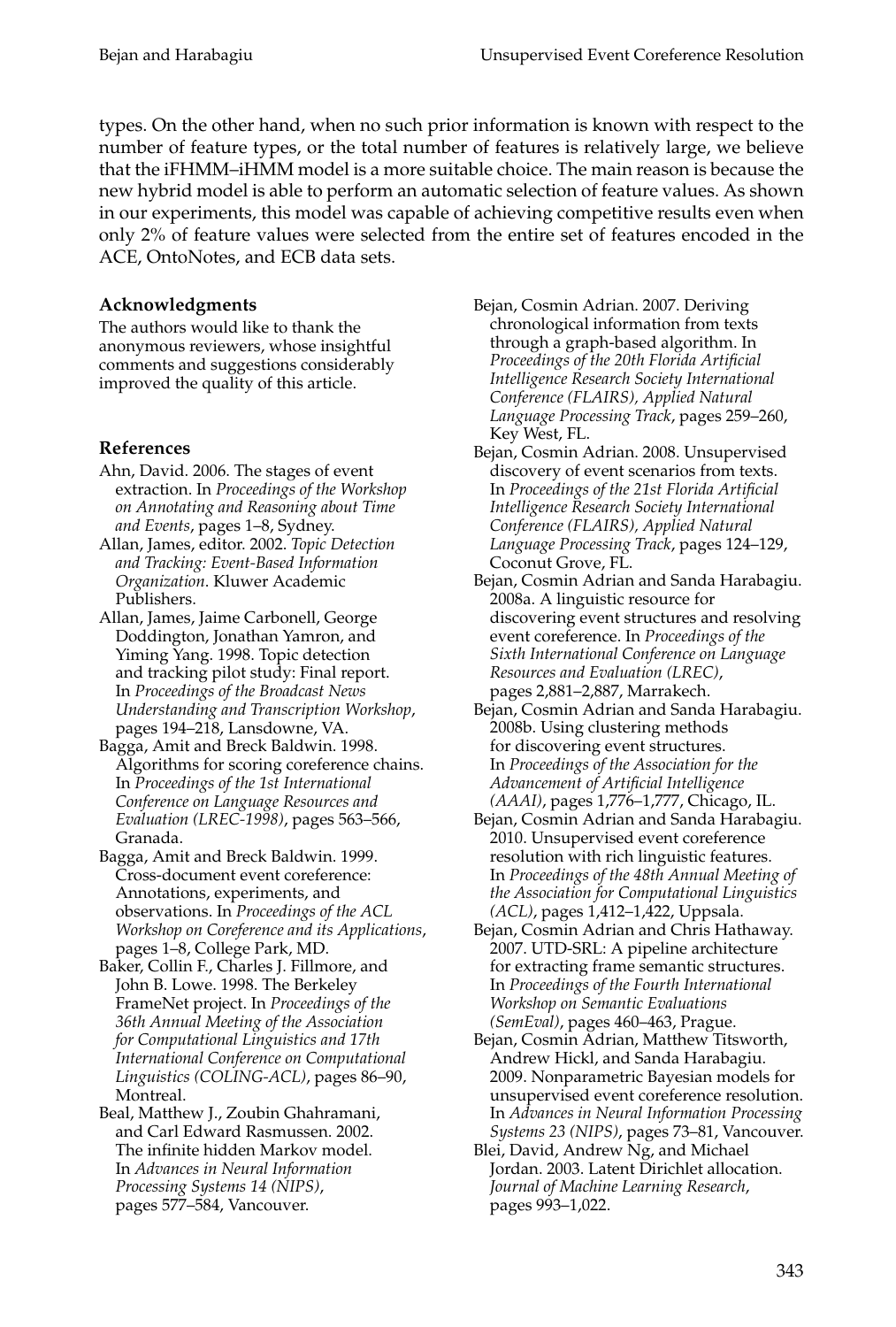types. On the other hand, when no such prior information is known with respect to the number of feature types, or the total number of features is relatively large, we believe that the iFHMM–iHMM model is a more suitable choice. The main reason is because the new hybrid model is able to perform an automatic selection of feature values. As shown in our experiments, this model was capable of achieving competitive results even when only 2% of feature values were selected from the entire set of features encoded in the ACE, OntoNotes, and ECB data sets.

# **Acknowledgments**

The authors would like to thank the anonymous reviewers, whose insightful comments and suggestions considerably improved the quality of this article.

## **References**

- Ahn, David. 2006. The stages of event extraction. In *Proceedings of the Workshop on Annotating and Reasoning about Time and Events*, pages 1–8, Sydney.
- Allan, James, editor. 2002. *Topic Detection and Tracking: Event-Based Information Organization*. Kluwer Academic Publishers.
- Allan, James, Jaime Carbonell, George Doddington, Jonathan Yamron, and Yiming Yang. 1998. Topic detection and tracking pilot study: Final report. In *Proceedings of the Broadcast News Understanding and Transcription Workshop*, pages 194–218, Lansdowne, VA.
- Bagga, Amit and Breck Baldwin. 1998. Algorithms for scoring coreference chains. In *Proceedings of the 1st International Conference on Language Resources and Evaluation (LREC-1998)*, pages 563–566, Granada.
- Bagga, Amit and Breck Baldwin. 1999. Cross-document event coreference: Annotations, experiments, and observations. In *Proceedings of the ACL Workshop on Coreference and its Applications*, pages 1–8, College Park, MD.
- Baker, Collin F., Charles J. Fillmore, and John B. Lowe. 1998. The Berkeley FrameNet project. In *Proceedings of the 36th Annual Meeting of the Association for Computational Linguistics and 17th International Conference on Computational Linguistics (COLING-ACL)*, pages 86–90, Montreal.
- Beal, Matthew J., Zoubin Ghahramani, and Carl Edward Rasmussen. 2002. The infinite hidden Markov model. In *Advances in Neural Information Processing Systems 14 (NIPS)*, pages 577–584, Vancouver.

Bejan, Cosmin Adrian. 2007. Deriving chronological information from texts through a graph-based algorithm. In *Proceedings of the 20th Florida Artificial Intelligence Research Society International Conference (FLAIRS), Applied Natural Language Processing Track*, pages 259–260, Key West, FL.

- Bejan, Cosmin Adrian. 2008. Unsupervised discovery of event scenarios from texts. In *Proceedings of the 21st Florida Artificial Intelligence Research Society International Conference (FLAIRS), Applied Natural Language Processing Track*, pages 124–129, Coconut Grove, FL.
- Bejan, Cosmin Adrian and Sanda Harabagiu. 2008a. A linguistic resource for discovering event structures and resolving event coreference. In *Proceedings of the Sixth International Conference on Language Resources and Evaluation (LREC)*, pages 2,881–2,887, Marrakech.
- Bejan, Cosmin Adrian and Sanda Harabagiu. 2008b. Using clustering methods for discovering event structures. In *Proceedings of the Association for the Advancement of Artificial Intelligence (AAAI)*, pages 1,776–1,777, Chicago, IL.
- Bejan, Cosmin Adrian and Sanda Harabagiu. 2010. Unsupervised event coreference resolution with rich linguistic features. In *Proceedings of the 48th Annual Meeting of the Association for Computational Linguistics (ACL)*, pages 1,412–1,422, Uppsala.
- Bejan, Cosmin Adrian and Chris Hathaway. 2007. UTD-SRL: A pipeline architecture for extracting frame semantic structures. In *Proceedings of the Fourth International Workshop on Semantic Evaluations (SemEval)*, pages 460–463, Prague.
- Bejan, Cosmin Adrian, Matthew Titsworth, Andrew Hickl, and Sanda Harabagiu. 2009. Nonparametric Bayesian models for unsupervised event coreference resolution. In *Advances in Neural Information Processing Systems 23 (NIPS)*, pages 73–81, Vancouver.
- Blei, David, Andrew Ng, and Michael Jordan. 2003. Latent Dirichlet allocation. *Journal of Machine Learning Research*, pages 993–1,022.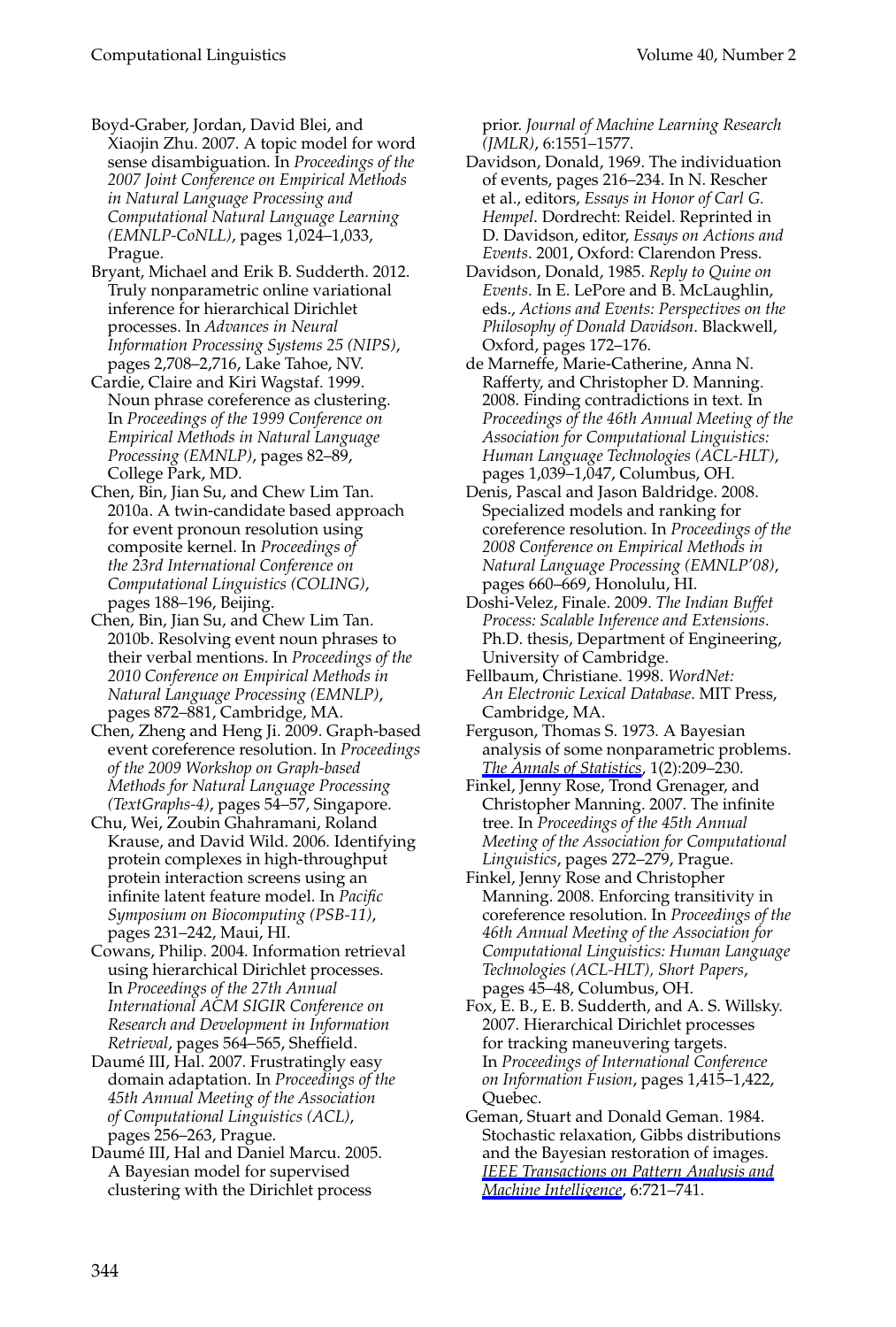Boyd-Graber, Jordan, David Blei, and Xiaojin Zhu. 2007. A topic model for word sense disambiguation. In *Proceedings of the 2007 Joint Conference on Empirical Methods in Natural Language Processing and Computational Natural Language Learning (EMNLP-CoNLL)*, pages 1,024–1,033, Prague.

Bryant, Michael and Erik B. Sudderth. 2012. Truly nonparametric online variational inference for hierarchical Dirichlet processes. In *Advances in Neural Information Processing Systems 25 (NIPS)*, pages 2,708–2,716, Lake Tahoe, NV.

Cardie, Claire and Kiri Wagstaf. 1999. Noun phrase coreference as clustering. In *Proceedings of the 1999 Conference on Empirical Methods in Natural Language Processing (EMNLP)*, pages 82–89, College Park, MD.

Chen, Bin, Jian Su, and Chew Lim Tan. 2010a. A twin-candidate based approach for event pronoun resolution using composite kernel. In *Proceedings of the 23rd International Conference on Computational Linguistics (COLING)*, pages 188–196, Beijing.

Chen, Bin, Jian Su, and Chew Lim Tan. 2010b. Resolving event noun phrases to their verbal mentions. In *Proceedings of the 2010 Conference on Empirical Methods in Natural Language Processing (EMNLP)*, pages 872–881, Cambridge, MA.

Chen, Zheng and Heng Ji. 2009. Graph-based event coreference resolution. In *Proceedings of the 2009 Workshop on Graph-based Methods for Natural Language Processing (TextGraphs-4)*, pages 54–57, Singapore.

Chu, Wei, Zoubin Ghahramani, Roland Krause, and David Wild. 2006. Identifying protein complexes in high-throughput protein interaction screens using an infinite latent feature model. In *Pacific Symposium on Biocomputing (PSB-11)*, pages 231–242, Maui, HI.

Cowans, Philip. 2004. Information retrieval using hierarchical Dirichlet processes. In *Proceedings of the 27th Annual International ACM SIGIR Conference on Research and Development in Information Retrieval*, pages 564–565, Sheffield.

Daumé III, Hal. 2007. Frustratingly easy domain adaptation. In *Proceedings of the 45th Annual Meeting of the Association of Computational Linguistics (ACL)*, pages 256–263, Prague.

Daumé III, Hal and Daniel Marcu. 2005. A Bayesian model for supervised clustering with the Dirichlet process

prior. *Journal of Machine Learning Research (JMLR)*, 6:1551–1577.

- Davidson, Donald, 1969. The individuation of events, pages 216–234. In N. Rescher et al., editors, *Essays in Honor of Carl G. Hempel*. Dordrecht: Reidel. Reprinted in D. Davidson, editor, *Essays on Actions and Events*. 2001, Oxford: Clarendon Press.
- Davidson, Donald, 1985. *Reply to Quine on Events*. In E. LePore and B. McLaughlin, eds., *Actions and Events: Perspectives on the Philosophy of Donald Davidson*. Blackwell, Oxford, pages 172–176.
- de Marneffe, Marie-Catherine, Anna N. Rafferty, and Christopher D. Manning. 2008. Finding contradictions in text. In *Proceedings of the 46th Annual Meeting of the Association for Computational Linguistics: Human Language Technologies (ACL-HLT)*, pages 1,039–1,047, Columbus, OH.
- Denis, Pascal and Jason Baldridge. 2008. Specialized models and ranking for coreference resolution. In *Proceedings of the 2008 Conference on Empirical Methods in Natural Language Processing (EMNLP'08)*, pages 660–669, Honolulu, HI.
- Doshi-Velez, Finale. 2009. *The Indian Buffet Process: Scalable Inference and Extensions*. Ph.D. thesis, Department of Engineering, University of Cambridge.
- Fellbaum, Christiane. 1998. *WordNet: An Electronic Lexical Database*. MIT Press, Cambridge, MA.
- Ferguson, Thomas S. 1973. A Bayesian analysis of some nonparametric problems. *[The Annals of Statistics](http://www.mitpressjournals.org/action/showLinks?crossref=10.1214%2Faos%2F1176342360)*, 1(2):209–230.
- Finkel, Jenny Rose, Trond Grenager, and Christopher Manning. 2007. The infinite tree. In *Proceedings of the 45th Annual Meeting of the Association for Computational Linguistics*, pages 272–279, Prague.
- Finkel, Jenny Rose and Christopher Manning. 2008. Enforcing transitivity in coreference resolution. In *Proceedings of the 46th Annual Meeting of the Association for Computational Linguistics: Human Language Technologies (ACL-HLT), Short Papers*, pages 45–48, Columbus, OH.
- Fox, E. B., E. B. Sudderth, and A. S. Willsky. 2007. Hierarchical Dirichlet processes for tracking maneuvering targets. In *Proceedings of International Conference on Information Fusion*, pages 1,415–1,422, Quebec.

Geman, Stuart and Donald Geman. 1984. Stochastic relaxation, Gibbs distributions and the Bayesian restoration of images. *[IEEE Transactions on Pattern Analysis and](http://www.mitpressjournals.org/action/showLinks?crossref=10.1109%2FTPAMI.1984.4767596) [Machine Intelligence](http://www.mitpressjournals.org/action/showLinks?crossref=10.1109%2FTPAMI.1984.4767596)*, 6:721–741.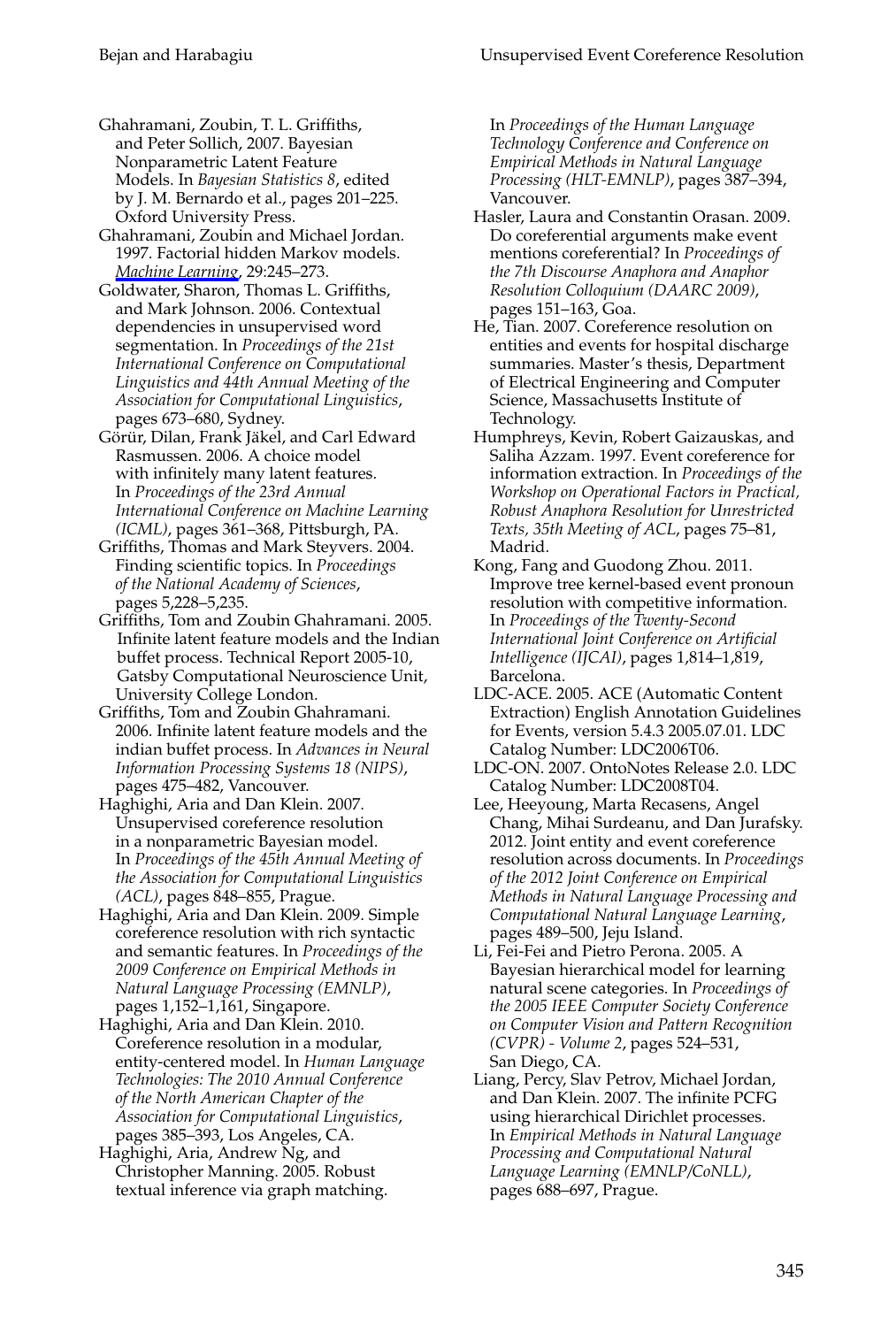Ghahramani, Zoubin, T. L. Griffiths, and Peter Sollich, 2007. Bayesian Nonparametric Latent Feature Models. In *Bayesian Statistics 8*, edited by J. M. Bernardo et al., pages 201–225. Oxford University Press.

Ghahramani, Zoubin and Michael Jordan. 1997. Factorial hidden Markov models. *[Machine Learning](http://www.mitpressjournals.org/action/showLinks?crossref=10.1023%2FA%3A1007425814087)*, 29:245–273.

Goldwater, Sharon, Thomas L. Griffiths, and Mark Johnson. 2006. Contextual dependencies in unsupervised word segmentation. In *Proceedings of the 21st International Conference on Computational Linguistics and 44th Annual Meeting of the Association for Computational Linguistics*, pages 673–680, Sydney.

Görür, Dilan, Frank Jäkel, and Carl Edward Rasmussen. 2006. A choice model with infinitely many latent features. In *Proceedings of the 23rd Annual International Conference on Machine Learning (ICML)*, pages 361–368, Pittsburgh, PA.

Griffiths, Thomas and Mark Steyvers. 2004. Finding scientific topics. In *Proceedings of the National Academy of Sciences*, pages 5,228–5,235.

Griffiths, Tom and Zoubin Ghahramani. 2005. Infinite latent feature models and the Indian buffet process. Technical Report 2005-10, Gatsby Computational Neuroscience Unit, University College London.

Griffiths, Tom and Zoubin Ghahramani. 2006. Infinite latent feature models and the indian buffet process. In *Advances in Neural Information Processing Systems 18 (NIPS)*, pages 475–482, Vancouver.

Haghighi, Aria and Dan Klein. 2007. Unsupervised coreference resolution in a nonparametric Bayesian model. In *Proceedings of the 45th Annual Meeting of the Association for Computational Linguistics (ACL)*, pages 848–855, Prague.

Haghighi, Aria and Dan Klein. 2009. Simple coreference resolution with rich syntactic and semantic features. In *Proceedings of the 2009 Conference on Empirical Methods in Natural Language Processing (EMNLP)*, pages 1,152–1,161, Singapore.

Haghighi, Aria and Dan Klein. 2010. Coreference resolution in a modular, entity-centered model. In *Human Language Technologies: The 2010 Annual Conference of the North American Chapter of the Association for Computational Linguistics*, pages 385–393, Los Angeles, CA.

Haghighi, Aria, Andrew Ng, and Christopher Manning. 2005. Robust textual inference via graph matching. In *Proceedings of the Human Language Technology Conference and Conference on Empirical Methods in Natural Language Processing (HLT-EMNLP)*, pages 387–394, Vancouver.

Hasler, Laura and Constantin Orasan. 2009. Do coreferential arguments make event mentions coreferential? In *Proceedings of the 7th Discourse Anaphora and Anaphor Resolution Colloquium (DAARC 2009)*, pages 151–163, Goa.

He, Tian. 2007. Coreference resolution on entities and events for hospital discharge summaries. Master's thesis, Department of Electrical Engineering and Computer Science, Massachusetts Institute of Technology.

Humphreys, Kevin, Robert Gaizauskas, and Saliha Azzam. 1997. Event coreference for information extraction. In *Proceedings of the Workshop on Operational Factors in Practical, Robust Anaphora Resolution for Unrestricted Texts, 35th Meeting of ACL*, pages 75–81, Madrid.

Kong, Fang and Guodong Zhou. 2011. Improve tree kernel-based event pronoun resolution with competitive information. In *Proceedings of the Twenty-Second International Joint Conference on Artificial Intelligence (IJCAI)*, pages 1,814–1,819, Barcelona.

LDC-ACE. 2005. ACE (Automatic Content Extraction) English Annotation Guidelines for Events, version 5.4.3 2005.07.01. LDC Catalog Number: LDC2006T06.

LDC-ON. 2007. OntoNotes Release 2.0. LDC Catalog Number: LDC2008T04.

Lee, Heeyoung, Marta Recasens, Angel Chang, Mihai Surdeanu, and Dan Jurafsky. 2012. Joint entity and event coreference resolution across documents. In *Proceedings of the 2012 Joint Conference on Empirical Methods in Natural Language Processing and Computational Natural Language Learning*, pages 489–500, Jeju Island.

Li, Fei-Fei and Pietro Perona. 2005. A Bayesian hierarchical model for learning natural scene categories. In *Proceedings of the 2005 IEEE Computer Society Conference on Computer Vision and Pattern Recognition (CVPR) - Volume 2*, pages 524–531, San Diego, CA.

Liang, Percy, Slav Petrov, Michael Jordan, and Dan Klein. 2007. The infinite PCFG using hierarchical Dirichlet processes. In *Empirical Methods in Natural Language Processing and Computational Natural Language Learning (EMNLP/CoNLL)*, pages 688–697, Prague.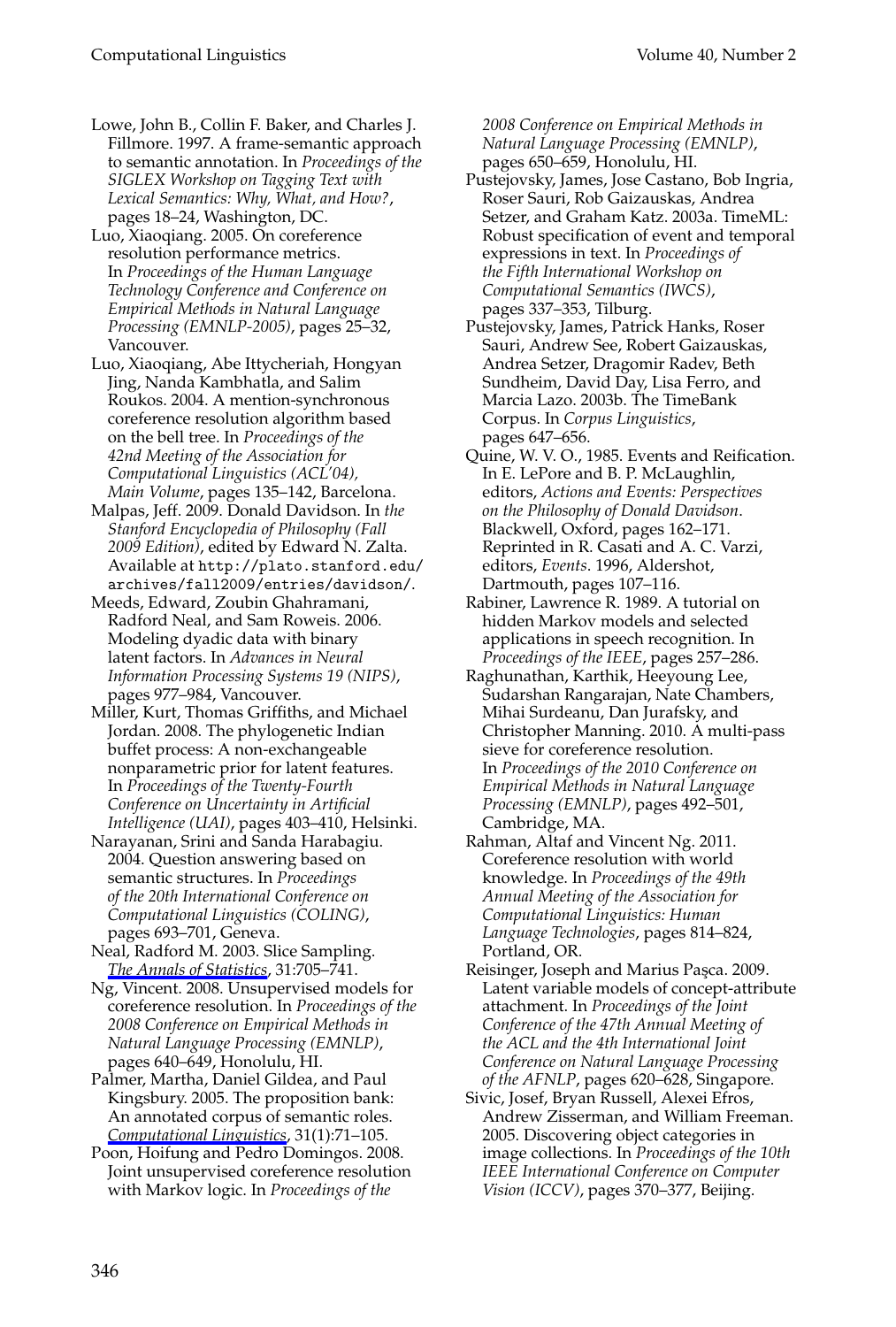- Lowe, John B., Collin F. Baker, and Charles J. Fillmore. 1997. A frame-semantic approach to semantic annotation. In *Proceedings of the SIGLEX Workshop on Tagging Text with Lexical Semantics: Why, What, and How?*, pages 18–24, Washington, DC.
- Luo, Xiaoqiang. 2005. On coreference resolution performance metrics. In *Proceedings of the Human Language Technology Conference and Conference on Empirical Methods in Natural Language Processing (EMNLP-2005)*, pages 25–32, Vancouver.
- Luo, Xiaoqiang, Abe Ittycheriah, Hongyan Jing, Nanda Kambhatla, and Salim Roukos. 2004. A mention-synchronous coreference resolution algorithm based on the bell tree. In *Proceedings of the 42nd Meeting of the Association for Computational Linguistics (ACL'04), Main Volume*, pages 135–142, Barcelona.
- Malpas, Jeff. 2009. Donald Davidson. In *the Stanford Encyclopedia of Philosophy (Fall 2009 Edition)*, edited by Edward N. Zalta. Available at http://plato.stanford.edu/ archives/fall2009/entries/davidson/.
- Meeds, Edward, Zoubin Ghahramani, Radford Neal, and Sam Roweis. 2006. Modeling dyadic data with binary latent factors. In *Advances in Neural Information Processing Systems 19 (NIPS)*, pages 977–984, Vancouver.
- Miller, Kurt, Thomas Griffiths, and Michael Jordan. 2008. The phylogenetic Indian buffet process: A non-exchangeable nonparametric prior for latent features. In *Proceedings of the Twenty-Fourth Conference on Uncertainty in Artificial Intelligence (UAI)*, pages 403–410, Helsinki.
- Narayanan, Srini and Sanda Harabagiu. 2004. Question answering based on semantic structures. In *Proceedings of the 20th International Conference on Computational Linguistics (COLING)*, pages 693–701, Geneva.
- Neal, Radford M. 2003. Slice Sampling. *[The Annals of Statistics](http://www.mitpressjournals.org/action/showLinks?crossref=10.1214%2Faos%2F1056562461)*, 31:705–741.
- Ng, Vincent. 2008. Unsupervised models for coreference resolution. In *Proceedings of the 2008 Conference on Empirical Methods in Natural Language Processing (EMNLP)*, pages 640–649, Honolulu, HI.
- Palmer, Martha, Daniel Gildea, and Paul Kingsbury. 2005. The proposition bank: An annotated corpus of semantic roles. *[Computational Linguistics](http://www.mitpressjournals.org/action/showLinks?system=10.1162%2F0891201053630264)*, 31(1):71–105.
- Poon, Hoifung and Pedro Domingos. 2008. Joint unsupervised coreference resolution with Markov logic. In *Proceedings of the*

*2008 Conference on Empirical Methods in Natural Language Processing (EMNLP)*, pages 650–659, Honolulu, HI.

- Pustejovsky, James, Jose Castano, Bob Ingria, Roser Sauri, Rob Gaizauskas, Andrea Setzer, and Graham Katz. 2003a. TimeML: Robust specification of event and temporal expressions in text. In *Proceedings of the Fifth International Workshop on Computational Semantics (IWCS)*, pages 337–353, Tilburg.
- Pustejovsky, James, Patrick Hanks, Roser Sauri, Andrew See, Robert Gaizauskas, Andrea Setzer, Dragomir Radev, Beth Sundheim, David Day, Lisa Ferro, and Marcia Lazo. 2003b. The TimeBank Corpus. In *Corpus Linguistics*, pages 647–656.
- Quine, W. V. O., 1985. Events and Reification. In E. LePore and B. P. McLaughlin, editors, *Actions and Events: Perspectives on the Philosophy of Donald Davidson*. Blackwell, Oxford, pages 162–171. Reprinted in R. Casati and A. C. Varzi, editors, *Events*. 1996, Aldershot, Dartmouth, pages 107–116.
- Rabiner, Lawrence R. 1989. A tutorial on hidden Markov models and selected applications in speech recognition. In *Proceedings of the IEEE*, pages 257–286.
- Raghunathan, Karthik, Heeyoung Lee, Sudarshan Rangarajan, Nate Chambers, Mihai Surdeanu, Dan Jurafsky, and Christopher Manning. 2010. A multi-pass sieve for coreference resolution. In *Proceedings of the 2010 Conference on Empirical Methods in Natural Language Processing (EMNLP)*, pages 492–501, Cambridge, MA.
- Rahman, Altaf and Vincent Ng. 2011. Coreference resolution with world knowledge. In *Proceedings of the 49th Annual Meeting of the Association for Computational Linguistics: Human Language Technologies*, pages 814–824, Portland, OR.
- Reisinger, Joseph and Marius Paşca. 2009. Latent variable models of concept-attribute attachment. In *Proceedings of the Joint Conference of the 47th Annual Meeting of the ACL and the 4th International Joint Conference on Natural Language Processing of the AFNLP*, pages 620–628, Singapore.
- Sivic, Josef, Bryan Russell, Alexei Efros, Andrew Zisserman, and William Freeman. 2005. Discovering object categories in image collections. In *Proceedings of the 10th IEEE International Conference on Computer Vision (ICCV)*, pages 370–377, Beijing.